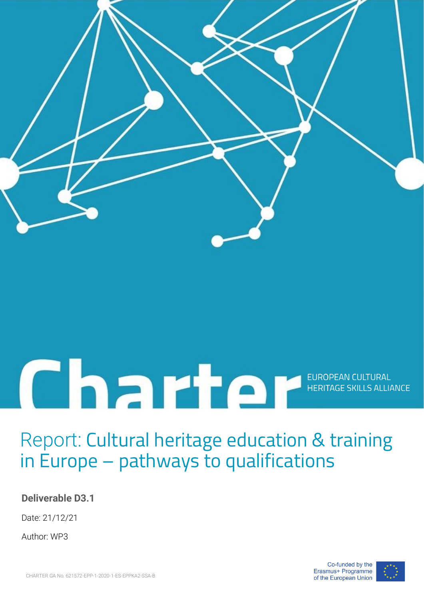

# EUROPEAN CULTURAL

# Report: Cultural heritage education & training in Europe – pathways to qualifications

## **Deliverable D3.1**

Date: 21/12/21

Author: WP3

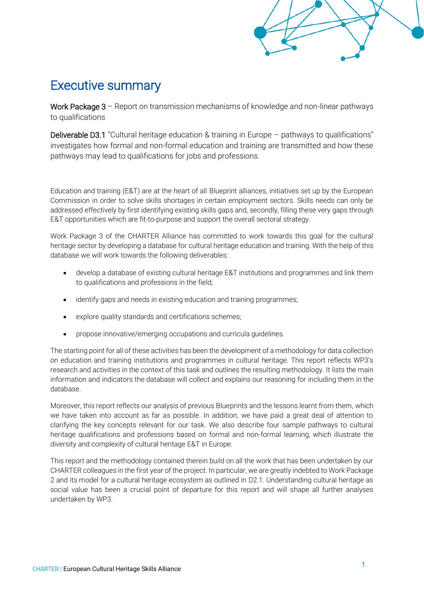## Executive summary

Work Package 3 – Report on transmission mechanisms of knowledge and non-linear pathways to qualifications

Deliverable D3.1 "Cultural heritage education & training in Europe – pathways to qualifications" investigates how formal and non-formal education and training are transmitted and how these pathways may lead to qualifications for jobs and professions.

Education and training (E&T) are at the heart of all Blueprint alliances, initiatives set up by the European Commission in order to solve skills shortages in certain employment sectors. Skills needs can only be addressed effectively by first identifying existing skills gaps and, secondly, filling these very gaps through E&T opportunities which are fit-to-purpose and support the overall sectoral strategy.

Work Package 3 of the CHARTER Alliance has committed to work towards this goal for the cultural heritage sector by developing a database for cultural heritage education and training. With the help of this database we will work towards the following deliverables:

- develop a database of existing cultural heritage E&T institutions and programmes and link them to qualifications and professions in the field;
- identify gaps and needs in existing education and training programmes;
- explore quality standards and certifications schemes;
- propose innovative/emerging occupations and curricula guidelines.

The starting point for all of these activities has been the development of a methodology for data collection on education and training institutions and programmes in cultural heritage. This report reflects WP3's research and activities in the context of this task and outlines the resulting methodology. It lists the main information and indicators the database will collect and explains our reasoning for including them in the database.

Moreover, this report reflects our analysis of previous Blueprints and the lessons learnt from them, which we have taken into account as far as possible. In addition, we have paid a great deal of attention to clarifying the key concepts relevant for our task. We also describe four sample pathways to cultural heritage qualifications and professions based on formal and non-formal learning, which illustrate the diversity and complexity of cultural heritage E&T in Europe.

This report and the methodology contained therein build on all the work that has been undertaken by our CHARTER colleagues in the first year of the project. In particular, we are greatly indebted to Work Package 2 and its model for a cultural heritage ecosystem as outlined in D2.1. Understanding cultural heritage as social value has been a crucial point of departure for this report and will shape all further analyses undertaken by WP3.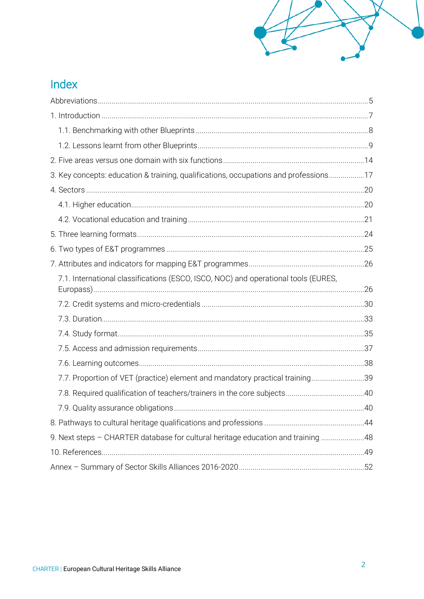## Index

| 3. Key concepts: education & training, qualifications, occupations and professions17 |  |
|--------------------------------------------------------------------------------------|--|
|                                                                                      |  |
|                                                                                      |  |
|                                                                                      |  |
|                                                                                      |  |
|                                                                                      |  |
|                                                                                      |  |
| 7.1. International classifications (ESCO, ISCO, NOC) and operational tools (EURES,   |  |
|                                                                                      |  |
|                                                                                      |  |
|                                                                                      |  |
|                                                                                      |  |
|                                                                                      |  |
| 7.7. Proportion of VET (practice) element and mandatory practical training39         |  |
|                                                                                      |  |
|                                                                                      |  |
|                                                                                      |  |
| 9. Next steps - CHARTER database for cultural heritage education and training 48     |  |
|                                                                                      |  |
|                                                                                      |  |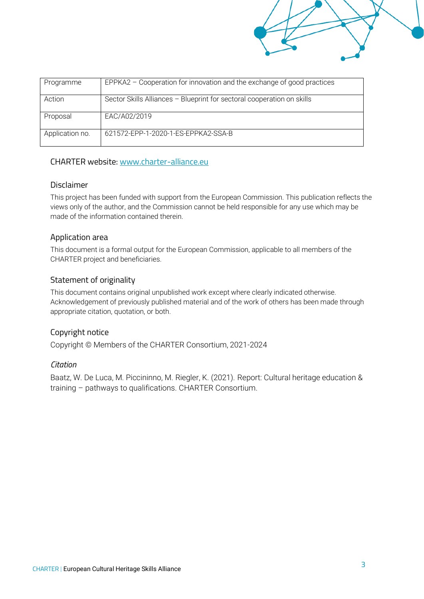| Programme       | EPPKA2 – Cooperation for innovation and the exchange of good practices |
|-----------------|------------------------------------------------------------------------|
|                 |                                                                        |
|                 |                                                                        |
|                 |                                                                        |
| Action          | Sector Skills Alliances - Blueprint for sectoral cooperation on skills |
|                 |                                                                        |
|                 |                                                                        |
| Proposal        | EAC/A02/2019                                                           |
|                 |                                                                        |
|                 |                                                                        |
|                 |                                                                        |
| Application no. | 621572-EPP-1-2020-1-ES-EPPKA2-SSA-B                                    |
|                 |                                                                        |
|                 |                                                                        |

#### CHARTER website: [www.charter-alliance.eu](http://www.charter-alliance.eu/)

## Disclaimer

This project has been funded with support from the European Commission. This publication reflects the views only of the author, and the Commission cannot be held responsible for any use which may be made of the information contained therein.

## Application area

This document is a formal output for the European Commission, applicable to all members of the CHARTER project and beneficiaries.

## Statement of originality

This document contains original unpublished work except where clearly indicated otherwise. Acknowledgement of previously published material and of the work of others has been made through appropriate citation, quotation, or both.

## Copyright notice

Copyright © Members of the CHARTER Consortium, 2021-2024

#### *Citation*

Baatz, W. De Luca, M. Piccininno, M. Riegler, K. (2021). Report: Cultural heritage education & training – pathways to qualifications. CHARTER Consortium.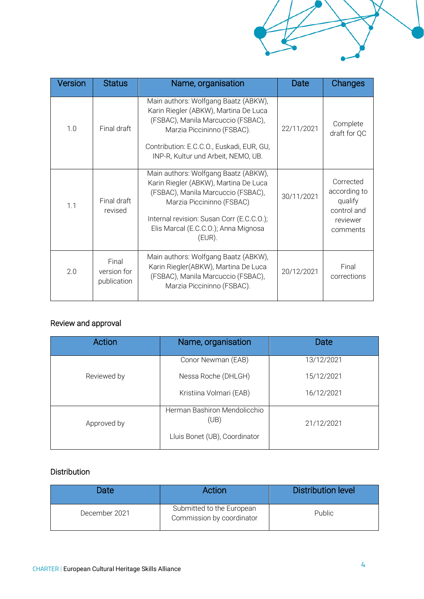| 'ersion | <b>Status</b>                       | Name, organisation                                                                                                                                                                                                                              | Date       | Changes                                                                     |
|---------|-------------------------------------|-------------------------------------------------------------------------------------------------------------------------------------------------------------------------------------------------------------------------------------------------|------------|-----------------------------------------------------------------------------|
| 1.0     | Final draft                         | Main authors: Wolfgang Baatz (ABKW),<br>Karin Riegler (ABKW), Martina De Luca<br>(FSBAC), Manila Marcuccio (FSBAC),<br>Marzia Piccininno (FSBAC).<br>Contribution: E.C.C.O., Euskadi, EUR, GU,<br>INP-R, Kultur und Arbeit, NEMO, UB.           | 22/11/2021 | Complete<br>draft for QC                                                    |
| 1.1     | Final draft<br>revised              | Main authors: Wolfgang Baatz (ABKW),<br>Karin Riegler (ABKW), Martina De Luca<br>(FSBAC), Manila Marcuccio (FSBAC),<br>Marzia Piccininno (FSBAC)<br>Internal revision: Susan Corr (E.C.C.O.);<br>Elis Marcal (E.C.C.O.); Anna Mignosa<br>(EUR). | 30/11/2021 | Corrected<br>according to<br>qualify<br>control and<br>reviewer<br>comments |
| 2.0     | Final<br>version for<br>publication | Main authors: Wolfgang Baatz (ABKW),<br>Karin Riegler(ABKW), Martina De Luca<br>(FSBAC), Manila Marcuccio (FSBAC),<br>Marzia Piccininno (FSBAC).                                                                                                | 20/12/2021 | Final<br>corrections                                                        |

## Review and approval

| <b>Action</b> | Name, organisation                   | Date       |
|---------------|--------------------------------------|------------|
|               | Conor Newman (EAB)                   | 13/12/2021 |
| Reviewed by   | Nessa Roche (DHLGH)                  | 15/12/2021 |
|               | Kristiina Volmari (EAB)              | 16/12/2021 |
| Approved by   | Herman Bashiron Mendolicchio<br>(UB) | 21/12/2021 |
|               | Lluis Bonet (UB), Coordinator        |            |

## Distribution

| <b>Date</b>   | Action                                                 | <b>Distribution level</b> |
|---------------|--------------------------------------------------------|---------------------------|
| December 2021 | Submitted to the European<br>Commission by coordinator | Public                    |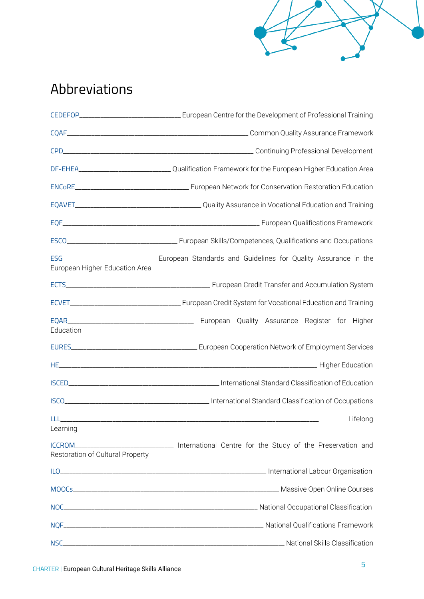# <span id="page-6-0"></span>Abbreviations

|                                                    | DF-EHEA____________________________Qualification Framework for the European Higher Education Area |
|----------------------------------------------------|---------------------------------------------------------------------------------------------------|
|                                                    |                                                                                                   |
|                                                    |                                                                                                   |
|                                                    |                                                                                                   |
|                                                    |                                                                                                   |
| ESG <b>Album</b><br>European Higher Education Area | <b>European Standards and Guidelines for Quality Assurance in the</b>                             |
|                                                    |                                                                                                   |
|                                                    |                                                                                                   |
| Education                                          |                                                                                                   |
|                                                    |                                                                                                   |
|                                                    |                                                                                                   |
|                                                    |                                                                                                   |
|                                                    |                                                                                                   |
|                                                    | Lifelong                                                                                          |
| Learning<br>Restoration of Cultural Property       | ICCROM_____________________________ International Centre for the Study of the Preservation and    |
|                                                    |                                                                                                   |
|                                                    |                                                                                                   |
|                                                    |                                                                                                   |
|                                                    |                                                                                                   |
|                                                    |                                                                                                   |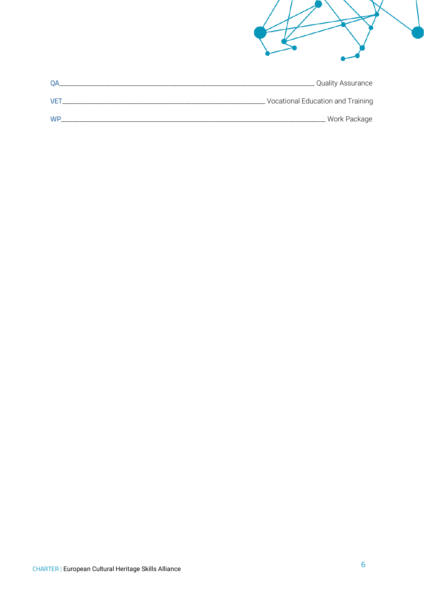| Quality Assurance                 | <b>QA</b> |
|-----------------------------------|-----------|
| Vocational Education and Training | VET       |
| <b>Work Package</b>               | WP.       |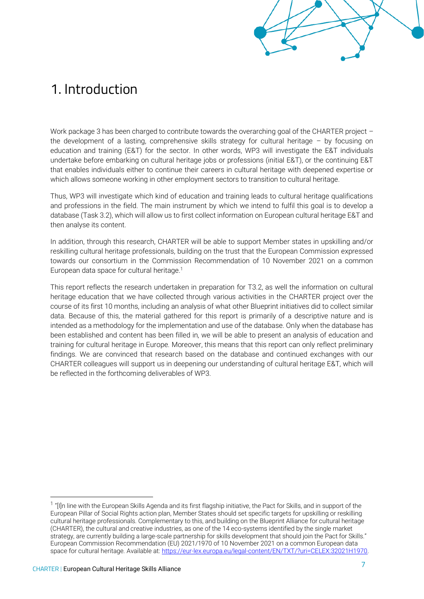# <span id="page-8-0"></span>1. Introduction

Work package 3 has been charged to contribute towards the overarching goal of the CHARTER project the development of a lasting, comprehensive skills strategy for cultural heritage – by focusing on education and training (E&T) for the sector. In other words, WP3 will investigate the E&T individuals undertake before embarking on cultural heritage jobs or professions (initial E&T), or the continuing E&T that enables individuals either to continue their careers in cultural heritage with deepened expertise or which allows someone working in other employment sectors to transition to cultural heritage.

Thus, WP3 will investigate which kind of education and training leads to cultural heritage qualifications and professions in the field. The main instrument by which we intend to fulfil this goal is to develop a database (Task 3.2), which will allow us to first collect information on European cultural heritage E&T and then analyse its content.

In addition, through this research, CHARTER will be able to support Member states in upskilling and/or reskilling cultural heritage professionals, building on the trust that the European Commission expressed towards our consortium in the Commission Recommendation of 10 November 2021 on a common European data space for cultural heritage.<sup>1</sup>

This report reflects the research undertaken in preparation for T3.2, as well the information on cultural heritage education that we have collected through various activities in the CHARTER project over the course of its first 10 months, including an analysis of what other Blueprint initiatives did to collect similar data. Because of this, the material gathered for this report is primarily of a descriptive nature and is intended as a methodology for the implementation and use of the database. Only when the database has been established and content has been filled in, we will be able to present an analysis of education and training for cultural heritage in Europe. Moreover, this means that this report can only reflect preliminary findings. We are convinced that research based on the database and continued exchanges with our CHARTER colleagues will support us in deepening our understanding of cultural heritage E&T, which will be reflected in the forthcoming deliverables of WP3.

<sup>&</sup>lt;sup>1</sup> "[I]n line with the European Skills Agenda and its first flagship initiative, the Pact for Skills, and in support of the European Pillar of Social Rights action plan, Member States should set specific targets for upskilling or reskilling cultural heritage professionals. Complementary to this, and building on the Blueprint Alliance for cultural heritage (CHARTER), the cultural and creative industries, as one of the 14 eco-systems identified by the single market strategy, are currently building a large-scale partnership for skills development that should join the Pact for Skills." European Commission Recommendation (EU) 2021/1970 of 10 November 2021 on a common European data space for cultural heritage. Available at[: https://eur-lex.europa.eu/legal-content/EN/TXT/?uri=CELEX:32021H1970.](https://eur-lex.europa.eu/legal-content/EN/TXT/?uri=CELEX:32021H1970)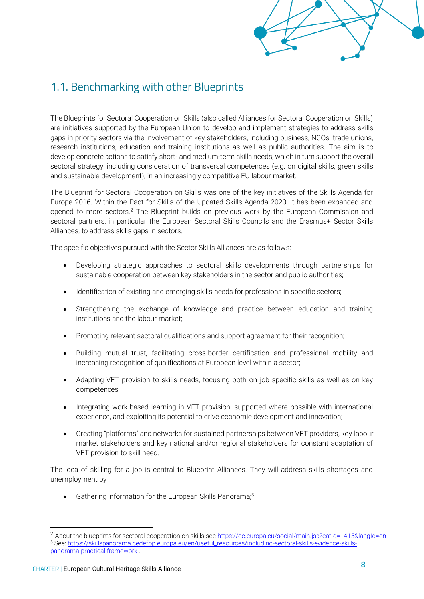## <span id="page-9-0"></span>1.1. Benchmarking with other Blueprints

The Blueprints for Sectoral Cooperation on Skills (also called Alliances for Sectoral Cooperation on Skills) are initiatives supported by the European Union to develop and implement strategies to address skills gaps in priority sectors via the involvement of key stakeholders, including business, NGOs, trade unions, research institutions, education and training institutions as well as public authorities. The aim is to develop concrete actions to satisfy short- and medium-term skills needs, which in turn support the overall sectoral strategy, including consideration of transversal competences (e.g. on digital skills, green skills and sustainable development), in an increasingly competitive EU labour market.

The Blueprint for Sectoral Cooperation on Skills was one of the key initiatives of the Skills Agenda for Europe 2016. Within the Pact for Skills of the Updated Skills Agenda 2020, it has been expanded and opened to more sectors.<sup>2</sup> The Blueprint builds on previous work by the European Commission and sectoral partners, in particular the European Sectoral Skills Councils and the Erasmus+ Sector Skills Alliances, to address skills gaps in sectors.

The specific objectives pursued with the Sector Skills Alliances are as follows:

- Developing strategic approaches to sectoral skills developments through partnerships for sustainable cooperation between key stakeholders in the sector and public authorities;
- Identification of existing and emerging skills needs for professions in specific sectors;
- Strengthening the exchange of knowledge and practice between education and training institutions and the labour market;
- Promoting relevant sectoral qualifications and support agreement for their recognition;
- Building mutual trust, facilitating cross-border certification and professional mobility and increasing recognition of qualifications at European level within a sector;
- Adapting VET provision to skills needs, focusing both on job specific skills as well as on key competences;
- Integrating work-based learning in VET provision, supported where possible with international experience, and exploiting its potential to drive economic development and innovation;
- Creating "platforms" and networks for sustained partnerships between VET providers, key labour market stakeholders and key national and/or regional stakeholders for constant adaptation of VET provision to skill need.

The idea of skilling for a job is central to Blueprint Alliances. They will address skills shortages and unemployment by:

• Gathering information for the European Skills Panorama;<sup>3</sup>

<sup>&</sup>lt;sup>2</sup> About the blueprints for sectoral cooperation on skills se[e https://ec.europa.eu/social/main.jsp?catId=1415&langId=en.](https://ec.europa.eu/social/main.jsp?catId=1415&langId=en)

<sup>3</sup> See: [https://skillspanorama.cedefop.europa.eu/en/useful\\_resources/including-sectoral-skills-evidence-skills](https://skillspanorama.cedefop.europa.eu/en/useful_resources/including-sectoral-skills-evidence-skills-panorama-practical-framework)[panorama-practical-framework](https://skillspanorama.cedefop.europa.eu/en/useful_resources/including-sectoral-skills-evidence-skills-panorama-practical-framework) .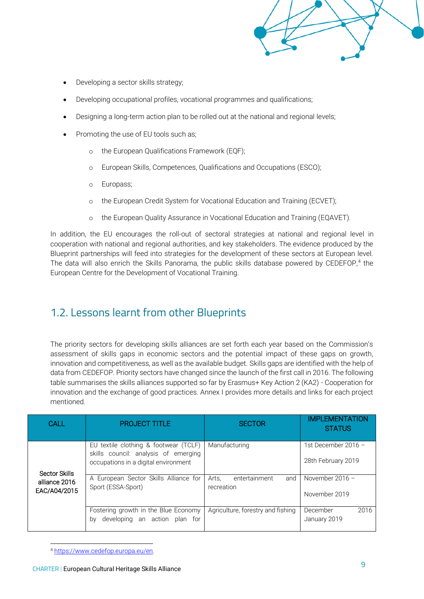- Developing a sector skills strategy;
- Developing occupational profiles, vocational programmes and qualifications;
- Designing a long-term action plan to be rolled out at the national and regional levels;
- Promoting the use of EU tools such as;
	- o the European Qualifications Framework (EQF);
	- o European Skills, Competences, Qualifications and Occupations [\(ESCO\);](https://ec.europa.eu/social/main.jsp?catId=1326&langId=en)
	- o [Europass;](https://ec.europa.eu/social/main.jsp?catId=1266&langId=en)
	- o the European Credit System for Vocational Education and Training (ECVET);
	- o the [European Quality Assurance in Vocational Education and Training \(E](https://www.eqavet.eu/)QAVE[T\).](https://www.eqavet.eu/)

In addition, the EU encourages the roll-out of sectoral strategies at national and regional level in cooperation with national and regional authorities, and key stakeholders. The evidence produced by the Blueprint partnerships will feed into strategies for the development of these sectors at European level. The data will also enrich the Skills Panorama, the public skills database powered by CEDEFOP,<sup>4</sup> the European Centre for the Development of Vocational Training.

## <span id="page-10-0"></span>1.2. Lessons learnt from other Blueprints

The priority sectors for developing skills alliances are set forth each year based on the Commission's assessment of skills gaps in economic sectors and the potential impact of these gaps on growth, innovation and competitiveness, as well as the available budget. Skills gaps are identified with the help of data from CEDEFOP. Priority sectors have changed since the launch of the first call in 2016. The following table summarises the skills alliances supported so far by Erasmus+ Key Action 2 (KA2) - Cooperation for innovation and the exchange of good practices. Annex I provides more details and links for each project mentioned.

| CALL                          | <b>PROJECT TITLE</b>                                                                                                  | <b>SECTOR</b>                               | <b>IMPLEMENTATION</b><br><b>STATUS</b>    |
|-------------------------------|-----------------------------------------------------------------------------------------------------------------------|---------------------------------------------|-------------------------------------------|
| Sector Skills                 | EU textile clothing & footwear (TCLF)<br>skills council: analysis of emerging<br>occupations in a digital environment | Manufacturing                               | 1st December 2016 -<br>28th February 2019 |
| alliance 2016<br>EAC/A04/2015 | A European Sector Skills Alliance for<br>Sport (ESSA-Sport)                                                           | Arts,<br>entertainment<br>and<br>recreation | November 2016 $-$<br>November 2019        |
|                               | Fostering growth in the Blue Economy<br>developing an action plan for<br>bv                                           | Agriculture, forestry and fishing           | 2016<br>December<br>January 2019          |

<sup>4</sup> [https://www.cedefop.europa.eu/en.](https://www.cedefop.europa.eu/en)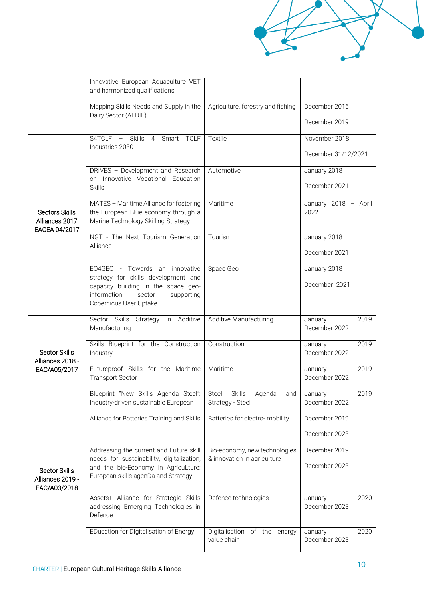|                                                          | Innovative European Aquaculture VET<br>and harmonized qualifications                                                                                                          |                                                              |                                      |
|----------------------------------------------------------|-------------------------------------------------------------------------------------------------------------------------------------------------------------------------------|--------------------------------------------------------------|--------------------------------------|
|                                                          | Mapping Skills Needs and Supply in the<br>Dairy Sector (AEDIL)                                                                                                                | Agriculture, forestry and fishing                            | December 2016<br>December 2019       |
|                                                          | S4TCLF - Skills 4 Smart TCLF<br>Industries 2030                                                                                                                               | Textile                                                      | November 2018<br>December 31/12/2021 |
|                                                          | DRIVES - Development and Research<br>on Innovative Vocational Education<br><b>Skills</b>                                                                                      | Automotive                                                   | January 2018<br>December 2021        |
| <b>Sectors Skills</b><br>Alliances 2017<br>EACEA 04/2017 | MATES - Maritime Alliance for fostering<br>the European Blue economy through a<br>Marine Technology Skilling Strategy                                                         | Maritime                                                     | January 2018 - April<br>2022         |
|                                                          | NGT - The Next Tourism Generation<br>Alliance                                                                                                                                 | Tourism                                                      | January 2018<br>December 2021        |
|                                                          | EO4GEO - Towards an innovative<br>strategy for skills development and<br>capacity building in the space geo-<br>information<br>sector<br>supporting<br>Copernicus User Uptake | Space Geo                                                    | January 2018<br>December 2021        |
|                                                          | Sector Skills Strategy in Additive<br>Manufacturing                                                                                                                           | Additive Manufacturing                                       | 2019<br>January<br>December 2022     |
| <b>Sector Skills</b><br>Alliances 2018 -                 | Skills Blueprint for the Construction<br>Industry                                                                                                                             | Construction                                                 | 2019<br>January<br>December 2022     |
| EAC/A05/2017                                             | Futureproof Skills for the Maritime<br><b>Transport Sector</b>                                                                                                                | Maritime                                                     | 2019<br>January<br>December 2022     |
|                                                          | Blueprint "New Skills Agenda Steel":<br>Industry-driven sustainable European                                                                                                  | Steel Skills<br>Agenda<br>and<br>Strategy - Steel            | 2019<br>January<br>December 2022     |
|                                                          | Alliance for Batteries Training and Skills                                                                                                                                    | Batteries for electro- mobility                              | December 2019<br>December 2023       |
| Sector Skills<br>Alliances 2019 -<br>EAC/A03/2018        | Addressing the current and Future skill<br>needs for sustainability, digitalization,<br>and the bio-Economy in AgricuLture:<br>European skills agenDa and Strategy            | Bio-economy, new technologies<br>& innovation in agriculture | December 2019<br>December 2023       |
|                                                          | Assets+ Alliance for Strategic Skills<br>addressing Emerging Technologies in<br>Defence                                                                                       | Defence technologies                                         | 2020<br>January<br>December 2023     |
|                                                          | EDucation for DIgitalisation of Energy                                                                                                                                        | Digitalisation of the energy<br>value chain                  | January<br>2020<br>December 2023     |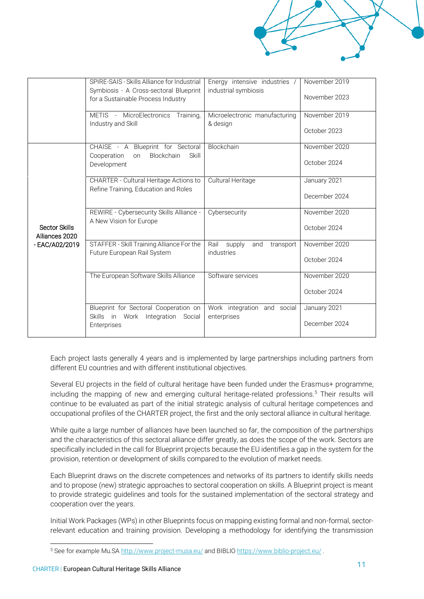|                                 | SPIRE-SAIS - Skills Alliance for Industrial<br>Symbiosis - A Cross-sectoral Blueprint<br>for a Sustainable Process Industry | Energy intensive industries /<br>industrial symbiosis | November 2019<br>November 2023 |
|---------------------------------|-----------------------------------------------------------------------------------------------------------------------------|-------------------------------------------------------|--------------------------------|
|                                 | METIS - MicroElectronics Training,<br>Industry and Skill                                                                    | Microelectronic manufacturing<br>& design             | November 2019<br>October 2023  |
|                                 | CHAISE - A Blueprint for Sectoral<br>Blockchain<br>Skill<br>Cooperation<br>on<br>Development                                | Blockchain                                            | November 2020<br>October 2024  |
|                                 | <b>CHARTER - Cultural Heritage Actions to</b><br>Refine Training, Education and Roles                                       | Cultural Heritage                                     | January 2021<br>December 2024  |
| Sector Skills<br>Alliances 2020 | REWIRE - Cybersecurity Skills Alliance -<br>A New Vision for Europe                                                         | Cybersecurity                                         | November 2020<br>October 2024  |
| - EAC/A02/2019                  | STAFFER - Skill Training Alliance For the<br>Future European Rail System                                                    | Rail<br>supply<br>and<br>transport<br>industries      | November 2020<br>October 2024  |
|                                 | The European Software Skills Alliance                                                                                       | Software services                                     | November 2020<br>October 2024  |
|                                 | Blueprint for Sectoral Cooperation on<br>Skills in Work Integration<br>Social<br>Enterprises                                | Work integration and social<br>enterprises            | January 2021<br>December 2024  |

Each project lasts generally 4 years and is implemented by large partnerships including partners from different EU countries and with different institutional objectives.

Several EU projects in the field of cultural heritage have been funded under the Erasmus+ programme, including the mapping of new and emerging cultural heritage-related professions.<sup>5</sup> Their results will continue to be evaluated as part of the initial strategic analysis of cultural heritage competences and occupational profiles of the CHARTER project, the first and the only sectoral alliance in cultural heritage.

While quite a large number of alliances have been launched so far, the composition of the partnerships and the characteristics of this sectoral alliance differ greatly, as does the scope of the work. Sectors are specifically included in the call for Blueprint projects because the EU identifies a gap in the system for the provision, retention or development of skills compared to the evolution of market needs.

Each Blueprint draws on the discrete competences and networks of its partners to identify skills needs and to propose (new) strategic approaches to sectoral cooperation on skills. A Blueprint project is meant to provide strategic guidelines and tools for the sustained implementation of the sectoral strategy and cooperation over the years.

Initial Work Packages (WPs) in other Blueprints focus on mapping existing formal and non-formal, sectorrelevant education and training provision. Developing a methodology for identifying the transmission

<sup>5</sup> See for example Mu.SA<http://www.project-musa.eu/> and BIBLIO<https://www.biblio-project.eu/> .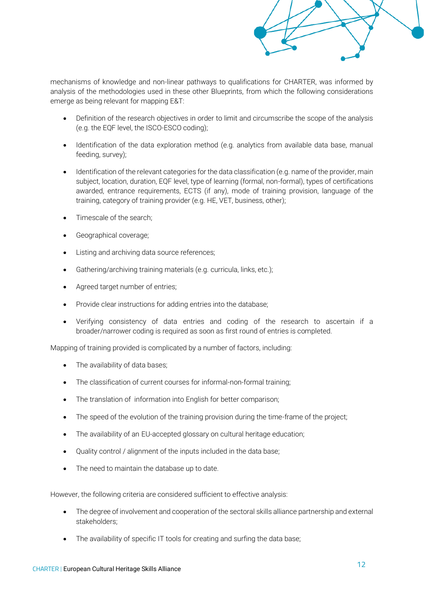

mechanisms of knowledge and non-linear pathways to qualifications for CHARTER, was informed by analysis of the methodologies used in these other Blueprints, from which the following considerations emerge as being relevant for mapping E&T:

- Definition of the research objectives in order to limit and circumscribe the scope of the analysis (e.g. the EQF level, the ISCO-ESCO coding);
- Identification of the data exploration method (e.g. analytics from available data base, manual feeding, survey);
- Identification of the relevant categories for the data classification (e.g. name of the provider, main subject, location, duration, EQF level, type of learning (formal, non-formal), types of certifications awarded, entrance requirements, ECTS (if any), mode of training provision, language of the training, category of training provider (e.g. HE, VET, business, other);
- Timescale of the search;
- Geographical coverage;
- Listing and archiving data source references;
- Gathering/archiving training materials (e.g. curricula, links, etc.);
- Agreed target number of entries;
- Provide clear instructions for adding entries into the database;
- Verifying consistency of data entries and coding of the research to ascertain if a broader/narrower coding is required as soon as first round of entries is completed.

Mapping of training provided is complicated by a number of factors, including:

- The availability of data bases;
- The classification of current courses for informal-non-formal training;
- The translation of information into English for better comparison;
- The speed of the evolution of the training provision during the time-frame of the project;
- The availability of an EU-accepted glossary on cultural heritage education;
- Quality control / alignment of the inputs included in the data base;
- The need to maintain the database up to date.

However, the following criteria are considered sufficient to effective analysis:

- The degree of involvement and cooperation of the sectoral skills alliance partnership and external stakeholders;
- The availability of specific IT tools for creating and surfing the data base;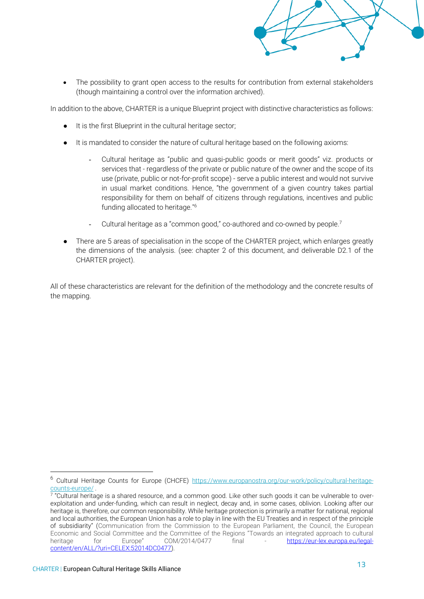

The possibility to grant open access to the results for contribution from external stakeholders (though maintaining a control over the information archived).

In addition to the above, CHARTER is a unique Blueprint project with distinctive characteristics as follows:

- It is the first Blueprint in the cultural heritage sector;
- It is mandated to consider the nature of cultural heritage based on the following axioms:
	- Cultural heritage as "public and quasi-public goods or merit goods" viz. products or services that - regardless of the private or public nature of the owner and the scope of its use (private, public or not-for-profit scope) - serve a public interest and would not survive in usual market conditions. Hence, "the government of a given country takes partial responsibility for them on behalf of citizens through regulations, incentives and public funding allocated to heritage."<sup>6</sup>
	- Cultural heritage as a "common good," co-authored and co-owned by people.<sup>7</sup>
- There are 5 areas of specialisation in the scope of the CHARTER project, which enlarges greatly the dimensions of the analysis. (see: chapter 2 of this document, and deliverable D2.1 of the CHARTER project).

All of these characteristics are relevant for the definition of the methodology and the concrete results of the mapping.

<sup>6</sup> Cultural Heritage Counts for Europe (CHCFE) [https://www.europanostra.org/our-work/policy/cultural-heritage](https://www.europanostra.org/our-work/policy/cultural-heritage-counts-europe/)[counts-europe/](https://www.europanostra.org/our-work/policy/cultural-heritage-counts-europe/) .

<sup>7</sup> "Cultural heritage is a shared resource, and a common good. Like other such goods it can be vulnerable to overexploitation and under-funding, which can result in neglect, decay and, in some cases, oblivion. Looking after our heritage is, therefore, our common responsibility. While heritage protection is primarily a matter for national, regional and local authorities, the European Union has a role to play in line with the EU Treaties and in respect of the principle of subsidiarity" (Communication from the Commission to the European Parliament, the Council, the European Economic and Social Committee and the Committee of the Regions "Towards an integrated approach to cultural heritage for Europe" COM/2014/0477 final - [https://eur-lex.europa.eu/legal](https://eur-lex.europa.eu/legal-content/en/ALL/?uri=CELEX:52014DC0477)[content/en/ALL/?uri=CELEX:52014DC0477\)](https://eur-lex.europa.eu/legal-content/en/ALL/?uri=CELEX:52014DC0477).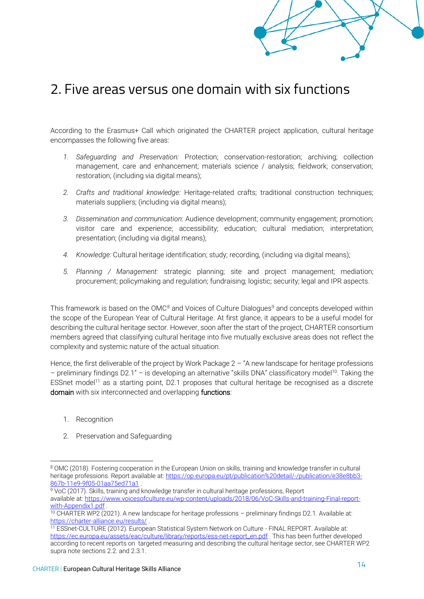# <span id="page-15-0"></span>2. Five areas versus one domain with six functions

According to the Erasmus+ Call which originated the CHARTER project application, cultural heritage encompasses the following five areas:

- *1. Safeguarding and Preservation:* Protection; conservation-restoration; archiving; collection management, care and enhancement; materials science / analysis; fieldwork; conservation; restoration; (including via digital means);
- *2. Crafts and traditional knowledge:* Heritage-related crafts; traditional construction techniques; materials suppliers; (including via digital means);
- *3. Dissemination and communication:* Audience development; community engagement; promotion; visitor care and experience; accessibility; education; cultural mediation; interpretation; presentation; (including via digital means);
- *4. Knowledge:* Cultural heritage identification; study; recording, (including via digital means);
- *5. Planning / Management:* strategic planning; site and project management; mediation; procurement; policymaking and regulation; fundraising; logistic; security; legal and IPR aspects.

This framework is based on the OMC<sup>8</sup> and Voices of Culture Dialogues<sup>9</sup> and concepts developed within the scope of the European Year of Cultural Heritage. At first glance, it appears to be a useful model for describing the cultural heritage sector. However, soon after the start of the project, CHARTER consortium members agreed that classifying cultural heritage into five mutually exclusive areas does not reflect the complexity and systemic nature of the actual situation.

Hence, the first deliverable of the project by Work Package  $2 - r$  a new landscape for heritage professions – preliminary findings D2.1" *–* is developing an alternative "skills DNA" classificatory model<sup>10</sup>. Taking the ESSnet model<sup>11</sup> as a starting point, D2.1 proposes that cultural heritage be recognised as a discrete domain with six interconnected and overlapping functions:

- 1. Recognition
- 2. Preservation and Safeguarding

<sup>8</sup> OMC (2018). Fostering cooperation in the European Union on skills, training and knowledge transfer in cultural heritage professions. Report available at: [https://op.europa.eu/pt/publication%20detail/-/publication/e38e8bb3-](https://op.europa.eu/pt/publication%20detail/-/publication/e38e8bb3-867b-11e9-9f05-01aa75ed71a1) [867b-11e9-9f05-01aa75ed71a1](https://op.europa.eu/pt/publication%20detail/-/publication/e38e8bb3-867b-11e9-9f05-01aa75ed71a1) .

<sup>9</sup> VoC (2017). Skills, training and knowledge transfer in cultural heritage professions, Report available at: [https://www.voicesofculture.eu/wp-content/uploads/2018/06/VoC-Skills-and-training-Final-report](https://www.voicesofculture.eu/wp-content/uploads/2018/06/VoC-Skills-and-training-Final-report-with-Appendix1.pdf)[with-Appendix1.pdf](https://www.voicesofculture.eu/wp-content/uploads/2018/06/VoC-Skills-and-training-Final-report-with-Appendix1.pdf) .

<sup>10</sup> CHARTER WP2 (2021). A new landscape for heritage professions – preliminary findings D2.1*.* Available at: <https://charter-alliance.eu/results/> .

<sup>11</sup> ESSnet-CULTURE (2012). European Statistical System Network on Culture - FINAL REPORT. Available at: [https://ec.europa.eu/assets/eac/culture/library/reports/ess-net-report\\_en.pdf](https://ec.europa.eu/assets/eac/culture/library/reports/ess-net-report_en.pdf) . This has been further developed according to recent reports on targeted measuring and describing the cultural heritage sector, see CHARTER WP2 supra note sections 2.2. and 2.3.1.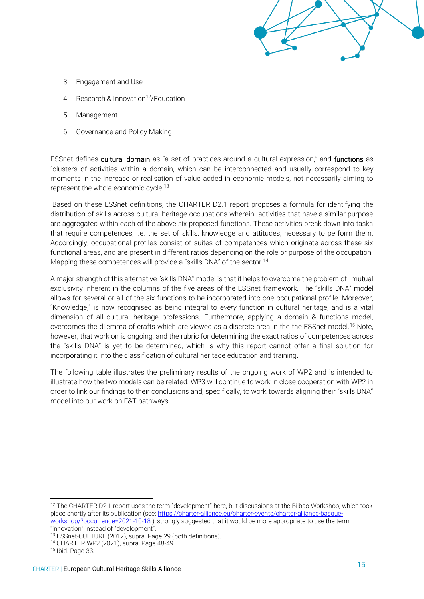- 3. Engagement and Use
- 4 Research & Innovation<sup>12</sup>/Education
- 5. Management
- 6. Governance and Policy Making

ESSnet defines cultural domain as "a set of practices around a cultural expression," and functions as "clusters of activities within a domain, which can be interconnected and usually correspond to key moments in the increase or realisation of value added in economic models, not necessarily aiming to represent the whole economic cycle.<sup>13</sup>

Based on these ESSnet definitions, the CHARTER D2.1 report proposes a formula for identifying the distribution of skills across cultural heritage occupations wherein activities that have a similar purpose are aggregated within each of the above six proposed functions. These activities break down into tasks that require competences, i.e. the set of skills, knowledge and attitudes, necessary to perform them. Accordingly, occupational profiles consist of suites of competences which originate across these six functional areas, and are present in different ratios depending on the role or purpose of the occupation. Mapping these competences will provide a "skills DNA" of the sector.<sup>14</sup>

A major strength of this alternative ''skills DNA'' model is that it helps to overcome the problem of mutual exclusivity inherent in the columns of the five areas of the ESSnet framework. The "skills DNA" model allows for several or all of the six functions to be incorporated into one occupational profile. Moreover, "Knowledge," is now recognised as being integral to *every* function in cultural heritage, and is a vital dimension of all cultural heritage professions. Furthermore, applying a domain & functions model, overcomes the dilemma of crafts which are viewed as a discrete area in the the ESSnet model.<sup>15</sup> Note, however, that work on is ongoing, and the rubric for determining the exact ratios of competences across the "skills DNA" is yet to be determined, which is why this report cannot offer a final solution for incorporating it into the classification of cultural heritage education and training.

The following table illustrates the preliminary results of the ongoing work of WP2 and is intended to illustrate how the two models can be related. WP3 will continue to work in close cooperation with WP2 in order to link our findings to their conclusions and, specifically, to work towards aligning their "skills DNA" model into our work on E&T pathways.

<sup>&</sup>lt;sup>12</sup> The CHARTER D2.1 report uses the term "development" here, but discussions at the Bilbao Workshop, which took place shortly after its publication (see: [https://charter-alliance.eu/charter-events/charter-alliance-basque](https://charter-alliance.eu/charter-events/charter-alliance-basque-workshop/?occurrence=2021-10-18)[workshop/?occurrence=2021-10-18](https://charter-alliance.eu/charter-events/charter-alliance-basque-workshop/?occurrence=2021-10-18) ), strongly suggested that it would be more appropriate to use the term "innovation" instead of "development".

<sup>13</sup> ESSnet‐CULTURE (2012), supra. Page 29 (both definitions).

<sup>14</sup> CHARTER WP2 (2021), supra. Page 48-49.

<sup>15</sup> Ibid. Page 33.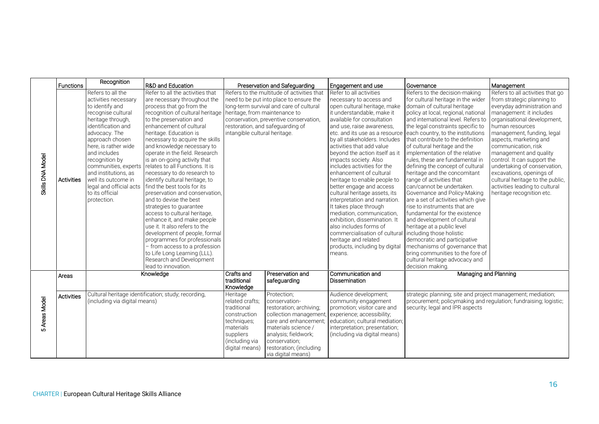|                  | <b>Functions</b>  | Recognition                                                                                                                                                                                                                                                                                                                                                     | R&D and Education                                                                                                                                                                                                                                                                                                                                                                                                                                                                                                                                                                                                                                                                                                                                                                                                                                                  |                                                                                                                                                                                                                                                                                  | Preservation and Safeguarding                                                                                                                                                                                               | Engagement and use                                                                                                                                                                                                                                                                                                                                                                                                                                                                                                                                                                                                                                                                                                                                                             | Governance                                                                                                                                                                                                                                                                                                                                                                                                                                                                                                                                                                                                                                                                                                                                                                                                                                                                                      | Management                                                                                                                                                                                                                                                                                                                                                                                                                                                                        |
|------------------|-------------------|-----------------------------------------------------------------------------------------------------------------------------------------------------------------------------------------------------------------------------------------------------------------------------------------------------------------------------------------------------------------|--------------------------------------------------------------------------------------------------------------------------------------------------------------------------------------------------------------------------------------------------------------------------------------------------------------------------------------------------------------------------------------------------------------------------------------------------------------------------------------------------------------------------------------------------------------------------------------------------------------------------------------------------------------------------------------------------------------------------------------------------------------------------------------------------------------------------------------------------------------------|----------------------------------------------------------------------------------------------------------------------------------------------------------------------------------------------------------------------------------------------------------------------------------|-----------------------------------------------------------------------------------------------------------------------------------------------------------------------------------------------------------------------------|--------------------------------------------------------------------------------------------------------------------------------------------------------------------------------------------------------------------------------------------------------------------------------------------------------------------------------------------------------------------------------------------------------------------------------------------------------------------------------------------------------------------------------------------------------------------------------------------------------------------------------------------------------------------------------------------------------------------------------------------------------------------------------|-------------------------------------------------------------------------------------------------------------------------------------------------------------------------------------------------------------------------------------------------------------------------------------------------------------------------------------------------------------------------------------------------------------------------------------------------------------------------------------------------------------------------------------------------------------------------------------------------------------------------------------------------------------------------------------------------------------------------------------------------------------------------------------------------------------------------------------------------------------------------------------------------|-----------------------------------------------------------------------------------------------------------------------------------------------------------------------------------------------------------------------------------------------------------------------------------------------------------------------------------------------------------------------------------------------------------------------------------------------------------------------------------|
| Skills DNA Model | Activities        | Refers to all the<br>activities necessary<br>to identify and<br>recognise cultural<br>heritage through,<br>identification and<br>advocacy. The<br>approach chosen<br>here, is rather wide<br>and includes<br>recognition by<br>communities, experts<br>and institutions, as<br>well its outcome in<br>legal and official acts<br>to its official<br>protection. | Refer to all the activities that<br>are necessary throughout the<br>process that go from the<br>recognition of cultural heritage<br>to the preservation and<br>enhancement of cultural<br>heritage. Education is<br>necessary to acquire the skills<br>and knowledge necessary to<br>operate in the field. Research<br>is an on-going activity that<br>relates to all Functions. It is<br>necessary to do research to<br>identify cultural heritage, to<br>find the best tools for its<br>preservation and conservation.<br>and to devise the best<br>strategies to guarantee<br>access to cultural heritage.<br>enhance it, and make people<br>use it. It also refers to the<br>development of people, formal<br>programmes for professionals<br>- from access to a profession<br>to Life Long Learning (LLL).<br>Research and Development<br>lead to innovation. | Refers to the multitude of activities that<br>need to be put into place to ensure the<br>long-term survival and care of cultural<br>heritage, from maintenance to<br>conservation, preventive conservation,<br>restoration, and safeguarding of<br>intangible cultural heritage. |                                                                                                                                                                                                                             | Refer to all activities<br>necessary to access and<br>open cultural heritage, make<br>it understandable, make it<br>available for consultation<br>and use, raise awareness.<br>etc. and its use as a resource<br>by all stakeholders. Includes<br>activities that add value<br>beyond the action itself as it<br>impacts society. Also<br>includes activities for the<br>enhancement of cultural<br>heritage to enable people to<br>better engage and access<br>cultural heritage assets, its<br>interpretation and narration.<br>It takes place through<br>mediation, communication,<br>exhibition, dissemination. It<br>also includes forms of<br>commercialisation of cultural including those holistic<br>heritage and related<br>products, including by digital<br>means. | Refers to the decision-making<br>for cultural heritage in the wider<br>domain of cultural heritage<br>policy at local, regional, national<br>and international level. Refers to<br>the legal constraints specific to<br>each country, to the institutions<br>that contribute to the definition<br>of cultural heritage and the<br>implementation of the relative<br>rules, these are fundamental in<br>defining the concept of cultural<br>heritage and the concomitant<br>range of activities that<br>can/cannot be undertaken.<br>Governance and Policy-Making<br>are a set of activities which give<br>rise to instruments that are<br>fundamental for the existence<br>and development of cultural<br>heritage at a public level<br>democratic and participative<br>mechanisms of governance that<br>bring communities to the fore of<br>cultural heritage advocacy and<br>decision making. | Refers to all activities that go<br>from strategic planning to<br>everyday administration and<br>management: it includes<br>organisational development,<br>human resources<br>management, funding, legal<br>aspects, marketing and<br>communication, risk<br>management and quality<br>control. It can support the<br>undertaking of conservation,<br>excavations, openings of<br>cultural heritage to the public,<br>activities leading to cultural<br>heritage recognition etc. |
|                  | Areas             |                                                                                                                                                                                                                                                                                                                                                                 | Knowledge                                                                                                                                                                                                                                                                                                                                                                                                                                                                                                                                                                                                                                                                                                                                                                                                                                                          | Crafts and<br>traditional<br>Knowledge                                                                                                                                                                                                                                           | Preservation and<br>safeguarding                                                                                                                                                                                            | Communication and<br><b>Dissemination</b>                                                                                                                                                                                                                                                                                                                                                                                                                                                                                                                                                                                                                                                                                                                                      | Managing and Planning                                                                                                                                                                                                                                                                                                                                                                                                                                                                                                                                                                                                                                                                                                                                                                                                                                                                           |                                                                                                                                                                                                                                                                                                                                                                                                                                                                                   |
| 5 Areas Model    | <b>Activities</b> | Cultural heritage identification; study; recording,<br>(including via digital means)                                                                                                                                                                                                                                                                            |                                                                                                                                                                                                                                                                                                                                                                                                                                                                                                                                                                                                                                                                                                                                                                                                                                                                    | Heritage<br>related crafts:<br>traditional<br>construction<br>techniques;<br>materials<br>suppliers<br>(including via<br>digital means)                                                                                                                                          | Protection;<br>conservation-<br>restoration; archiving;<br>collection management,<br>care and enhancement:<br>materials science /<br>analysis; fieldwork;<br>conservation:<br>restoration; (including<br>via digital means) | Audience development;<br>community engagement<br>promotion: visitor care and<br>experience; accessibility;<br>education; cultural mediation;<br>interpretation; presentation;<br>(including via digital means)                                                                                                                                                                                                                                                                                                                                                                                                                                                                                                                                                                 | strategic planning; site and project management; mediation;<br>procurement; policymaking and regulation; fundraising; logistic;<br>security; legal and IPR aspects                                                                                                                                                                                                                                                                                                                                                                                                                                                                                                                                                                                                                                                                                                                              |                                                                                                                                                                                                                                                                                                                                                                                                                                                                                   |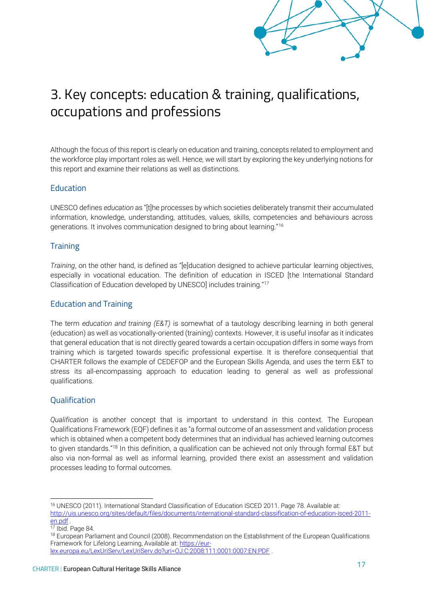# <span id="page-18-0"></span>3. Key concepts: education & training, qualifications, occupations and professions

Although the focus of this report is clearly on education and training, concepts related to employment and the workforce play important roles as well. Hence, we will start by exploring the key underlying notions for this report and examine their relations as well as distinctions.

## **Education**

UNESCO defines *education* as "[t]he processes by which societies deliberately transmit their accumulated information, knowledge, understanding, attitudes, values, skills, competencies and behaviours across generations. It involves communication designed to bring about learning."<sup>16</sup>

## **Training**

*Training*, on the other hand, is defined as "[e]ducation designed to achieve particular learning objectives, especially in vocational education. The definition of education in ISCED [the International Standard Classification of Education developed by UNESCO] includes training."<sup>17</sup>

## Education and Training

The term *education and training (E&T)* is somewhat of a tautology describing learning in both general (education) as well as vocationally-oriented (training) contexts. However, it is useful insofar as it indicates that general education that is not directly geared towards a certain occupation differs in some ways from training which is targeted towards specific professional expertise. It is therefore consequential that CHARTER follows the example of CEDEFOP and the European Skills Agenda, and uses the term E&T to stress its all-encompassing approach to education leading to general as well as professional qualifications.

## **Qualification**

*Qualification* is another concept that is important to understand in this context. The European Qualifications Framework (EQF) defines it as "a formal outcome of an assessment and validation process which is obtained when a competent body determines that an individual has achieved learning outcomes to given standards."<sup>18</sup> In this definition, a qualification can be achieved not only through formal E&T but also via non-formal as well as informal learning, provided there exist an assessment and validation processes leading to formal outcomes.

<sup>16</sup> UNESCO (2011). International Standard Classification of Education ISCED 2011. Page 78. Available at: [http://uis.unesco.org/sites/default/files/documents/international-standard-classification-of-education-isced-2011](http://uis.unesco.org/sites/default/files/documents/international-standard-classification-of-education-isced-2011-en.pdf) [en.pdf](http://uis.unesco.org/sites/default/files/documents/international-standard-classification-of-education-isced-2011-en.pdf) .

<sup>17</sup> Ibid. Page 84.

<sup>&</sup>lt;sup>18</sup> European Parliament and Council (2008). Recommendation on the Establishment of the European Qualifications Framework for Lifelong Learning, Available at: [https://eur-](https://eur-lex.europa.eu/LexUriServ/LexUriServ.do?uri=OJ:C:2008:111:0001:0007:EN:PDF)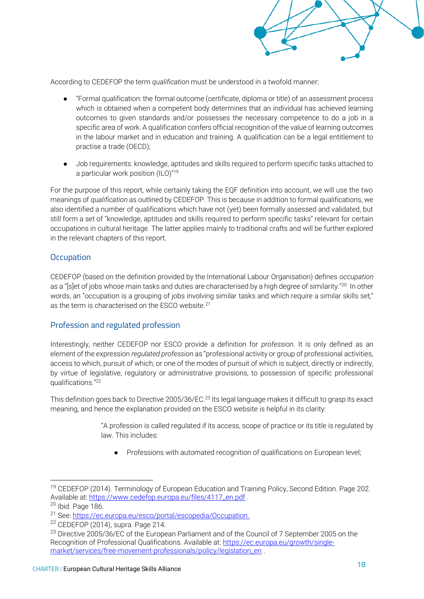

According to CEDEFOP the term *qualification* must be understood in a twofold manner:

- "Formal qualification: the formal outcome (certificate, diploma or title) of an assessment process which is obtained when a competent body determines that an individual has achieved learning outcomes to given standards and/or possesses the necessary competence to do a job in a specific area of work. A qualification confers official recognition of the value of learning outcomes in the labour market and in education and training. A qualification can be a legal entitlement to practise a trade (OECD);
- Job requirements: knowledge, aptitudes and skills required to perform specific tasks attached to a particular work position (ILO)"<sup>19</sup>

For the purpose of this report, while certainly taking the EQF definition into account, we will use the two meanings of *qualification* as outlined by CEDEFOP. This is because in addition to formal qualifications, we also identified a number of qualifications which have not (yet) been formally assessed and validated, but still form a set of "knowledge, aptitudes and skills required to perform specific tasks" relevant for certain occupations in cultural heritage. The latter applies mainly to traditional crafts and will be further explored in the relevant chapters of this report.

#### **Occupation**

CEDEFOP (based on the definition provided by the International Labour Organisation) defines *occupation* as a "[s]et of jobs whose main tasks and duties are characterised by a high degree of similarity."<sup>20</sup> In other words, an "occupation is a grouping of jobs involving similar tasks and which require a similar skills set," as the term is characterised on the ESCO website.<sup>21</sup>

#### Profession and regulated profession

Interestingly, neither CEDEFOP nor ESCO provide a definition for *profession*. It is only defined as an element of the expression *regulated profession* as "professional activity or group of professional activities, access to which, pursuit of which, or one of the modes of pursuit of which is subject, directly or indirectly, by virtue of legislative, regulatory or administrative provisions, to possession of specific professional qualifications."<sup>22</sup>

This definition goes back to Directive 2005/36/EC.<sup>23</sup> Its legal language makes it difficult to grasp its exact meaning, and hence the explanation provided on the ESCO website is helpful in its clarity:

> "A profession is called regulated if its access, scope of practice or its title is regulated by law. This includes:

● Professions with automated recognition of qualifications on European level;

<sup>&</sup>lt;sup>19</sup> CEDEFOP (2014). Terminology of European Education and Training Policy, Second Edition. Page 202. Available at: [https://www.cedefop.europa.eu/files/4117\\_en.pdf](https://www.cedefop.europa.eu/files/4117_en.pdf) .

 $20$  Ibid. Page 186.

<sup>21</sup> See: [https://ec.europa.eu/esco/portal/escopedia/Occupation.](https://ec.europa.eu/esco/portal/escopedia/Occupation)

 $22$  CEDEFOP (2014), supra. Page 214.

<sup>&</sup>lt;sup>23</sup> Directive 2005/36/EC of the European Parliament and of the Council of 7 September 2005 on the Recognition of Professional Qualifications. Available at: [https://ec.europa.eu/growth/single](https://ec.europa.eu/growth/single-market/services/free-movement-professionals/policy/legislation_en)[market/services/free-movement-professionals/policy/legislation\\_en](https://ec.europa.eu/growth/single-market/services/free-movement-professionals/policy/legislation_en)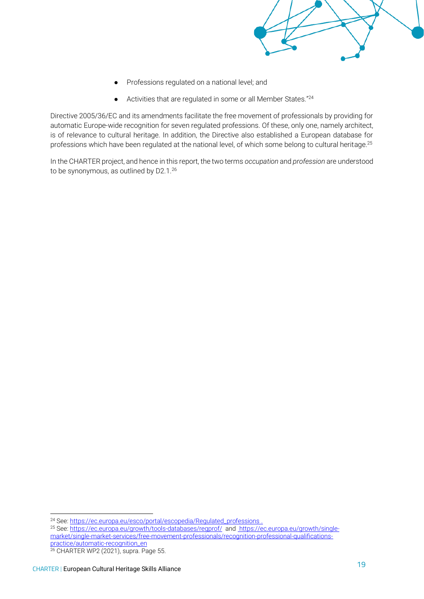

- Professions regulated on a national level; and
- $\bullet$  Activities that are regulated in some or all Member States."<sup>24</sup>

Directive 2005/36/EC and its amendments facilitate the free movement of professionals by providing for automatic Europe-wide recognition for seven regulated professions. Of these, only one, namely architect, is of relevance to cultural heritage. In addition, the Directive also established a European database for professions which have been regulated at the national level, of which some belong to cultural heritage.<sup>25</sup>

In the CHARTER project, and hence in this report, the two terms *occupation* and *profession* are understood to be synonymous, as outlined by D2.1.<sup>26</sup>

<sup>24</sup> See[: https://ec.europa.eu/esco/portal/escopedia/Regulated\\_professions](https://ec.europa.eu/esco/portal/escopedia/Regulated_professions) .

<sup>&</sup>lt;sup>25</sup> See[: https://ec.europa.eu/growth/tools-databases/regprof/](https://ec.europa.eu/growth/tools-databases/regprof/) and [https://ec.europa.eu/growth/single](https://ec.europa.eu/growth/single-market/single-market-services/free-movement-professionals/recognition-professional-qualifications-practice/automatic-recognition_en)[market/single-market-services/free-movement-professionals/recognition-professional-qualifications](https://ec.europa.eu/growth/single-market/single-market-services/free-movement-professionals/recognition-professional-qualifications-practice/automatic-recognition_en)[practice/automatic-recognition\\_en](https://ec.europa.eu/growth/single-market/single-market-services/free-movement-professionals/recognition-professional-qualifications-practice/automatic-recognition_en)

<sup>26</sup> CHARTER WP2 (2021), supra. Page 55.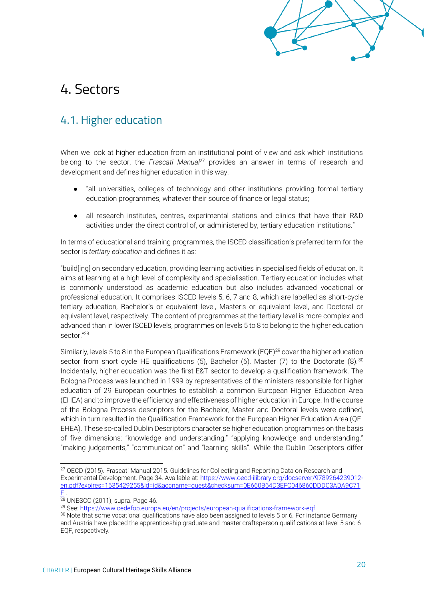

# <span id="page-21-0"></span>4. Sectors

## <span id="page-21-1"></span>4.1. Higher education

When we look at higher education from an institutional point of view and ask which institutions belong to the sector, the *Frascati Manual*<sup>27</sup> provides an answer in terms of research and development and defines higher education in this way:

- "all universities, colleges of technology and other institutions providing formal tertiary education programmes, whatever their source of finance or legal status;
- all research institutes, centres, experimental stations and clinics that have their R&D activities under the direct control of, or administered by, tertiary education institutions."

In terms of educational and training programmes, the ISCED classification's preferred term for the sector is *tertiary education* and defines it as:

"build[ing] on secondary education, providing learning activities in specialised fields of education. It aims at learning at a high level of complexity and specialisation. Tertiary education includes what is commonly understood as academic education but also includes advanced vocational or professional education. It comprises ISCED levels 5, 6, 7 and 8, which are labelled as short-cycle tertiary education, Bachelor's or equivalent level, Master's or equivalent level, and Doctoral or equivalent level, respectively. The content of programmes at the tertiary level is more complex and advanced than in lower ISCED levels, programmes on levels 5 to 8 to belong to the higher education sector<sup>"28</sup>

Similarly, levels 5 to 8 in the European Qualifications Framework (EQF)<sup>29</sup> cover the higher education sector from short cycle HE qualifications (5), Bachelor (6), Master (7) to the Doctorate (8).<sup>30</sup> Incidentally, higher education was the first E&T sector to develop a qualification framework. The Bologna Process was launched in 1999 by representatives of the ministers responsible for higher education of 29 European countries to establish a common European Higher Education Area (EHEA) and to improve the efficiency and effectiveness of higher education in Europe. In the course of the Bologna Process descriptors for the Bachelor, Master and Doctoral levels were defined, which in turn resulted in the Qualification Framework for the European Higher Education Area (QF-EHEA). These so-called Dublin Descriptors characterise higher education programmes on the basis of five dimensions: "knowledge and understanding," "applying knowledge and understanding," "making judgements," "communication" and "learning skills". While the Dublin Descriptors differ

<sup>&</sup>lt;sup>27</sup> OECD (2015). Frascati Manual 2015. Guidelines for Collecting and Reporting Data on Research and Experimental Development. Page 34. Available at: [https://www.oecd-ilibrary.org/docserver/9789264239012](https://www.oecd-ilibrary.org/docserver/9789264239012-en.pdf?expires=1635429255&id=id&accname=guest&checksum=0E660B64D3EFC046860DDDC3ADA9C71E) [en.pdf?expires=1635429255&id=id&accname=guest&checksum=0E660B64D3EFC046860DDDC3ADA9C71](https://www.oecd-ilibrary.org/docserver/9789264239012-en.pdf?expires=1635429255&id=id&accname=guest&checksum=0E660B64D3EFC046860DDDC3ADA9C71E) [E](https://www.oecd-ilibrary.org/docserver/9789264239012-en.pdf?expires=1635429255&id=id&accname=guest&checksum=0E660B64D3EFC046860DDDC3ADA9C71E) .

<sup>28</sup> UNESCO (2011), supra. Page 46.

<sup>&</sup>lt;sup>29</sup> See[: https://www.cedefop.europa.eu/en/projects/european-qualifications-framework-eqf](https://www.cedefop.europa.eu/en/projects/european-qualifications-framework-eqf)

<sup>&</sup>lt;sup>30</sup> Note that some vocational qualifications have also been assigned to levels 5 or 6. For instance Germany and Austria have placed the apprenticeship graduate and master craftsperson qualifications at level 5 and 6 EQF, respectively.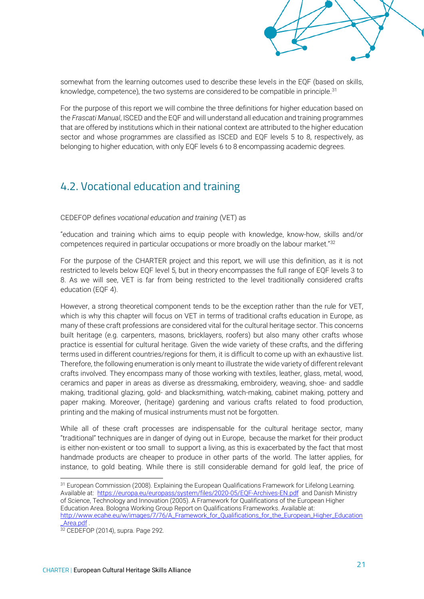

somewhat from the learning outcomes used to describe these levels in the EQF (based on skills, knowledge, competence), the two systems are considered to be compatible in principle.<sup>31</sup>

For the purpose of this report we will combine the three definitions for higher education based on the *Frascati Manual*, ISCED and the EQF and will understand all education and training programmes that are offered by institutions which in their national context are attributed to the higher education sector and whose programmes are classified as ISCED and EQF levels 5 to 8, respectively, as belonging to higher education, with only EQF levels 6 to 8 encompassing academic degrees.

## <span id="page-22-0"></span>4.2. Vocational education and training

CEDEFOP defines *vocational education and training* (VET) as

"education and training which aims to equip people with knowledge, know-how, skills and/or competences required in particular occupations or more broadly on the labour market."<sup>32</sup>

For the purpose of the CHARTER project and this report, we will use this definition, as it is not restricted to levels below EQF level 5, but in theory encompasses the full range of EQF levels 3 to 8. As we will see, VET is far from being restricted to the level traditionally considered crafts education (EQF 4).

However, a strong theoretical component tends to be the exception rather than the rule for VET, which is why this chapter will focus on VET in terms of traditional crafts education in Europe, as many of these craft professions are considered vital for the cultural heritage sector. This concerns built heritage (e.g. carpenters, masons, bricklayers, roofers) but also many other crafts whose practice is essential for cultural heritage. Given the wide variety of these crafts, and the differing terms used in different countries/regions for them, it is difficult to come up with an exhaustive list. Therefore, the following enumeration is only meant to illustrate the wide variety of different relevant crafts involved. They encompass many of those working with textiles, leather, glass, metal, wood, ceramics and paper in areas as diverse as dressmaking, embroidery, weaving, shoe- and saddle making, traditional glazing, gold- and blacksmithing, watch-making, cabinet making, pottery and paper making. Moreover, (heritage) gardening and various crafts related to food production, printing and the making of musical instruments must not be forgotten.

While all of these craft processes are indispensable for the cultural heritage sector, many "traditional" techniques are in danger of dying out in Europe, because the market for their product is either non-existent or too small to support a living, as this is exacerbated by the fact that most handmade products are cheaper to produce in other parts of the world. The latter applies, for instance, to gold beating. While there is still considerable demand for gold leaf, the price of

<sup>&</sup>lt;sup>31</sup> European Commission (2008). Explaining the European Qualifications Framework for Lifelong Learning. Available at:<https://europa.eu/europass/system/files/2020-05/EQF-Archives-EN.pdf>and Danish Ministry of Science, Technology and Innovation (2005). A Framework for Qualifications of the European Higher Education Area. Bologna Working Group Report on Qualifications Frameworks. Available at: [http://www.ecahe.eu/w/images/7/76/A\\_Framework\\_for\\_Qualifications\\_for\\_the\\_European\\_Higher\\_Education](http://www.ecahe.eu/w/images/7/76/A_Framework_for_Qualifications_for_the_European_Higher_Education_Area.pdf) [\\_Area.pdf](http://www.ecahe.eu/w/images/7/76/A_Framework_for_Qualifications_for_the_European_Higher_Education_Area.pdf) .

<sup>32</sup> CEDEFOP (2014), supra. Page 292.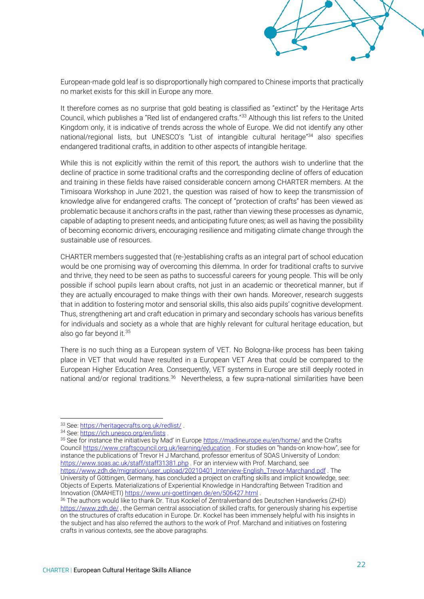

European-made gold leaf is so disproportionally high compared to Chinese imports that practically no market exists for this skill in Europe any more.

It therefore comes as no surprise that gold beating is classified as "extinct" by the Heritage Arts Council, which publishes a "Red list of endangered crafts."<sup>33</sup> Although this list refers to the United Kingdom only, it is indicative of trends across the whole of Europe. We did not identify any other national/regional lists, but UNESCO's "List of intangible cultural heritage"<sup>34</sup> also specifies endangered traditional crafts, in addition to other aspects of intangible heritage.

While this is not explicitly within the remit of this report, the authors wish to underline that the decline of practice in some traditional crafts and the corresponding decline of offers of education and training in these fields have raised considerable concern among CHARTER members. At the Timisoara Workshop in June 2021, the question was raised of how to keep the transmission of knowledge alive for endangered crafts. The concept of "protection of crafts" has been viewed as problematic because it anchors crafts in the past, rather than viewing these processes as dynamic, capable of adapting to present needs, and anticipating future ones; as well as having the possibility of becoming economic drivers, encouraging resilience and mitigating climate change through the sustainable use of resources.

CHARTER members suggested that (re-)establishing crafts as an integral part of school education would be one promising way of overcoming this dilemma. In order for traditional crafts to survive and thrive, they need to be seen as paths to successful careers for young people. This will be only possible if school pupils learn about crafts, not just in an academic or theoretical manner, but if they are actually encouraged to make things with their own hands. Moreover, research suggests that in addition to fostering motor and sensorial skills, this also aids pupils' cognitive development. Thus, strengthening art and craft education in primary and secondary schools has various benefits for individuals and society as a whole that are highly relevant for cultural heritage education, but also go far beyond it.<sup>35</sup>

There is no such thing as a European system of VET. No Bologna-like process has been taking place in VET that would have resulted in a European VET Area that could be compared to the European Higher Education Area. Consequently, VET systems in Europe are still deeply rooted in national and/or regional traditions.<sup>36</sup> Nevertheless, a few supra-national similarities have been

<sup>35</sup> See for instance the initiatives by Mad' in Europe <https://madineurope.eu/en/home/> and the Crafts Counci[l https://www.craftscouncil.org.uk/learning/education](https://www.craftscouncil.org.uk/learning/education) . For studies on "hands-on know-how", see for instance the publications of Trevor H J Marchand, professor emeritus of SOAS University of London: <https://www.soas.ac.uk/staff/staff31381.php> . For an interview with Prof. Marchand, see [https://www.zdh.de/migration/user\\_upload/20210401\\_Interview-English\\_Trevor-Marchand.pdf](https://www.zdh.de/migration/user_upload/20210401_Interview-English_Trevor-Marchand.pdf) . The University of Göttingen, Germany, has concluded a project on crafting skills and implicit knowledge, see:

Objects of Experts. Materializations of Experiential Knowledge in Handcrafting Between Tradition and Innovation (OMAHETI[\) https://www.uni-goettingen.de/en/506427.html](https://www.uni-goettingen.de/en/506427.html).

<sup>36</sup> The authors would like to thank Dr. Titus Kockel of Zentralverband des Deutschen Handwerks (ZHD) <https://www.zdh.de/>, the German central association of skilled crafts, for generously sharing his expertise on the structures of crafts education in Europe. Dr. Kockel has been immensely helpful with his insights in the subject and has also referred the authors to the work of Prof. Marchand and initiatives on fostering crafts in various contexts, see the above paragraphs.

<sup>33</sup> See[: https://heritagecrafts.org.uk/redlist/](https://heritagecrafts.org.uk/redlist/) .

<sup>34</sup> See[: https://ich.unesco.org/en/lists](https://ich.unesco.org/en/lists) .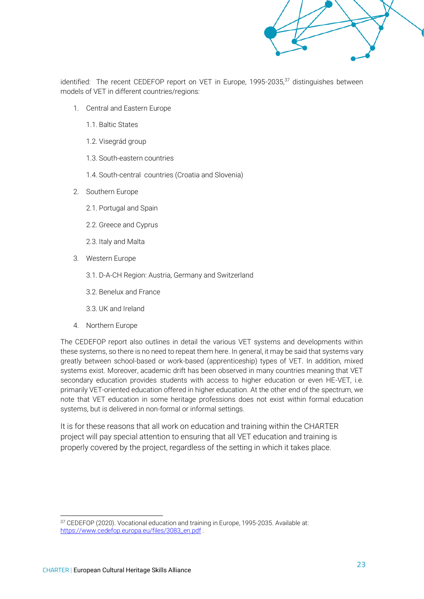

identified: The recent CEDEFOP report on VET in Europe, 1995-2035,<sup>37</sup> distinguishes between models of VET in different countries/regions:

- 1. Central and Eastern Europe
	- 1.1. Baltic States
	- 1.2. Visegrád group
	- 1.3. South-eastern countries
	- 1.4. South-central countries (Croatia and Slovenia)
- 2. Southern Europe
	- 2.1. Portugal and Spain
	- 2.2. Greece and Cyprus
	- 2.3. Italy and Malta
- 3. Western Europe
	- 3.1. D-A-CH Region: Austria, Germany and Switzerland
	- 3.2. Benelux and France
	- 3.3. UK and Ireland
- 4. Northern Europe

The CEDEFOP report also outlines in detail the various VET systems and developments within these systems, so there is no need to repeat them here. In general, it may be said that systems vary greatly between school-based or work-based (apprenticeship) types of VET. In addition, mixed systems exist. Moreover, academic drift has been observed in many countries meaning that VET secondary education provides students with access to higher education or even HE-VET, i.e. primarily VET-oriented education offered in higher education. At the other end of the spectrum, we note that VET education in some heritage professions does not exist within formal education systems, but is delivered in non-formal or informal settings.

It is for these reasons that all work on education and training within the CHARTER project will pay special attention to ensuring that all VET education and training is properly covered by the project, regardless of the setting in which it takes place.

<sup>37</sup> CEDEFOP (2020). Vocational education and training in Europe, 1995-2035. Available at: [https://www.cedefop.europa.eu/files/3083\\_en.pdf](https://www.cedefop.europa.eu/files/3083_en.pdf)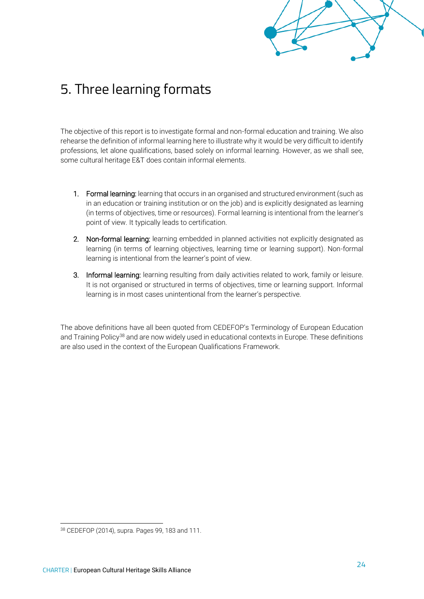# <span id="page-25-0"></span>5. Three learning formats

The objective of this report is to investigate formal and non-formal education and training. We also rehearse the definition of informal learning here to illustrate why it would be very difficult to identify professions, let alone qualifications, based solely on informal learning. However, as we shall see, some cultural heritage E&T does contain informal elements.

- 1. Formal learning: learning that occurs in an organised and structured environment (such as in an education or training institution or on the job) and is explicitly designated as learning (in terms of objectives, time or resources). Formal learning is intentional from the learner's point of view. It typically leads to certification.
- 2. Non-formal learning: learning embedded in planned activities not explicitly designated as learning (in terms of learning objectives, learning time or learning support). Non-formal learning is intentional from the learner's point of view.
- 3. Informal learning: learning resulting from daily activities related to work, family or leisure. It is not organised or structured in terms of objectives, time or learning support. Informal learning is in most cases unintentional from the learner's perspective.

The above definitions have all been quoted from CEDEFOP's Terminology of European Education and Training Policy<sup>38</sup> and are now widely used in educational contexts in Europe. These definitions are also used in the context of the European Qualifications Framework.

<sup>38</sup> CEDEFOP (2014), supra. Pages 99, 183 and 111.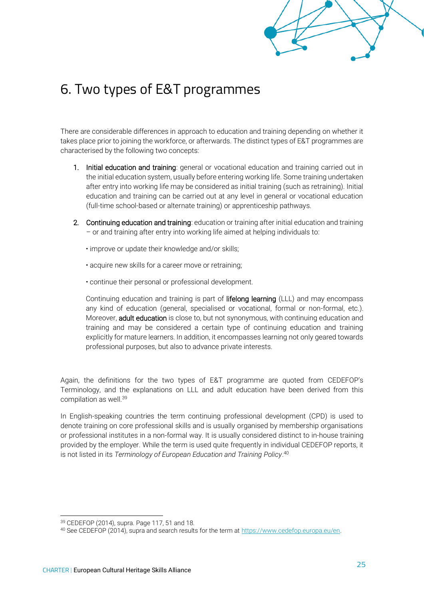

# <span id="page-26-0"></span>6. Two types of E&T programmes

There are considerable differences in approach to education and training depending on whether it takes place prior to joining the workforce, or afterwards. The distinct types of E&T programmes are characterised by the following two concepts:

- 1. Initial education and training: general or vocational education and training carried out in the initial education system, usually before entering working life. Some training undertaken after entry into working life may be considered as initial training (such as retraining). Initial education and training can be carried out at any level in general or vocational education (full-time school-based or alternate training) or apprenticeship pathways.
- 2. Continuing education and training: education or training after initial education and training – or and training after entry into working life aimed at helping individuals to:
	- improve or update their knowledge and/or skills;
	- acquire new skills for a career move or retraining;
	- continue their personal or professional development.

Continuing education and training is part of lifelong learning (LLL) and may encompass any kind of education (general, specialised or vocational, formal or non-formal, etc.). Moreover, adult education is close to, but not synonymous, with continuing education and training and may be considered a certain type of continuing education and training explicitly for mature learners. In addition, it encompasses learning not only geared towards professional purposes, but also to advance private interests.

Again, the definitions for the two types of E&T programme are quoted from CEDEFOP's Terminology, and the explanations on LLL and adult education have been derived from this compilation as well.<sup>39</sup>

In English-speaking countries the term continuing professional development (CPD) is used to denote training on core professional skills and is usually organised by membership organisations or professional institutes in a non-formal way. It is usually considered distinct to in-house training provided by the employer. While the term is used quite frequently in individual CEDEFOP reports, it is not listed in its *Terminology of European Education and Training Policy*. 40

<sup>39</sup> CEDEFOP (2014), supra. Page 117, 51 and 18.

<sup>40</sup> See CEDEFOP (2014), supra and search results for the term at [https://www.cedefop.europa.eu/en.](https://www.cedefop.europa.eu/en)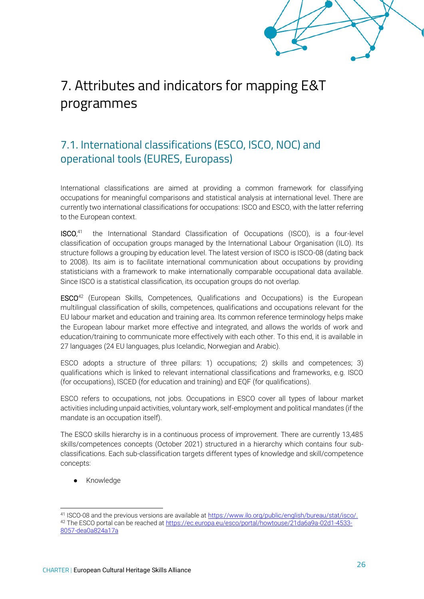# <span id="page-27-0"></span>7. Attributes and indicators for mapping E&T programmes

## <span id="page-27-1"></span>7.1. International classifications (ESCO, ISCO, NOC) and operational tools (EURES, Europass)

International classifications are aimed at providing a common framework for classifying occupations for meaningful comparisons and statistical analysis at international level. There are currently two international classifications for occupations: ISCO and ESCO, with the latter referring to the European context.

ISCO, 41 the International Standard Classification of Occupations (ISCO), is a four-level classification of occupation groups managed by the International Labour Organisation (ILO). Its structure follows a grouping by education level. The latest version of ISCO is ISCO-08 (dating back to 2008). Its aim is to facilitate international communication about occupations by providing statisticians with a framework to make internationally comparable occupational data available. Since ISCO is a statistical classification, its occupation groups do not overlap.

ESCO<sup>42</sup> (European Skills, Competences, Qualifications and Occupations) is the European multilingual classification of skills, competences, qualifications and occupations relevant for the EU labour market and education and training area. Its common reference terminology helps make the European labour market more effective and integrated, and allows the worlds of work and education/training to communicate more effectively with each other. To this end, it is available in 27 languages (24 EU languages, plus Icelandic, Norwegian and Arabic).

ESCO adopts a structure of three pillars: 1) [occupations;](https://ec.europa.eu/esco/portal/escopedia/Occupation) 2) [skills and competences;](https://ec.europa.eu/esco/portal/escopedia/Skills_and_competences) 3) [qualifications](https://ec.europa.eu/esco/portal/escopedia/Qualification) which is linked to relevant international classifications and frameworks, e.g. ISCO (for occupations), ISCED (for education and training) and EQF (for qualifications).

ESCO refers to occupations, not jobs. Occupations in ESCO cover all types of labour market activities including unpaid activities, voluntary work, self-employment and political mandates (if the mandate is an occupation itself).

The ESCO skills hierarchy is in a continuous process of improvement. There are currently 13,485 skills/competences concepts (October 2021) structured in a hierarchy which contains four subclassifications. Each sub-classification targets different types of knowledge and skill/competence concepts:

Knowledge

<sup>41</sup> ISCO-08 and the previous versions are available at [https://www.ilo.org/public/english/bureau/stat/isco/.](https://www.ilo.org/public/english/bureau/stat/isco/) 42 The ESCO portal can be reached at [https://ec.europa.eu/esco/portal/howtouse/21da6a9a-02d1-4533-](https://ec.europa.eu/esco/portal/howtouse/21da6a9a-02d1-4533-8057-dea0a824a17a) [8057-dea0a824a17a](https://ec.europa.eu/esco/portal/howtouse/21da6a9a-02d1-4533-8057-dea0a824a17a)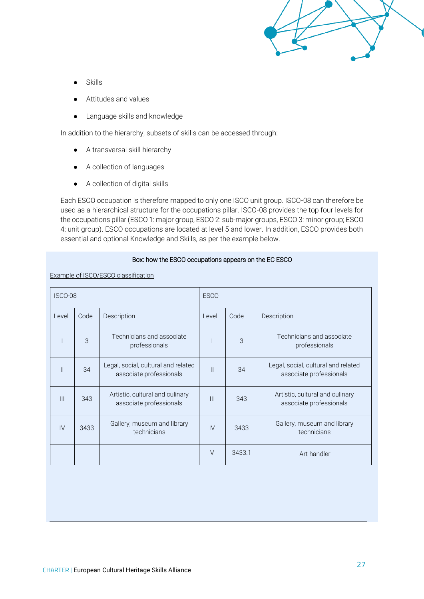

- **Skills**
- Attitudes and values
- Language skills and knowledge

In addition to the hierarchy, subsets of skills can be accessed through:

- A transversal skill hierarchy
- A collection of languages
- A collection of digital skills

Each ESCO occupation is therefore mapped to only one ISCO unit group. ISCO-08 can therefore be used as a hierarchical structure for the occupations pillar. ISCO-08 provides the top four levels for the occupations pillar (ESCO 1: major group, ESCO 2: sub-major groups, ESCO 3: minor group; ESCO 4: unit group). ESCO occupations are located at level 5 and lower. In addition, ESCO provides both essential and optional Knowledge and Skills, as per the example below.

#### Box: how the ESCO occupations appears on the EC ESCO

Example of ISCO/ESCO classification

| ISCO-08        |               |                                                                | <b>ESCO</b>    |        |                                                                |  |
|----------------|---------------|----------------------------------------------------------------|----------------|--------|----------------------------------------------------------------|--|
| Level          | Code          | Description                                                    | Level          | Code   | Description                                                    |  |
|                | $\mathcal{S}$ | Technicians and associate<br>professionals                     |                | 3      | Technicians and associate<br>professionals                     |  |
| $\mathbf{  }$  | 34            | Legal, social, cultural and related<br>associate professionals | $\mathbf{H}$   | 34     | Legal, social, cultural and related<br>associate professionals |  |
| $\mathbf{III}$ | 343           | Artistic, cultural and culinary<br>associate professionals     | $\mathbf{III}$ | 343    | Artistic, cultural and culinary<br>associate professionals     |  |
| IV             | 3433          | Gallery, museum and library<br>technicians                     | IV             | 3433   | Gallery, museum and library<br>technicians                     |  |
|                |               |                                                                | $\vee$         | 3433.1 | Art handler                                                    |  |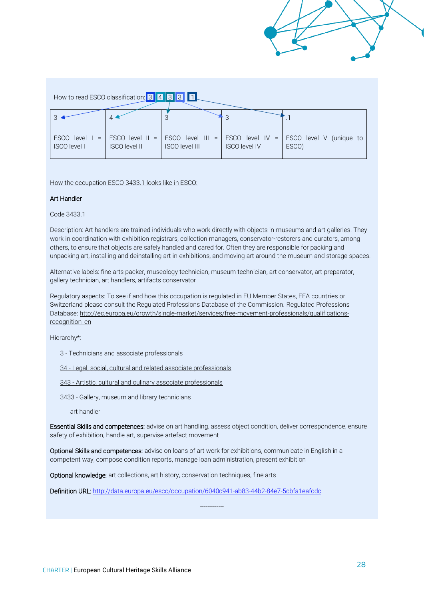How to read ESCO classification: 3 4 3 3 1

| <b>ISCO</b> level I | <b>ISCO level II</b> | <b>ISCO level III</b> | <b>ISCO level IV</b> | ESCO level $1 =$ ESCO level II = ESCO level III = ESCO level IV = ESCO level V (unique to<br>ESCO) |
|---------------------|----------------------|-----------------------|----------------------|----------------------------------------------------------------------------------------------------|

How the occupation ESCO 3433.1 looks like in ESCO:

#### Art Handler

Code 3433.1

Description: Art handlers are trained individuals who work directly with objects in museums and art galleries. They work in coordination with exhibition registrars, collection managers, conservator-restorers and curators, among others, to ensure that objects are safely handled and cared for. Often they are responsible for packing and unpacking art, installing and deinstalling art in exhibitions, and moving art around the museum and storage spaces.

Alternative labels: fine arts packer, museology technician, museum technician, art conservator, art preparator, gallery technician, art handlers, artifacts conservator

Regulatory aspects: To see if and how this occupation is regulated in EU Member States, EEA countries or Switzerland please consult the Regulated Professions Database of the Commission. Regulated Professions Database: [http://ec.europa.eu/growth/single-market/services/free-movement-professionals/qualifications](http://ec.europa.eu/growth/single-market/services/free-movement-professionals/qualifications-recognition_en)[recognition\\_en](http://ec.europa.eu/growth/single-market/services/free-movement-professionals/qualifications-recognition_en)

Hierarchy\*:

- 3 [Technicians and associate professionals](http://data.europa.eu/esco/isco/C3)
- 34 [Legal, social, cultural and related associate professionals](http://data.europa.eu/esco/isco/C34)
- 343 [Artistic, cultural and culinary associate professionals](http://data.europa.eu/esco/isco/C343)
- 3433 [Gallery, museum and library technicians](http://data.europa.eu/esco/isco/C3433)

art handler

Essential Skills and competences[: advise on art handling,](http://data.europa.eu/esco/skill/9427e576-743c-4e36-bd73-5f1cb273daf7) [assess object condition,](http://data.europa.eu/esco/skill/6a429716-fa3d-453f-9b0c-658d25ed0085) [deliver correspondence,](http://data.europa.eu/esco/skill/df1265b9-81fd-4a40-a746-f0442ffbf7ef) [ensure](http://data.europa.eu/esco/skill/1a2949ca-8b39-4fd6-9a48-4b704bdc6eff)  [safety of exhibition,](http://data.europa.eu/esco/skill/1a2949ca-8b39-4fd6-9a48-4b704bdc6eff) [handle art,](http://data.europa.eu/esco/skill/e3e95567-666a-42bd-8565-ed3e4d3bb378) [supervise artefact movement](http://data.europa.eu/esco/skill/37236b8f-0fdc-43eb-bcd3-f4f11864da5a)

-------------

Optional Skills and competences: [advise on loans of art work for exhibitions,](http://data.europa.eu/esco/skill/6ab43249-d856-453b-9f45-37c3f8dae339) [communicate in English in a](http://data.europa.eu/esco/skill/ff85b268-d74c-44ae-be8f-949e1614eb5d)  [competent way,](http://data.europa.eu/esco/skill/ff85b268-d74c-44ae-be8f-949e1614eb5d) [compose condition reports,](http://data.europa.eu/esco/skill/15425788-7ab8-4e26-be95-009afb3ee289) [manage loan administration,](http://data.europa.eu/esco/skill/5ef628ac-c5a1-4150-a115-f864343dcb24) [present exhibition](http://data.europa.eu/esco/skill/c45848bc-33c6-45fa-b791-bc5b06c21b87)

Optional knowledge: [art collections,](http://data.europa.eu/esco/skill/14f9a27c-d52e-4e3d-9819-e564d4ec3d71) [art history,](http://data.europa.eu/esco/skill/6c6f0d6e-1f31-4413-b2ee-dabe135b29a7) [conservation techniques,](http://data.europa.eu/esco/skill/397c14d5-42e0-4c85-8376-4c70b5a90bcf) [fine arts](http://data.europa.eu/esco/skill/17996b4f-1302-4bd7-a4c7-912b74feccf0)

Definition URL: <http://data.europa.eu/esco/occupation/6040c941-ab83-44b2-84e7-5cbfa1eafcdc>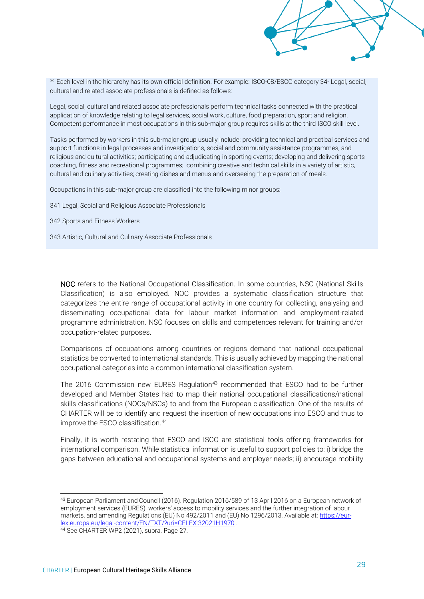\* Each level in the hierarchy has its own official definition. For example: ISCO-08/ESCO category 34- [Legal, social,](http://data.europa.eu/esco/isco/C34)  [cultural and related associate professionals](http://data.europa.eu/esco/isco/C34) is defined as follows:

Legal, social, cultural and related associate professionals perform technical tasks connected with the practical application of knowledge relating to legal services, social work, culture, food preparation, sport and religion. Competent performance in most occupations in this sub-major group requires skills at the third ISCO skill level.

Tasks performed by workers in this sub-major group usually include: providing technical and practical services and support functions in legal processes and investigations, social and community assistance programmes, and religious and cultural activities; participating and adjudicating in sporting events; developing and delivering sports coaching, fitness and recreational programmes; combining creative and technical skills in a variety of artistic, cultural and culinary activities; creating dishes and menus and overseeing the preparation of meals.

Occupations in this sub-major group are classified into the following minor groups:

341 Legal, Social and Religious Associate Professionals

342 Sports and Fitness Workers

343 Artistic, Cultural and Culinary Associate Professionals

NOC refers to the National Occupational Classification. In some countries, NSC (National Skills Classification) is also employed. NOC provides a systematic classification structure that categorizes the entire range of occupational activity in one country for collecting, analysing and disseminating occupational data for labour market information and employment-related programme administration. NSC focuses on skills and competences relevant for training and/or occupation-related purposes.

Comparisons of occupations among countries or regions demand that national occupational statistics be converted to international standards. This is usually achieved by mapping the national occupational categories into a common international classification system.

The 2016 Commission new EURES Regulation<sup>43</sup> recommended that ESCO had to be further developed and Member States had to map their national occupational classifications/national skills classifications (NOCs/NSCs) to and from the European classification. One of the results of CHARTER will be to identify and request the insertion of new occupations into ESCO and thus to improve the ESCO classification.<sup>44</sup>

Finally, it is worth restating that ESCO and ISCO are statistical tools offering frameworks for international comparison. While statistical information is useful to support policies to: i) bridge the gaps between educational and occupational systems and employer needs; ii) encourage mobility

<sup>43</sup> European Parliament and Council (2016). Regulation 2016/589 of 13 April 2016 on a European network of employment services (EURES), workers' access to mobility services and the further integration of labour markets, and amending Regulations (EU) No 492/2011 and (EU) No 1296/2013. Available at: [https://eur](https://eur-lex.europa.eu/legal-content/EN/TXT/?uri=CELEX:32021H1970)[lex.europa.eu/legal-content/EN/TXT/?uri=CELEX:32021H1970](https://eur-lex.europa.eu/legal-content/EN/TXT/?uri=CELEX:32021H1970) .

<sup>44</sup> See CHARTER WP2 (2021), supra. Page 27.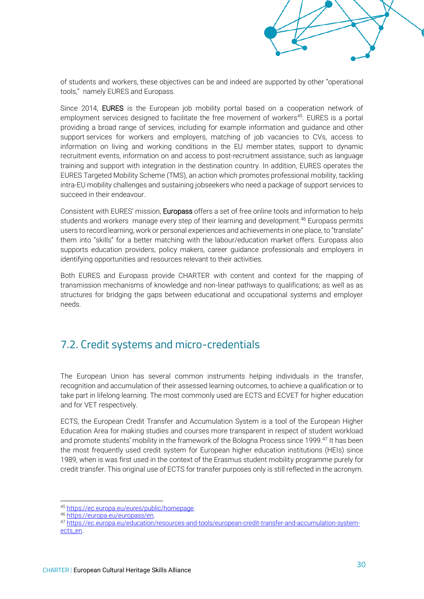of students and workers, these objectives can be and indeed are supported by other "operational tools," namely EURES and Europass.

Since 2014, EURES is the European job mobility portal based on a cooperation network of employment services designed to facilitate the free movement of workers<sup>45</sup>. EURES is a portal providing a broad range of services, including for example information and guidance and other support services for workers and employers, matching of job vacancies to CVs, access to information on living and working conditions in the EU member states, support to dynamic recruitment events, information on and access to post-recruitment assistance, such as language training and support with integration in the destination country. In addition, EURES operates the EURES Targeted Mobility Scheme (TMS), an action which promotes professional mobility, tackling intra-EU mobility challenges and sustaining jobseekers who need a package of support services to succeed in their endeavour.

Consistent with EURES' mission, **Europass** offers a set of free online tools and information to help students and workers manage every step of their learning and development.<sup>46</sup> Europass permits users to record learning, work or personal experiences and achievements in one place, to "translate" them into "skills" for a better matching with the labour/education market offers. Europass also supports education providers, policy makers, career guidance professionals and employers in identifying opportunities and resources relevant to their activities.

Both EURES and Europass provide CHARTER with content and context for the mapping of transmission mechanisms of knowledge and non-linear pathways to qualifications; as well as as structures for bridging the gaps between educational and occupational systems and employer needs.

## <span id="page-31-0"></span>7.2. Credit systems and micro-credentials

The European Union has several common instruments helping individuals in the transfer, recognition and accumulation of their assessed learning outcomes, to achieve a qualification or to take part in lifelong learning. The most commonly used are ECTS and ECVET for higher education and for VET respectively.

ECTS, the European Credit Transfer and Accumulation System is a tool of the European Higher Education Area for making studies and courses more transparent in respect of student workload and promote students' mobility in the framework of the Bologna Process since 1999.<sup>47</sup> It has been the most frequently used credit system for European higher education institutions (HEIs) since 1989, when is was first used in the context of the Erasmus student mobility programme purely for credit transfer. This original use of ECTS for transfer purposes only is still reflected in the acronym.

<sup>45</sup> [https://ec.europa.eu/eures/public/homepage.](https://ec.europa.eu/eures/public/homepage)

<sup>46</sup> [https://europa.eu/europass/en.](https://europa.eu/europass/en)

<sup>47</sup> [https://ec.europa.eu/education/resources-and-tools/european-credit-transfer-and-accumulation-system](https://ec.europa.eu/education/resources-and-tools/european-credit-transfer-and-accumulation-system-ects_en)[ects\\_en.](https://ec.europa.eu/education/resources-and-tools/european-credit-transfer-and-accumulation-system-ects_en)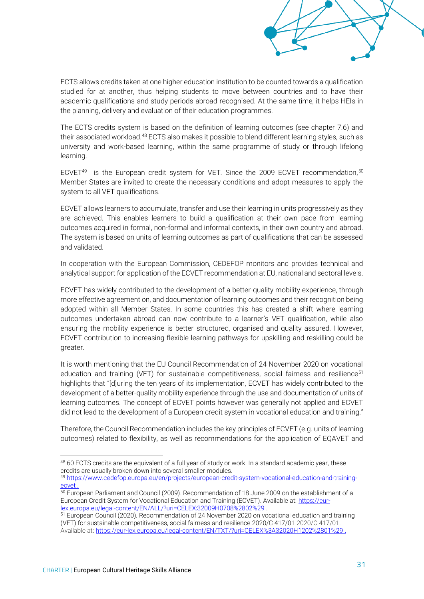ECTS allows credits taken at one higher education institution to be counted towards a qualification studied for at another, thus helping students to move between countries and to have their academic qualifications and study periods abroad recognised. At the same time, it helps HEIs in the planning, delivery and evaluation of their education programmes.

The ECTS credits system is based on the definition of learning outcomes (see chapter 7.6) and their associated workload.<sup>48</sup> ECTS also makes it possible to blend different learning styles, such as university and work-based learning, within the same programme of study or through lifelong learning.

ECVET<sup>49</sup> is the European credit system for VET. Since the 2009 ECVET recommendation,  $50$ Member States are invited to create the necessary conditions and adopt measures to apply the system to all VET qualifications.

ECVET allows learners to accumulate, transfer and use their learning in units progressively as they are achieved. This enables learners to build a qualification at their own pace from learning outcomes acquired in formal, non-formal and informal contexts, in their own country and abroad. The system is based on units of learning outcomes as part of qualifications that can be assessed and validated.

In cooperation with the European Commission, CEDEFOP monitors and provides technical and analytical support for application of the ECVET recommendation at EU, national and sectoral levels.

ECVET has widely contributed to the development of a better-quality mobility experience, through more effective agreement on, and documentation of learning outcomes and their recognition being adopted within all Member States. In some countries this has created a shift where learning outcomes undertaken abroad can now contribute to a learner's VET qualification, while also ensuring the mobility experience is better structured, organised and quality assured. However, ECVET contribution to increasing flexible learning pathways for upskilling and reskilling could be greater.

It is worth mentioning that the EU Council Recommendation of 24 November 2020 on vocational education and training (VET) for sustainable competitiveness, social fairness and resilience<sup>51</sup> highlights that "[d]uring the ten years of its implementation, ECVET has widely contributed to the development of a better-quality mobility experience through the use and documentation of units of learning outcomes. The concept of ECVET points however was generally not applied and ECVET did not lead to the development of a European credit system in vocational education and training."

Therefore, the Council Recommendation includes the key principles of ECVET (e.g. units of learning outcomes) related to flexibility, as well as recommendations for the application of EQAVET and

<sup>48 60</sup> ECTS credits are the equivalent of a full year of study or work. In a standard academic year, these credits are usually broken down into several smaller modules. <sup>49</sup> [https://www.cedefop.europa.eu/en/projects/european-credit-system-vocational-education-and-training-](https://www.cedefop.europa.eu/en/projects/european-credit-system-vocational-education-and-training-ecvet)

[ecvet](https://www.cedefop.europa.eu/en/projects/european-credit-system-vocational-education-and-training-ecvet) .

 $50$  European Parliament and Council (2009). Recommendation of 18 June 2009 on the establishment of a European Credit System for Vocational Education and Training (ECVET). Available at: [https://eur](https://eur-lex.europa.eu/legal-content/EN/ALL/?uri=CELEX:32009H0708%2802%29)[lex.europa.eu/legal-content/EN/ALL/?uri=CELEX:32009H0708%2802%29](https://eur-lex.europa.eu/legal-content/EN/ALL/?uri=CELEX:32009H0708%2802%29) .

<sup>51</sup> European Council (2020). Recommendation of 24 November 2020 on vocational education and training (VET) for sustainable competitiveness, social fairness and resilience 2020/C 417/01 2020/C 417/01. Available at[: https://eur-lex.europa.eu/legal-content/EN/TXT/?uri=CELEX%3A32020H1202%2801%29](https://eur-lex.europa.eu/legal-content/EN/TXT/?uri=CELEX%3A32020H1202%2801%29) .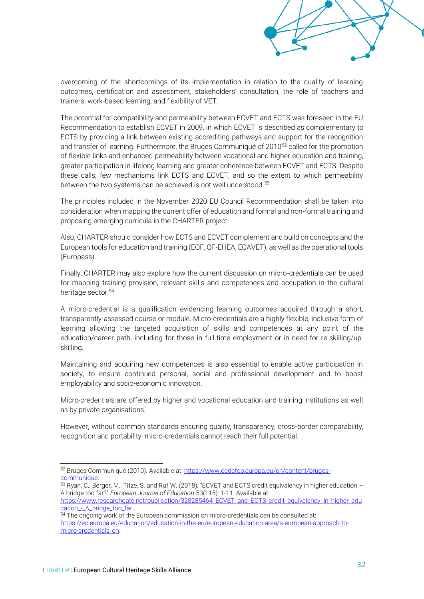overcoming of the shortcomings of its implementation in relation to the quality of learning outcomes, certification and assessment, stakeholders' consultation, the role of teachers and trainers, work-based learning, and flexibility of VET.

The potential for compatibility and permeability between ECVET and ECTS was foreseen in the EU Recommendation to establish ECVET in 2009, in which ECVET is described as complementary to ECTS by providing a link between existing accrediting pathways and support for the recognition and transfer of learning. Furthermore, the Bruges Communiqué of 2010<sup>52</sup> called for the promotion of flexible links and enhanced permeability between vocational and higher education and training, greater participation in lifelong learning and greater coherence between ECVET and ECTS. Despite these calls, few mechanisms link ECTS and ECVET, and so the extent to which permeability between the two systems can be achieved is not well understood.<sup>53</sup>

The principles included in the November 2020 EU Council Recommendation shall be taken into consideration when mapping the current offer of education and formal and non-formal training and proposing emerging curricula in the CHARTER project.

Also, CHARTER should consider how ECTS and ECVET complement and build on concepts and the European tools for education and training (EQF, QF-EHEA, EQAVET), as well as the operational tools (Europass).

Finally, CHARTER may also explore how the current discussion on micro-credentials can be used for mapping training provision, relevant skills and competences and occupation in the cultural heritage sector.<sup>54</sup>

A micro-credential is a qualification evidencing learning outcomes acquired through a short, transparently-assessed course or module. Micro-credentials are a highly flexible, inclusive form of learning allowing the targeted acquisition of skills and competences at any point of the education/career path, including for those in full-time employment or in need for re-skilling/upskilling.

Maintaining and acquiring new competences is also essential to enable active participation in society, to ensure continued personal, social and professional development and to boost employability and socio-economic innovation.

Micro-credentials are offered by higher and vocational education and training institutions as well as by private organisations.

However, without common standards ensuring quality, transparency, cross-border comparability, recognition and portability, micro-credentials cannot reach their full potential.

<sup>53</sup> Ryan, C., Berger, M., Titze, S. and Ruf W. (2018). "ECVET and ECTS credit equivalency in higher education – A bridge too far?" *European Journal of Education* 53(115): 1-11. Available at:

54 The ongoing work of the European commission on micro-credentials can be consulted at: [https://ec.europa.eu/education/education-in-the-eu/european-education-area/a-european-approach-to](https://ec.europa.eu/education/education-in-the-eu/european-education-area/a-european-approach-to-micro-credentials_en)[micro-credentials\\_en.](https://ec.europa.eu/education/education-in-the-eu/european-education-area/a-european-approach-to-micro-credentials_en)

<sup>52</sup> Bruges Communiqué (2010). Available at: [https://www.cedefop.europa.eu/en/content/bruges](https://www.cedefop.europa.eu/en/content/bruges-communique)[communique.](https://www.cedefop.europa.eu/en/content/bruges-communique)

[https://www.researchgate.net/publication/328285464\\_ECVET\\_and\\_ECTS\\_credit\\_equivalency\\_in\\_higher\\_edu](https://www.researchgate.net/publication/328285464_ECVET_and_ECTS_credit_equivalency_in_higher_education_-_A_bridge_too_far) [cation\\_-\\_A\\_bridge\\_too\\_far](https://www.researchgate.net/publication/328285464_ECVET_and_ECTS_credit_equivalency_in_higher_education_-_A_bridge_too_far)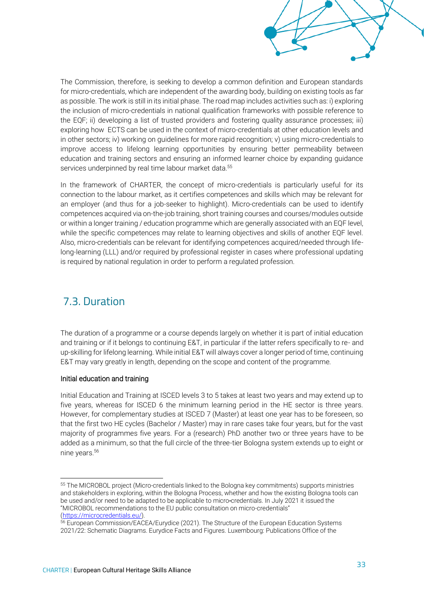The Commission, therefore, is seeking to develop a common definition and European standards for micro-credentials, which are independent of the awarding body, building on existing tools as far as possible. The work is still in its initial phase. The road map includes activities such as: i) exploring the inclusion of micro-credentials in national qualification frameworks with possible reference to the EQF; ii) developing a list of trusted providers and fostering quality assurance processes; iii) exploring how ECTS can be used in the context of micro-credentials at other education levels and in other sectors; iv) working on guidelines for more rapid recognition; v) using micro-credentials to improve access to lifelong learning opportunities by ensuring better permeability between education and training sectors and ensuring an informed learner choice by expanding guidance services underpinned by real time labour market data.<sup>55</sup>

In the framework of CHARTER, the concept of micro-credentials is particularly useful for its connection to the labour market, as it certifies competences and skills which may be relevant for an employer (and thus for a job-seeker to highlight). Micro-credentials can be used to identify competences acquired via on-the-job training, short training courses and courses/modules outside or within a longer training / education programme which are generally associated with an EQF level, while the specific competences may relate to learning objectives and skills of another EQF level. Also, micro-credentials can be relevant for identifying competences acquired/needed through lifelong-learning (LLL) and/or required by professional register in cases where professional updating is required by national regulation in order to perform a regulated profession.

## <span id="page-34-0"></span>7.3. Duration

The duration of a programme or a course depends largely on whether it is part of initial education and training or if it belongs to continuing E&T, in particular if the latter refers specifically to re- and up-skilling for lifelong learning. While initial E&T will always cover a longer period of time, continuing E&T may vary greatly in length, depending on the scope and content of the programme.

#### Initial education and training

Initial Education and Training at ISCED levels 3 to 5 takes at least two years and may extend up to five years, whereas for ISCED 6 the minimum learning period in the HE sector is three years. However, for complementary studies at ISCED 7 (Master) at least one year has to be foreseen, so that the first two HE cycles (Bachelor / Master) may in rare cases take four years, but for the vast majority of programmes five years. For a (research) PhD another two or three years have to be added as a minimum, so that the full circle of the three-tier Bologna system extends up to eight or nine vears.<sup>56</sup>

<sup>55</sup> The MICROBOL project (Micro-credentials linked to the Bologna key commitments) supports ministries and stakeholders in exploring, within the Bologna Process, whether and how the existing Bologna tools can be used and/or need to be adapted to be applicable to micro-credentials. In July 2021 it issued the "MICROBOL recommendations to the EU public consultation on micro-credentials" [\(https://microcredentials.eu/\)](https://microcredentials.eu/).

<sup>&</sup>lt;sup>56</sup> European Commission/EACEA/Eurydice (2021). The Structure of the European Education Systems 2021/22: Schematic Diagrams. Eurydice Facts and Figures. Luxembourg: Publications Office of the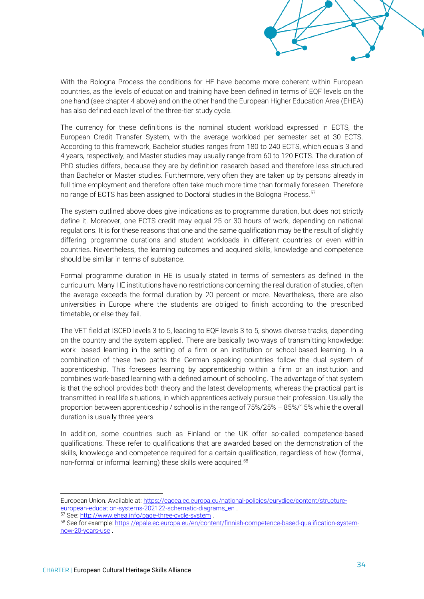With the Bologna Process the conditions for HE have become more coherent within European countries, as the levels of education and training have been defined in terms of EQF levels on the one hand (see chapter 4 above) and on the other hand the European Higher Education Area (EHEA) has also defined each level of the three-tier study cycle.

The currency for these definitions is the nominal student workload expressed in ECTS, the European Credit Transfer System, with the average workload per semester set at 30 ECTS. According to this framework, Bachelor studies ranges from 180 to 240 ECTS, which equals 3 and 4 years, respectively, and Master studies may usually range from 60 to 120 ECTS. The duration of PhD studies differs, because they are by definition research based and therefore less structured than Bachelor or Master studies. Furthermore, very often they are taken up by persons already in full-time employment and therefore often take much more time than formally foreseen. Therefore no range of ECTS has been assigned to Doctoral studies in the Bologna Process.<sup>57</sup>

The system outlined above does give indications as to programme duration, but does not strictly define it. Moreover, one ECTS credit may equal 25 or 30 hours of work, depending on national regulations. It is for these reasons that one and the same qualification may be the result of slightly differing programme durations and student workloads in different countries or even within countries. Nevertheless, the learning outcomes and acquired skills, knowledge and competence should be similar in terms of substance.

Formal programme duration in HE is usually stated in terms of semesters as defined in the curriculum. Many HE institutions have no restrictions concerning the real duration of studies, often the average exceeds the formal duration by 20 percent or more. Nevertheless, there are also universities in Europe where the students are obliged to finish according to the prescribed timetable, or else they fail.

The VET field at ISCED levels 3 to 5, leading to EQF levels 3 to 5, shows diverse tracks, depending on the country and the system applied. There are basically two ways of transmitting knowledge: work- based learning in the setting of a firm or an institution or school-based learning. In a combination of these two paths the German speaking countries follow the dual system of apprenticeship. This foresees learning by apprenticeship within a firm or an institution and combines work-based learning with a defined amount of schooling. The advantage of that system is that the school provides both theory and the latest developments, whereas the practical part is transmitted in real life situations, in which apprentices actively pursue their profession. Usually the proportion between apprenticeship / school is in the range of 75%/25% – 85%/15% while the overall duration is usually three years.

In addition, some countries such as Finland or the UK offer so-called competence-based qualifications. These refer to qualifications that are awarded based on the demonstration of the skills, knowledge and competence required for a certain qualification, regardless of how (formal, non-formal or informal learning) these skills were acquired.<sup>58</sup>

European Union. Available at[: https://eacea.ec.europa.eu/national-policies/eurydice/content/structure](https://eacea.ec.europa.eu/national-policies/eurydice/content/structure-european-education-systems-202122-schematic-diagrams_en)[european-education-systems-202122-schematic-diagrams\\_en](https://eacea.ec.europa.eu/national-policies/eurydice/content/structure-european-education-systems-202122-schematic-diagrams_en) .

<sup>57</sup> See[: http://www.ehea.info/page-three-cycle-system](http://www.ehea.info/page-three-cycle-system) .

<sup>58</sup> See for example[: https://epale.ec.europa.eu/en/content/finnish-competence-based-qualification-system](https://epale.ec.europa.eu/en/content/finnish-competence-based-qualification-system-now-20-years-use)[now-20-years-use](https://epale.ec.europa.eu/en/content/finnish-competence-based-qualification-system-now-20-years-use) .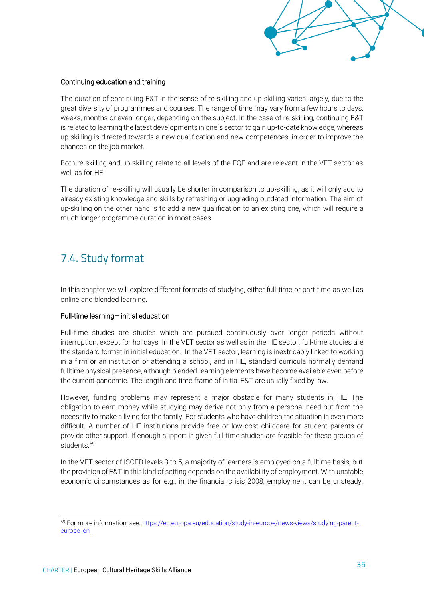

#### Continuing education and training

The duration of continuing E&T in the sense of re-skilling and up-skilling varies largely, due to the great diversity of programmes and courses. The range of time may vary from a few hours to days, weeks, months or even longer, depending on the subject. In the case of re-skilling, continuing E&T is related to learning the latest developments in one´s sector to gain up-to-date knowledge, whereas up-skilling is directed towards a new qualification and new competences, in order to improve the chances on the job market.

Both re-skilling and up-skilling relate to all levels of the EQF and are relevant in the VET sector as well as for HE.

The duration of re-skilling will usually be shorter in comparison to up-skilling, as it will only add to already existing knowledge and skills by refreshing or upgrading outdated information. The aim of up-skilling on the other hand is to add a new qualification to an existing one, which will require a much longer programme duration in most cases.

## <span id="page-36-0"></span>7.4. Study format

In this chapter we will explore different formats of studying, either full-time or part-time as well as online and blended learning.

#### Full-time learning– initial education

Full-time studies are studies which are pursued continuously over longer periods without interruption, except for holidays. In the VET sector as well as in the HE sector, full-time studies are the standard format in initial education. In the VET sector, learning is inextricably linked to working in a firm or an institution or attending a school, and in HE, standard curricula normally demand fulltime physical presence, although blended-learning elements have become available even before the current pandemic. The length and time frame of initial E&T are usually fixed by law.

However, funding problems may represent a major obstacle for many students in HE. The obligation to earn money while studying may derive not only from a personal need but from the necessity to make a living for the family. For students who have children the situation is even more difficult. A number of HE institutions provide free or low-cost childcare for student parents or provide other support. If enough support is given full-time studies are feasible for these groups of students<sup>59</sup>

In the VET sector of ISCED levels 3 to 5, a majority of learners is employed on a fulltime basis, but the provision of E&T in this kind of setting depends on the availability of employment. With unstable economic circumstances as for e.g., in the financial crisis 2008, employment can be unsteady.

<sup>59</sup> For more information, see: [https://ec.europa.eu/education/study-in-europe/news-views/studying-parent](https://ec.europa.eu/education/study-in-europe/news-views/studying-parent-europe_en)[europe\\_en](https://ec.europa.eu/education/study-in-europe/news-views/studying-parent-europe_en)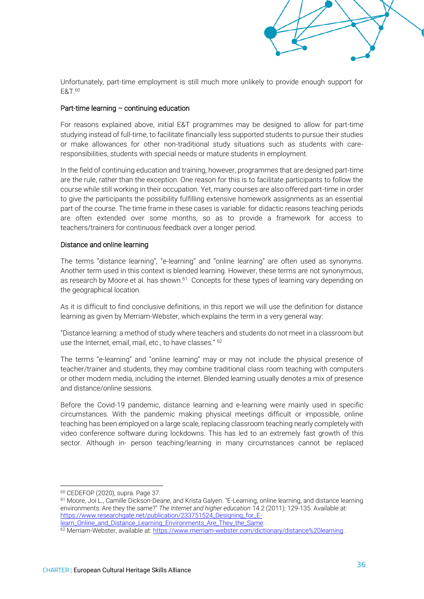Unfortunately, part-time employment is still much more unlikely to provide enough support for E&T.<sup>60</sup>

#### Part-time learning – continuing education

For reasons explained above, initial E&T programmes may be designed to allow for part-time studying instead of full-time, to facilitate financially less supported students to pursue their studies or make allowances for other non-traditional study situations such as students with careresponsibilities, students with special needs or mature students in employment.

In the field of continuing education and training, however, programmes that are designed part-time are the rule, rather than the exception. One reason for this is to facilitate participants to follow the course while still working in their occupation. Yet, many courses are also offered part-time in order to give the participants the possibility fulfilling extensive homework assignments as an essential part of the course. The time frame in these cases is variable: for didactic reasons teaching periods are often extended over some months, so as to provide a framework for access to teachers/trainers for continuous feedback over a longer period.

#### Distance and online learning

The terms "distance learning", "e-learning" and "online learning" are often used as synonyms. Another term used in this context is blended learning. However, these terms are not synonymous, as research by Moore et al. has shown.<sup>61</sup> Concepts for these types of learning vary depending on the geographical location.

As it is difficult to find conclusive definitions, in this report we will use the definition for distance learning as given by Merriam-Webster, which explains the term in a very general way:

"Distance learning: a method of study where teachers and students do not meet in a classroom but use the Internet, email, mail, etc., to have classes." <sup>62</sup>

The terms "e-learning" and "online learning" may or may not include the physical presence of teacher/trainer and students, they may combine traditional class room teaching with computers or other modern media, including the internet. Blended learning usually denotes a mix of presence and distance/online sessions.

Before the Covid-19 pandemic, distance learning and e-learning were mainly used in specific circumstances. With the pandemic making physical meetings difficult or impossible, online teaching has been employed on a large scale, replacing classroom teaching nearly completely with video conference software during lockdowns. This has led to an extremely fast growth of this sector. Although in- person teaching/learning in many circumstances cannot be replaced

<sup>60</sup> CEDEFOP (2020), supra. Page 37.

<sup>61</sup> Moore, Joi L., Camille Dickson-Deane, and Krista Galyen. "E-Learning, online learning, and distance learning environments: Are they the same?" *The Internet and higher education* 14.2 (2011): 129-135. Available at: [https://www.researchgate.net/publication/233751524\\_Designing\\_for\\_E](https://www.researchgate.net/publication/233751524_Designing_for_E-learn_Online_and_Distance_Learning_Environments_Are_They_the_Same)[learn\\_Online\\_and\\_Distance\\_Learning\\_Environments\\_Are\\_They\\_the\\_Same](https://www.researchgate.net/publication/233751524_Designing_for_E-learn_Online_and_Distance_Learning_Environments_Are_They_the_Same) .

<sup>&</sup>lt;sup>62</sup> Merriam-Webster, available at:<https://www.merriam-webster.com/dictionary/distance%20learning>.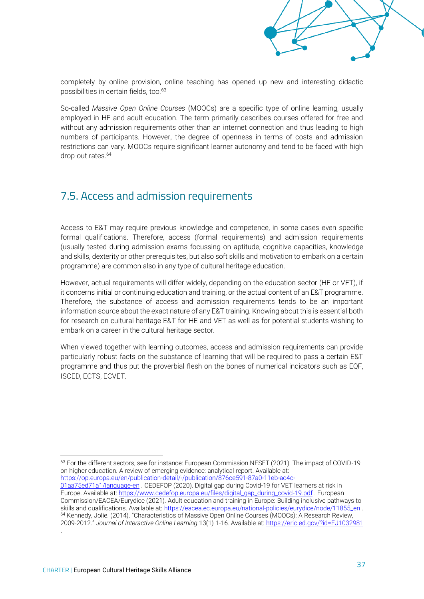

completely by online provision, online teaching has opened up new and interesting didactic possibilities in certain fields, too.<sup>63</sup>

So-called *Massive Open Online Courses* (MOOCs) are a specific type of online learning, usually employed in HE and adult education. The term primarily describes courses offered for free and without any admission requirements other than an internet connection and thus leading to high numbers of participants. However, the degree of openness in terms of costs and admission restrictions can vary. MOOCs require significant learner autonomy and tend to be faced with high drop-out rates.<sup>64</sup>

## <span id="page-38-0"></span>7.5. Access and admission requirements

Access to E&T may require previous knowledge and competence, in some cases even specific formal qualifications. Therefore, access (formal requirements) and admission requirements (usually tested during admission exams focussing on aptitude, cognitive capacities, knowledge and skills, dexterity or other prerequisites, but also soft skills and motivation to embark on a certain programme) are common also in any type of cultural heritage education.

However, actual requirements will differ widely, depending on the education sector (HE or VET), if it concerns initial or continuing education and training, or the actual content of an E&T programme. Therefore, the substance of access and admission requirements tends to be an important information source about the exact nature of any E&T training. Knowing about this is essential both for research on cultural heritage E&T for HE and VET as well as for potential students wishing to embark on a career in the cultural heritage sector.

When viewed together with learning outcomes, access and admission requirements can provide particularly robust facts on the substance of learning that will be required to pass a certain E&T programme and thus put the proverbial flesh on the bones of numerical indicators such as EQF, ISCED, ECTS, ECVET.

<sup>63</sup> For the different sectors, see for instance: European Commission NESET (2021). The impact of COVID-19 on higher education. A review of emerging evidence: analytical report. Available at: [https://op.europa.eu/en/publication-detail/-/publication/876ce591-87a0-11eb-ac4c-](https://op.europa.eu/en/publication-detail/-/publication/876ce591-87a0-11eb-ac4c-01aa75ed71a1/language-en)

[01aa75ed71a1/language-en](https://op.europa.eu/en/publication-detail/-/publication/876ce591-87a0-11eb-ac4c-01aa75ed71a1/language-en) . CEDEFOP (2020). Digital gap during Covid-19 for VET learners at risk in Europe. Available at[: https://www.cedefop.europa.eu/files/digital\\_gap\\_during\\_covid-19.pdf](https://www.cedefop.europa.eu/files/digital_gap_during_covid-19.pdf) . European Commission/EACEA/Eurydice (2021). Adult education and training in Europe: Building inclusive pathways to skills and qualifications. Available at[: https://eacea.ec.europa.eu/national-policies/eurydice/node/11855\\_en](https://eacea.ec.europa.eu/national-policies/eurydice/node/11855_en) . <sup>64</sup> Kennedy, Jolie. (2014). "Characteristics of Massive Open Online Courses (MOOCs): A Research Review, 2009-2012." *Journal of Interactive Online Learning* 13(1) 1-16. Available at[: https://eric.ed.gov/?id=EJ1032981](https://eric.ed.gov/?id=EJ1032981) .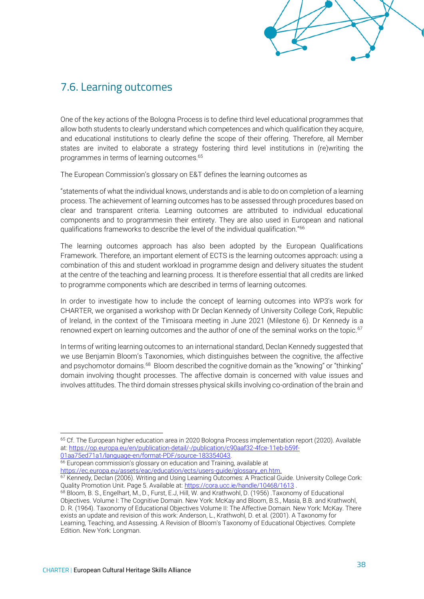## <span id="page-39-0"></span>7.6. Learning outcomes

One of the key actions of the Bologna Process is to define third level educational programmes that allow both students to clearly understand which competences and which qualification they acquire, and educational institutions to clearly define the scope of their offering. Therefore, all Member states are invited to elaborate a strategy fostering third level institutions in (re)writing the programmes in terms of learning outcomes.<sup>65</sup>

The European Commission's glossary on E&T defines the learning outcomes as

"statements of what the individual knows, understands and is able to do on completion of a learning process. The achievement of learning outcomes has to be assessed through procedures based on clear and transparent criteria. Learning outcomes are attributed to individual educational components and to programmesin their entirety. They are also used in European and national qualifications frameworks to describe the level of the individual qualification."<sup>66</sup>

The learning outcomes approach has also been adopted by the European Qualifications Framework. Therefore, an important element of ECTS is the learning outcomes approach: using a combination of this and student workload in programme design and delivery situates the student at the centre of the teaching and learning process. It is therefore essential that all credits are linked to programme components which are described in terms of learning outcomes.

In order to investigate how to include the concept of learning outcomes into WP3's work for CHARTER, we organised a workshop with Dr Declan Kennedy of University College Cork, Republic of Ireland, in the context of the Timisoara meeting in June 2021 (Milestone 6). Dr Kennedy is a renowned expert on learning outcomes and the author of one of the seminal works on the topic.<sup>67</sup>

In terms of writing learning outcomes to an international standard, Declan Kennedy suggested that we use Benjamin Bloom's Taxonomies, which distinguishes between the cognitive, the affective and psychomotor domains.<sup>68</sup> Bloom described the cognitive domain as the "knowing" or "thinking" domain involving thought processes. The affective domain is concerned with value issues and involves attitudes. The third domain stresses physical skills involving co-ordination of the brain and

[01aa75ed71a1/language-en/format-PDF/source-183354043.](https://op.europa.eu/en/publication-detail/-/publication/c90aaf32-4fce-11eb-b59f-01aa75ed71a1/language-en/format-PDF/source-183354043)

<sup>66</sup> European commission's glossary on education and Training, available at [https://ec.europa.eu/assets/eac/education/ects/users-guide/glossary\\_en.htm.](https://ec.europa.eu/assets/eac/education/ects/users-guide/glossary_en.htm)

67 Kennedy, Declan (2006). Writing and Using Learning Outcomes: A Practical Guide. University College Cork: Quality Promotion Unit. Page 5. Available at:<https://cora.ucc.ie/handle/10468/1613>.

<sup>&</sup>lt;sup>65</sup> Cf. The European higher education area in 2020 Bologna Process implementation report (2020). Available at: [https://op.europa.eu/en/publication-detail/-/publication/c90aaf32-4fce-11eb-b59f-](https://op.europa.eu/en/publication-detail/-/publication/c90aaf32-4fce-11eb-b59f-01aa75ed71a1/language-en/format-PDF/source-183354043)

<sup>68</sup> Bloom, B. S., Engelhart, M., D., Furst, E.J, Hill, W. and Krathwohl, D. (1956) .Taxonomy of Educational Objectives. Volume I: The Cognitive Domain. New York: McKay and Bloom, B.S., Masia, B.B. and Krathwohl, D. R. (1964). Taxonomy of Educational Objectives Volume II: The Affective Domain. New York: McKay. There exists an update and revision of this work: Anderson, L., Krathwohl, D. et al. (2001). A Taxonomy for Learning, Teaching, and Assessing. A Revision of Bloom's Taxonomy of Educational Objectives. Complete Edition. New York: Longman.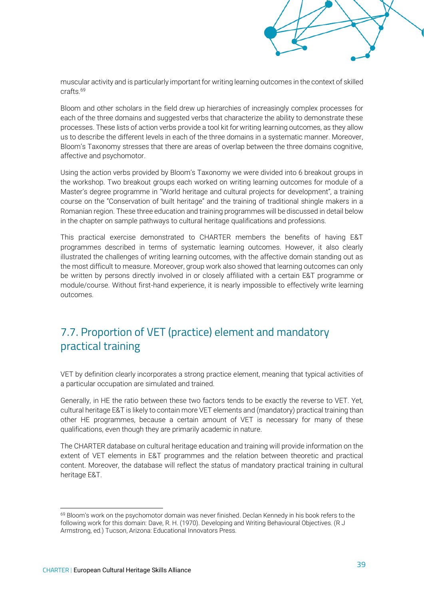muscular activity and is particularly important for writing learning outcomes in the context of skilled crafts<sup>69</sup>

Bloom and other scholars in the field drew up hierarchies of increasingly complex processes for each of the three domains and suggested verbs that characterize the ability to demonstrate these processes. These lists of action verbs provide a tool kit for writing learning outcomes, as they allow us to describe the different levels in each of the three domains in a systematic manner. Moreover, Bloom's Taxonomy stresses that there are areas of overlap between the three domains cognitive, affective and psychomotor.

Using the action verbs provided by Bloom's Taxonomy we were divided into 6 breakout groups in the workshop. Two breakout groups each worked on writing learning outcomes for module of a Master's degree programme in "World heritage and cultural projects for development", a training course on the "Conservation of built heritage" and the training of traditional shingle makers in a Romanian region. These three education and training programmes will be discussed in detail below in the chapter on sample pathways to cultural heritage qualifications and professions.

This practical exercise demonstrated to CHARTER members the benefits of having E&T programmes described in terms of systematic learning outcomes. However, it also clearly illustrated the challenges of writing learning outcomes, with the affective domain standing out as the most difficult to measure. Moreover, group work also showed that learning outcomes can only be written by persons directly involved in or closely affiliated with a certain E&T programme or module/course. Without first-hand experience, it is nearly impossible to effectively write learning outcomes.

## <span id="page-40-0"></span>7.7. Proportion of VET (practice) element and mandatory practical training

VET by definition clearly incorporates a strong practice element, meaning that typical activities of a particular occupation are simulated and trained.

Generally, in HE the ratio between these two factors tends to be exactly the reverse to VET. Yet, cultural heritage E&T is likely to contain more VET elements and (mandatory) practical training than other HE programmes, because a certain amount of VET is necessary for many of these qualifications, even though they are primarily academic in nature.

The CHARTER database on cultural heritage education and training will provide information on the extent of VET elements in E&T programmes and the relation between theoretic and practical content. Moreover, the database will reflect the status of mandatory practical training in cultural heritage E&T.

<sup>&</sup>lt;sup>69</sup> Bloom's work on the psychomotor domain was never finished. Declan Kennedy in his book refers to the following work for this domain: Dave, R. H. (1970). Developing and Writing Behavioural Objectives. (R J Armstrong, ed.) Tucson, Arizona: Educational Innovators Press.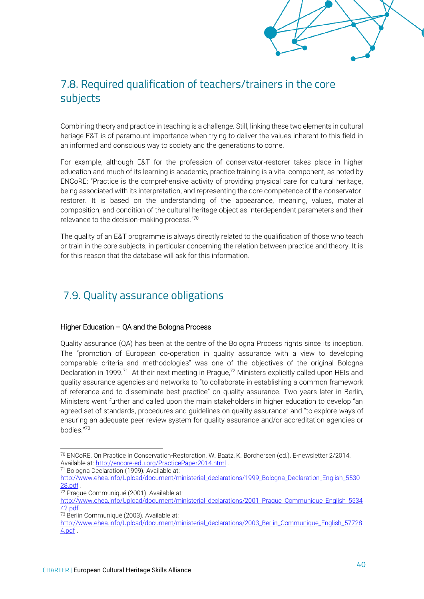## <span id="page-41-0"></span>7.8. Required qualification of teachers/trainers in the core subjects

Combining theory and practice in teaching is a challenge. Still, linking these two elements in cultural heriage E&T is of paramount importance when trying to deliver the values inherent to this field in an informed and conscious way to society and the generations to come.

For example, although E&T for the profession of conservator-restorer takes place in higher education and much of its learning is academic, practice training is a vital component, as noted by ENCoRE: "Practice is the comprehensive activity of providing physical care for cultural heritage, being associated with its interpretation, and representing the core competence of the conservatorrestorer. It is based on the understanding of the appearance, meaning, values, material composition, and condition of the cultural heritage object as interdependent parameters and their relevance to the decision-making process."<sup>70</sup>

The quality of an E&T programme is always directly related to the qualification of those who teach or train in the core subjects, in particular concerning the relation between practice and theory. It is for this reason that the database will ask for this information.

## <span id="page-41-1"></span>7.9. Quality assurance obligations

#### Higher Education – QA and the Bologna Process

Quality assurance (QA) has been at the centre of the Bologna Process rights since its inception. The "promotion of European co-operation in quality assurance with a view to developing comparable criteria and methodologies" was one of the objectives of the original Bologna Declaration in 1999.<sup>71</sup> At their next meeting in Prague,<sup>72</sup> Ministers explicitly called upon HEIs and quality assurance agencies and networks to "to collaborate in establishing a common framework of reference and to disseminate best practice" on quality assurance. Two years later in Berlin, Ministers went further and called upon the main stakeholders in higher education to develop "an agreed set of standards, procedures and guidelines on quality assurance" and "to explore ways of ensuring an adequate peer review system for quality assurance and/or accreditation agencies or bodies."<sup>73</sup>

<sup>70</sup> ENCoRE. On Practice in Conservation-Restoration. W. Baatz, K. Borchersen (ed.). E-newsletter 2/2014. Available at[: http://encore-edu.org/PracticePaper2014.html](http://encore-edu.org/PracticePaper2014.html) .

<sup>71</sup> Bologna Declaration (1999). Available at:

[http://www.ehea.info/Upload/document/ministerial\\_declarations/1999\\_Bologna\\_Declaration\\_English\\_5530](http://www.ehea.info/Upload/document/ministerial_declarations/1999_Bologna_Declaration_English_553028.pdf) [28.pdf](http://www.ehea.info/Upload/document/ministerial_declarations/1999_Bologna_Declaration_English_553028.pdf) .

<sup>72</sup> Prague Communiqué (2001). Available at:

[http://www.ehea.info/Upload/document/ministerial\\_declarations/2001\\_Prague\\_Communique\\_English\\_5534](http://www.ehea.info/Upload/document/ministerial_declarations/2001_Prague_Communique_English_553442.pdf) [42.pdf](http://www.ehea.info/Upload/document/ministerial_declarations/2001_Prague_Communique_English_553442.pdf) .

<sup>73</sup> Berlin Communiqué (2003). Available at:

[http://www.ehea.info/Upload/document/ministerial\\_declarations/2003\\_Berlin\\_Communique\\_English\\_57728](http://www.ehea.info/Upload/document/ministerial_declarations/2003_Berlin_Communique_English_577284.pdf) [4.pdf](http://www.ehea.info/Upload/document/ministerial_declarations/2003_Berlin_Communique_English_577284.pdf) .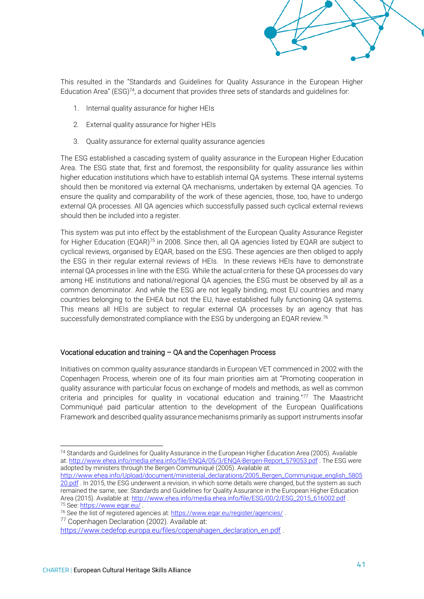

This resulted in the "Standards and Guidelines for Quality Assurance in the European Higher Education Area" (ESG)<sup>74</sup>, a document that provides three sets of standards and quidelines for:

- 1. Internal quality assurance for higher HEIs
- 2. External quality assurance for higher HEIs
- 3. Quality assurance for external quality assurance agencies

The ESG established a cascading system of quality assurance in the European Higher Education Area. The ESG state that, first and foremost, the responsibility for quality assurance lies within higher education institutions which have to establish internal QA systems. These internal systems should then be monitored via external QA mechanisms, undertaken by external QA agencies. To ensure the quality and comparability of the work of these agencies, those, too, have to undergo external QA processes. All QA agencies which successfully passed such cyclical external reviews should then be included into a register.

This system was put into effect by the establishment of the European Quality Assurance Register for Higher Education (EQAR)<sup>75</sup> in 2008. Since then, all QA agencies listed by EQAR are subject to cyclical reviews, organised by EQAR, based on the ESG. These agencies are then obliged to apply the ESG in their regular external reviews of HEIs. In these reviews HEIs have to demonstrate internal QA processes in line with the ESG. While the actual criteria for these QA processes do vary among HE institutions and national/regional QA agencies, the ESG must be observed by all as a common denominator. And while the ESG are not legally binding, most EU countries and many countries belonging to the EHEA but not the EU, have established fully functioning QA systems. This means all HEIs are subject to regular external QA processes by an agency that has successfully demonstrated compliance with the ESG by undergoing an EQAR review.<sup>76</sup>

#### Vocational education and training – QA and the Copenhagen Process

Initiatives on common quality assurance standards in European VET commenced in 2002 with the Copenhagen Process, wherein one of its four main priorities aim at "Promoting cooperation in quality assurance with particular focus on exchange of models and methods, as well as common criteria and principles for quality in vocational education and training."<sup>77</sup> The Maastricht Communiqué paid particular attention to the development of the European Qualifications Framework and described quality assurance mechanisms primarily as support instruments insofar

[http://www.ehea.info/Upload/document/ministerial\\_declarations/2005\\_Bergen\\_Communique\\_english\\_5805](http://www.ehea.info/Upload/document/ministerial_declarations/2005_Bergen_Communique_english_580520.pdf) [20.pdf](http://www.ehea.info/Upload/document/ministerial_declarations/2005_Bergen_Communique_english_580520.pdf) . In 2015, the ESG underwent a revision, in which some details were changed, but the system as such remained the same, see: Standards and Guidelines for Quality Assurance in the European Higher Education Area (2015). Available at: [http://www.ehea.info/media.ehea.info/file/ESG/00/2/ESG\\_2015\\_616002.pdf](http://www.ehea.info/media.ehea.info/file/ESG/00/2/ESG_2015_616002.pdf) . <sup>75</sup> See[: https://www.eqar.eu/](https://www.eqar.eu/) .

<sup>74</sup> Standards and Guidelines for Quality Assurance in the European Higher Education Area (2005). Available at: [http://www.ehea.info/media.ehea.info/file/ENQA/05/3/ENQA-Bergen-Report\\_579053.pdf](http://www.ehea.info/media.ehea.info/file/ENQA/05/3/ENQA-Bergen-Report_579053.pdf) . The ESG were adopted by ministers through the Bergen Communiqué (2005). Available at:

<sup>76</sup> See the list of registered agencies at[: https://www.eqar.eu/register/agencies/](https://www.eqar.eu/register/agencies/) .

<sup>77</sup> Copenhagen Declaration (2002). Available at:

[https://www.cedefop.europa.eu/files/copenahagen\\_declaration\\_en.pdf](https://www.cedefop.europa.eu/files/copenahagen_declaration_en.pdf) .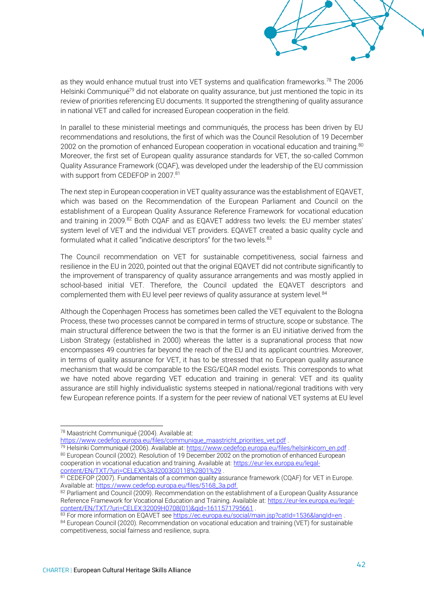as they would enhance mutual trust into VET systems and qualification frameworks.<sup>78</sup> The 2006 Helsinki Communiqué<sup>79</sup> did not elaborate on quality assurance, but just mentioned the topic in its review of priorities referencing EU documents. It supported the strengthening of quality assurance in national VET and called for increased European cooperation in the field.

In parallel to these ministerial meetings and communiqués, the process has been driven by EU recommendations and resolutions, the first of which was the Council Resolution of 19 December 2002 on the promotion of enhanced European cooperation in vocational education and training.<sup>80</sup> Moreover, the first set of European quality assurance standards for VET, the so-called Common Quality Assurance Framework (CQAF), was developed under the leadership of the EU commission with support from CEDEFOP in 2007.<sup>81</sup>

The next step in European cooperation in VET quality assurance was the establishment of EQAVET, which was based on the Recommendation of the European Parliament and Council on the establishment of a European Quality Assurance Reference Framework for vocational education and training in 2009.<sup>82</sup> Both CQAF and as EQAVET address two levels: the EU member states' system level of VET and the individual VET providers. EQAVET created a basic quality cycle and formulated what it called "indicative descriptors" for the two levels.<sup>83</sup>

The Council recommendation on VET for sustainable competitiveness, social fairness and resilience in the EU in 2020, pointed out that the original EQAVET did not contribute significantly to the improvement of transparency of quality assurance arrangements and was mostly applied in school-based initial VET. Therefore, the Council updated the EQAVET descriptors and complemented them with EU level peer reviews of quality assurance at system level.<sup>84</sup>

Although the Copenhagen Process has sometimes been called the VET equivalent to the Bologna Process, these two processes cannot be compared in terms of structure, scope or substance. The main structural difference between the two is that the former is an EU initiative derived from the Lisbon Strategy (established in 2000) whereas the latter is a supranational process that now encompasses 49 countries far beyond the reach of the EU and its applicant countries. Moreover, in terms of quality assurance for VET, it has to be stressed that no European quality assurance mechanism that would be comparable to the ESG/EQAR model exists. This corresponds to what we have noted above regarding VET education and training in general: VET and its quality assurance are still highly individualistic systems steeped in national/regional traditions with very few European reference points. If a system for the peer review of national VET systems at EU level

[https://www.cedefop.europa.eu/files/communique\\_maastricht\\_priorities\\_vet.pdf](https://www.cedefop.europa.eu/files/communique_maastricht_priorities_vet.pdf).

<sup>78</sup> Maastricht Communiqué (2004). Available at:

<sup>79</sup> Helsinki Communiqué (2006). Available at: [https://www.cedefop.europa.eu/files/helsinkicom\\_en.pdf](https://www.cedefop.europa.eu/files/helsinkicom_en.pdf) . 80 European Council (2002). Resolution of 19 December 2002 on the promotion of enhanced European cooperation in vocational education and training. Available at: [https://eur-lex.europa.eu/legal](https://eur-lex.europa.eu/legal-content/EN/TXT/?uri=CELEX%3A32003G0118%2801%29)[content/EN/TXT/?uri=CELEX%3A32003G0118%2801%29](https://eur-lex.europa.eu/legal-content/EN/TXT/?uri=CELEX%3A32003G0118%2801%29) .

<sup>81</sup> CEDEFOP (2007). Fundamentals of a common quality assurance framework (CQAF) for VET in Europe. Available at[: https://www.cedefop.europa.eu/files/5168\\_3a.pdf.](https://www.cedefop.europa.eu/files/5168_3a.pdf)

<sup>82</sup> Parliament and Council (2009). Recommendation on the establishment of a European Quality Assurance Reference Framework for Vocational Education and Training. Available at: [https://eur-lex.europa.eu/legal](https://eur-lex.europa.eu/legal-content/EN/TXT/?uri=CELEX:32009H0708(01)&qid=1611571795661)[content/EN/TXT/?uri=CELEX:32009H0708\(01\)&qid=1611571795661](https://eur-lex.europa.eu/legal-content/EN/TXT/?uri=CELEX:32009H0708(01)&qid=1611571795661) .

<sup>83</sup> For more information on EQAVET se[e https://ec.europa.eu/social/main.jsp?catId=1536&langId=en](https://ec.europa.eu/social/main.jsp?catId=1536&langId=en).

<sup>84</sup> European Council (2020). Recommendation on vocational education and training (VET) for sustainable competitiveness, social fairness and resilience, supra.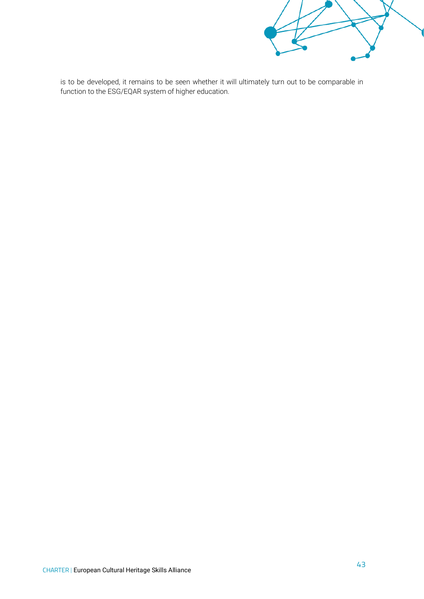

is to be developed, it remains to be seen whether it will ultimately turn out to be comparable in function to the ESG/EQAR system of higher education.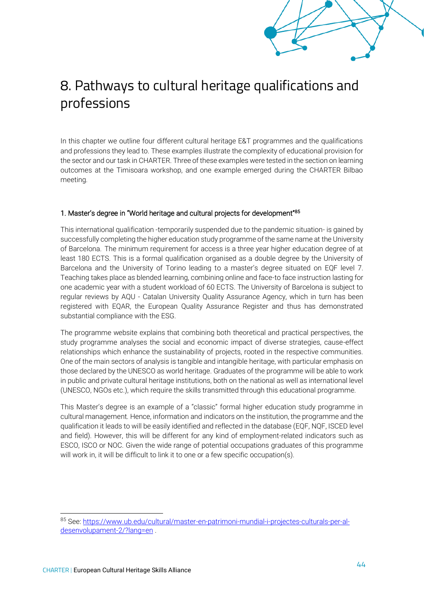# <span id="page-45-0"></span>8. Pathways to cultural heritage qualifications and professions

In this chapter we outline four different cultural heritage E&T programmes and the qualifications and professions they lead to. These examples illustrate the complexity of educational provision for the sector and our task in CHARTER. Three of these examples were tested in the section on learning outcomes at the Timisoara workshop, and one example emerged during the CHARTER Bilbao meeting.

#### 1. Master's degree in "World heritage and cultural projects for development"<sup>85</sup>

This international qualification -temporarily suspended due to the pandemic situation- is gained by successfully completing the higher education study programme of the same name at the University of Barcelona. The minimum requirement for access is a three year higher education degree of at least 180 ECTS. This is a formal qualification organised as a double degree by the University of Barcelona and the University of Torino leading to a master's degree situated on EQF level 7. Teaching takes place as blended learning, combining online and face-to face instruction lasting for one academic year with a student workload of 60 ECTS. The University of Barcelona is subject to regular reviews by AQU - Catalan University Quality Assurance Agency, which in turn has been registered with EQAR, the European Quality Assurance Register and thus has demonstrated substantial compliance with the ESG.

The programme website explains that combining both theoretical and practical perspectives, the study programme analyses the social and economic impact of diverse strategies, cause-effect relationships which enhance the sustainability of projects, rooted in the respective communities. One of the main sectors of analysis is tangible and intangible heritage, with particular emphasis on those declared by the UNESCO as world heritage. Graduates of the programme will be able to work in public and private cultural heritage institutions, both on the national as well as international level (UNESCO, NGOs etc.), which require the skills transmitted through this educational programme.

This Master's degree is an example of a "classic" formal higher education study programme in cultural management. Hence, information and indicators on the institution, the programme and the qualification it leads to will be easily identified and reflected in the database (EQF, NQF, ISCED level and field). However, this will be different for any kind of employment-related indicators such as ESCO, ISCO or NOC. Given the wide range of potential occupations graduates of this programme will work in, it will be difficult to link it to one or a few specific occupation(s).

<sup>85</sup> See[: https://www.ub.edu/cultural/master-en-patrimoni-mundial-i-projectes-culturals-per-al](https://www.ub.edu/cultural/master-en-patrimoni-mundial-i-projectes-culturals-per-al-desenvolupament-2/?lang=en)[desenvolupament-2/?lang=en](https://www.ub.edu/cultural/master-en-patrimoni-mundial-i-projectes-culturals-per-al-desenvolupament-2/?lang=en) .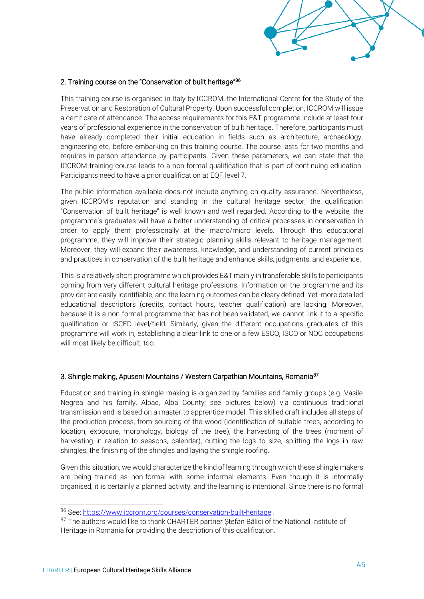## 2. Training course on the "Conservation of built heritage"<sup>86</sup>

This training course is organised in Italy by ICCROM, the International Centre for the Study of the Preservation and Restoration of Cultural Property. Upon successful completion, ICCROM will issue a certificate of attendance. The access requirements for this E&T programme include at least four years of professional experience in the conservation of built heritage. Therefore, participants must have already completed their initial education in fields such as architecture, archaeology, engineering etc. before embarking on this training course. The course lasts for two months and requires in-person attendance by participants. Given these parameters, we can state that the ICCROM training course leads to a non-formal qualification that is part of continuing education. Participants need to have a prior qualification at EQF level 7.

The public information available does not include anything on quality assurance. Nevertheless, given ICCROM's reputation and standing in the cultural heritage sector, the qualification "Conservation of built heritage" is well known and well regarded. According to the website, the programme's graduates will have a better understanding of critical processes in conservation in order to apply them professionally at the macro/micro levels. Through this educational programme, they will improve their strategic planning skills relevant to heritage management. Moreover, they will expand their awareness, knowledge, and understanding of current principles and practices in conservation of the built heritage and enhance skills, judgments, and experience.

This is a relatively short programme which provides E&T mainly in transferable skills to participants coming from very different cultural heritage professions. Information on the programme and its provider are easily identifiable, and the learning outcomes can be cleary defined. Yet more detailed educational descriptors (credits, contact hours, teacher qualification) are lacking. Moreover, because it is a non-formal programme that has not been validated, we cannot link it to a specific qualification or ISCED level/field. Similarly, given the different occupations graduates of this programme will work in, establishing a clear link to one or a few ESCO, ISCO or NOC occupations will most likely be difficult, too.

#### 3. Shingle making, Apuseni Mountains / Western Carpathian Mountains, Romania<sup>87</sup>

Education and training in shingle making is organized by families and family groups (e.g. Vasile Negrea and his family, Albac, Alba County; see pictures below) via continuous traditional transmission and is based on a master to apprentice model. This skilled craft includes all steps of the production process, from sourcing of the wood (identification of suitable trees, according to location, exposure, morphology, biology of the tree), the harvesting of the trees (moment of harvesting in relation to seasons, calendar), cutting the logs to size, splitting the logs in raw shingles, the finishing of the shingles and laying the shingle roofing.

Given this situation, we would characterize the kind of learning through which these shingle makers are being trained as non-formal with some informal elements. Even though it is informally organised, it is certainly a planned activity, and the learning is intentional. Since there is no formal

<sup>86</sup> See[: https://www.iccrom.org/courses/conservation-built-heritage](https://www.iccrom.org/courses/conservation-built-heritage) .

<sup>87</sup> The authors would like to thank CHARTER partner Stefan Bâlici of the National Institute of Heritage in Romania for providing the description of this qualification.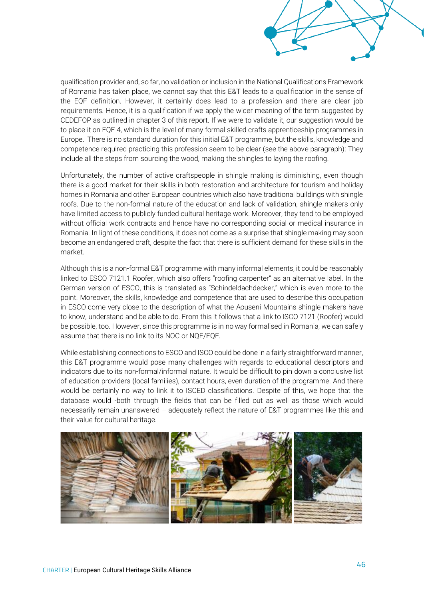qualification provider and, so far, no validation or inclusion in the National Qualifications Framework of Romania has taken place, we cannot say that this E&T leads to a qualification in the sense of the EQF definition. However, it certainly does lead to a profession and there are clear job requirements. Hence, it is a qualification if we apply the wider meaning of the term suggested by CEDEFOP as outlined in chapter 3 of this report. If we were to validate it, our suggestion would be to place it on EQF 4, which is the level of many formal skilled crafts apprenticeship programmes in Europe. There is no standard duration for this initial E&T programme, but the skills, knowledge and competence required practicing this profession seem to be clear (see the above paragraph): They include all the steps from sourcing the wood, making the shingles to laying the roofing.

Unfortunately, the number of active craftspeople in shingle making is diminishing, even though there is a good market for their skills in both restoration and architecture for tourism and holiday homes in Romania and other European countries which also have traditional buildings with shingle roofs. Due to the non-formal nature of the education and lack of validation, shingle makers only have limited access to publicly funded cultural heritage work. Moreover, they tend to be employed without official work contracts and hence have no corresponding social or medical insurance in Romania. In light of these conditions, it does not come as a surprise that shingle making may soon become an endangered craft, despite the fact that there is sufficient demand for these skills in the market.

Although this is a non-formal E&T programme with many informal elements, it could be reasonably linked to ESCO 7121.1 Roofer, which also offers "roofing carpenter" as an alternative label. In the German version of ESCO, this is translated as "Schindeldachdecker," which is even more to the point. Moreover, the skills, knowledge and competence that are used to describe this occupation in ESCO come very close to the description of what the Aouseni Mountains shingle makers have to know, understand and be able to do. From this it follows that a link to ISCO 7121 (Roofer) would be possible, too. However, since this programme is in no way formalised in Romania, we can safely assume that there is no link to its NOC or NQF/EQF.

While establishing connections to ESCO and ISCO could be done in a fairly straightforward manner, this E&T programme would pose many challenges with regards to educational descriptors and indicators due to its non-formal/informal nature. It would be difficult to pin down a conclusive list of education providers (local families), contact hours, even duration of the programme. And there would be certainly no way to link it to ISCED classifications. Despite of this, we hope that the database would -both through the fields that can be filled out as well as those which would necessarily remain unanswered – adequately reflect the nature of E&T programmes like this and their value for cultural heritage.

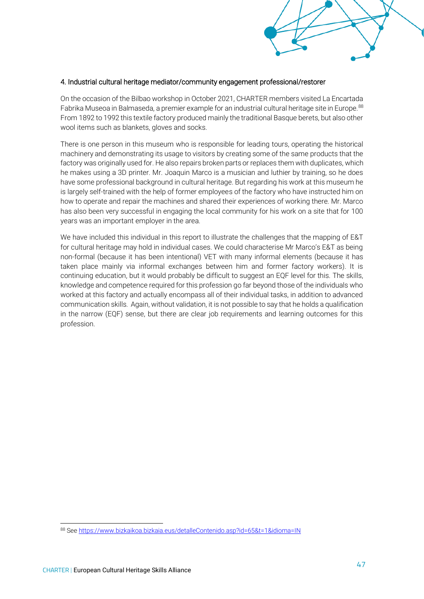

#### 4. Industrial cultural heritage mediator/community engagement professional/restorer

On the occasion of the Bilbao workshop in October 2021, CHARTER members visited La Encartada Fabrika Museoa in Balmaseda, a premier example for an industrial cultural heritage site in Europe.<sup>88</sup> From 1892 to 1992 this textile factory produced mainly the traditional Basque berets, but also other wool items such as blankets, gloves and socks.

There is one person in this museum who is responsible for leading tours, operating the historical machinery and demonstrating its usage to visitors by creating some of the same products that the factory was originally used for. He also repairs broken parts or replaces them with duplicates, which he makes using a 3D printer. Mr. Joaquin Marco is a musician and luthier by training, so he does have some professional background in cultural heritage. But regarding his work at this museum he is largely self-trained with the help of former employees of the factory who have instructed him on how to operate and repair the machines and shared their experiences of working there. Mr. Marco has also been very successful in engaging the local community for his work on a site that for 100 years was an important employer in the area.

We have included this individual in this report to illustrate the challenges that the mapping of E&T for cultural heritage may hold in individual cases. We could characterise Mr Marco's E&T as being non-formal (because it has been intentional) VET with many informal elements (because it has taken place mainly via informal exchanges between him and former factory workers). It is continuing education, but it would probably be difficult to suggest an EQF level for this. The skills, knowledge and competence required for this profession go far beyond those of the individuals who worked at this factory and actually encompass all of their individual tasks, in addition to advanced communication skills. Again, without validation, it is not possible to say that he holds a qualification in the narrow (EQF) sense, but there are clear job requirements and learning outcomes for this profession.

<sup>88</sup> Se[e https://www.bizkaikoa.bizkaia.eus/detalleContenido.asp?id=65&t=1&idioma=IN](https://www.bizkaikoa.bizkaia.eus/detalleContenido.asp?id=65&t=1&idioma=IN)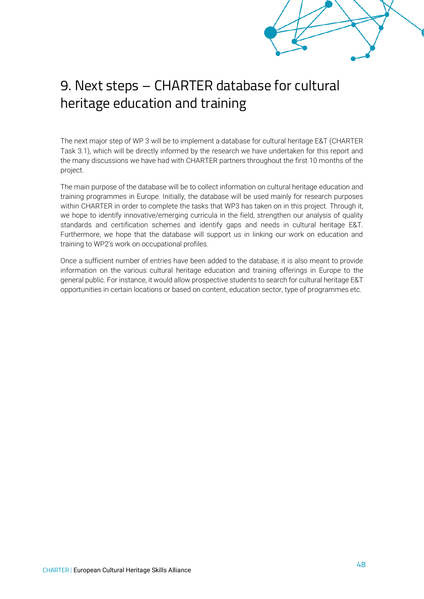# <span id="page-49-0"></span>9. Next steps – CHARTER database for cultural heritage education and training

The next major step of WP 3 will be to implement a database for cultural heritage E&T (CHARTER Task 3.1), which will be directly informed by the research we have undertaken for this report and the many discussions we have had with CHARTER partners throughout the first 10 months of the project.

The main purpose of the database will be to collect information on cultural heritage education and training programmes in Europe. Initially, the database will be used mainly for research purposes within CHARTER in order to complete the tasks that WP3 has taken on in this project. Through it, we hope to identify innovative/emerging curricula in the field, strengthen our analysis of quality standards and certification schemes and identify gaps and needs in cultural heritage E&T. Furthermore, we hope that the database will support us in linking our work on education and training to WP2's work on occupational profiles.

Once a sufficient number of entries have been added to the database, it is also meant to provide information on the various cultural heritage education and training offerings in Europe to the general public. For instance, it would allow prospective students to search for cultural heritage E&T opportunities in certain locations or based on content, education sector, type of programmes etc.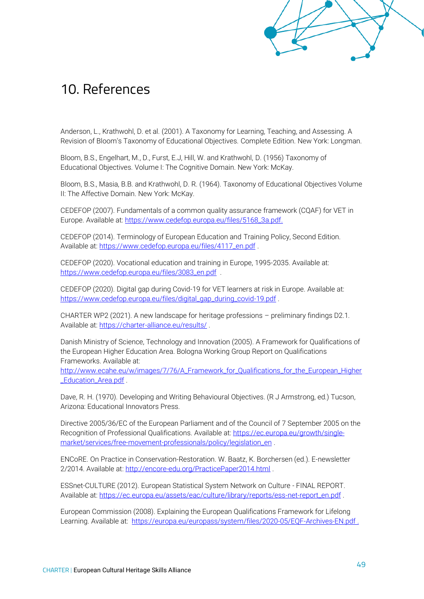

# <span id="page-50-0"></span>10. References

Anderson, L., Krathwohl, D. et al. (2001). A Taxonomy for Learning, Teaching, and Assessing. A Revision of Bloom's Taxonomy of Educational Objectives. Complete Edition. New York: Longman.

Bloom, B.S., Engelhart, M., D., Furst, E.J, Hill, W. and Krathwohl, D. (1956) Taxonomy of Educational Objectives. Volume I: The Cognitive Domain. New York: McKay.

Bloom, B.S., Masia, B.B. and Krathwohl, D. R. (1964). Taxonomy of Educational Objectives Volume II: The Affective Domain. New York: McKay.

CEDEFOP (2007). Fundamentals of a common quality assurance framework (CQAF) for VET in Europe. Available at[: https://www.cedefop.europa.eu/files/5168\\_3a.pdf.](https://www.cedefop.europa.eu/files/5168_3a.pdf)

CEDEFOP (2014). Terminology of European Education and Training Policy, Second Edition. Available at: [https://www.cedefop.europa.eu/files/4117\\_en.pdf](https://www.cedefop.europa.eu/files/4117_en.pdf) .

CEDEFOP (2020). Vocational education and training in Europe, 1995-2035. Available at: [https://www.cedefop.europa.eu/files/3083\\_en.pdf](https://www.cedefop.europa.eu/files/3083_en.pdf) .

CEDEFOP (2020). Digital gap during Covid-19 for VET learners at risk in Europe. Available at: [https://www.cedefop.europa.eu/files/digital\\_gap\\_during\\_covid-19.pdf](https://www.cedefop.europa.eu/files/digital_gap_during_covid-19.pdf) .

CHARTER WP2 (2021). A new landscape for heritage professions – preliminary findings D2.1*.*  Available at:<https://charter-alliance.eu/results/> .

Danish Ministry of Science, Technology and Innovation (2005). A Framework for Qualifications of the European Higher Education Area. Bologna Working Group Report on Qualifications Frameworks. Available at:

[http://www.ecahe.eu/w/images/7/76/A\\_Framework\\_for\\_Qualifications\\_for\\_the\\_European\\_Higher](http://www.ecahe.eu/w/images/7/76/A_Framework_for_Qualifications_for_the_European_Higher_Education_Area.pdf) [\\_Education\\_Area.pdf](http://www.ecahe.eu/w/images/7/76/A_Framework_for_Qualifications_for_the_European_Higher_Education_Area.pdf) .

Dave, R. H. (1970). Developing and Writing Behavioural Objectives. (R J Armstrong, ed.) Tucson, Arizona: Educational Innovators Press.

Directive 2005/36/EC of the European Parliament and of the Council of 7 September 2005 on the Recognition of Professional Qualifications. Available at: [https://ec.europa.eu/growth/single](https://ec.europa.eu/growth/single-market/services/free-movement-professionals/policy/legislation_en)[market/services/free-movement-professionals/policy/legislation\\_en](https://ec.europa.eu/growth/single-market/services/free-movement-professionals/policy/legislation_en) .

ENCoRE. On Practice in Conservation-Restoration. W. Baatz, K. Borchersen (ed.). E-newsletter 2/2014. Available at:<http://encore-edu.org/PracticePaper2014.html> .

ESSnet‐CULTURE (2012). European Statistical System Network on Culture - FINAL REPORT. Available at: [https://ec.europa.eu/assets/eac/culture/library/reports/ess-net-report\\_en.pdf](https://ec.europa.eu/assets/eac/culture/library/reports/ess-net-report_en.pdf) .

European Commission (2008). Explaining the European Qualifications Framework for Lifelong Learning. Available at: <https://europa.eu/europass/system/files/2020-05/EQF-Archives-EN.pdf>.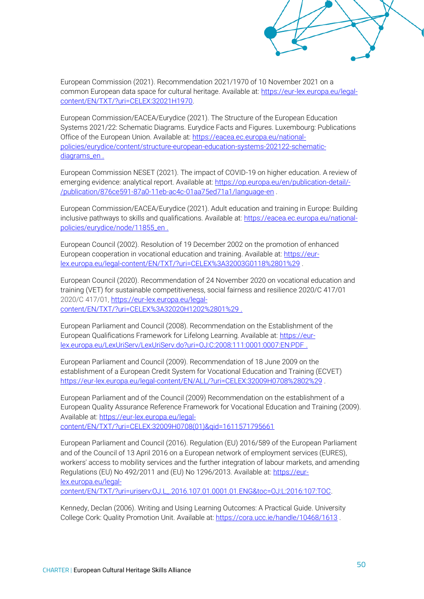

European Commission (2021). Recommendation 2021/1970 of 10 November 2021 on a common European data space for cultural heritage. Available at: [https://eur-lex.europa.eu/legal](https://eur-lex.europa.eu/legal-content/EN/TXT/?uri=CELEX:32021H1970)[content/EN/TXT/?uri=CELEX:32021H1970.](https://eur-lex.europa.eu/legal-content/EN/TXT/?uri=CELEX:32021H1970)

European Commission/EACEA/Eurydice (2021). The Structure of the European Education Systems 2021/22: Schematic Diagrams. Eurydice Facts and Figures. Luxembourg: Publications Office of the European Union. Available at: [https://eacea.ec.europa.eu/national](https://eacea.ec.europa.eu/national-policies/eurydice/content/structure-european-education-systems-202122-schematic-diagrams_en)[policies/eurydice/content/structure-european-education-systems-202122-schematic](https://eacea.ec.europa.eu/national-policies/eurydice/content/structure-european-education-systems-202122-schematic-diagrams_en)[diagrams\\_en](https://eacea.ec.europa.eu/national-policies/eurydice/content/structure-european-education-systems-202122-schematic-diagrams_en) .

European Commission NESET (2021). The impact of COVID-19 on higher education. A review of emerging evidence: analytical report. Available at: [https://op.europa.eu/en/publication-detail/-](https://op.europa.eu/en/publication-detail/-/publication/876ce591-87a0-11eb-ac4c-01aa75ed71a1/language-en) [/publication/876ce591-87a0-11eb-ac4c-01aa75ed71a1/language-en](https://op.europa.eu/en/publication-detail/-/publication/876ce591-87a0-11eb-ac4c-01aa75ed71a1/language-en) .

European Commission/EACEA/Eurydice (2021). Adult education and training in Europe: Building inclusive pathways to skills and qualifications. Available at: [https://eacea.ec.europa.eu/national](https://eacea.ec.europa.eu/national-policies/eurydice/node/11855_en)[policies/eurydice/node/11855\\_en](https://eacea.ec.europa.eu/national-policies/eurydice/node/11855_en) .

European Council (2002). Resolution of 19 December 2002 on the promotion of enhanced European cooperation in vocational education and training. Available at: [https://eur](https://eur-lex.europa.eu/legal-content/EN/TXT/?uri=CELEX%3A32003G0118%2801%29)[lex.europa.eu/legal-content/EN/TXT/?uri=CELEX%3A32003G0118%2801%29](https://eur-lex.europa.eu/legal-content/EN/TXT/?uri=CELEX%3A32003G0118%2801%29) .

European Council (2020). Recommendation of 24 November 2020 on vocational education and training (VET) for sustainable competitiveness, social fairness and resilience 2020/C 417/01 2020/C 417/01, [https://eur-lex.europa.eu/legal](https://eur-lex.europa.eu/legal-content/EN/TXT/?uri=CELEX%3A32020H1202%2801%29)[content/EN/TXT/?uri=CELEX%3A32020H1202%2801%29](https://eur-lex.europa.eu/legal-content/EN/TXT/?uri=CELEX%3A32020H1202%2801%29) .

European Parliament and Council (2008). Recommendation on the Establishment of the European Qualifications Framework for Lifelong Learning. Available at: [https://eur](https://eur-lex.europa.eu/LexUriServ/LexUriServ.do?uri=OJ:C:2008:111:0001:0007:EN:PDF)[lex.europa.eu/LexUriServ/LexUriServ.do?uri=OJ:C:2008:111:0001:0007:EN:PDF](https://eur-lex.europa.eu/LexUriServ/LexUriServ.do?uri=OJ:C:2008:111:0001:0007:EN:PDF) .

European Parliament and Council (2009). Recommendation of 18 June 2009 on the establishment of a European Credit System for Vocational Education and Training (ECVET) <https://eur-lex.europa.eu/legal-content/EN/ALL/?uri=CELEX:32009H0708%2802%29>.

European Parliament and of the Council (2009) Recommendation on the establishment of a European Quality Assurance Reference Framework for Vocational Education and Training (2009). Available at: [https://eur-lex.europa.eu/legal](https://eur-lex.europa.eu/legal-content/EN/TXT/?uri=CELEX:32009H0708(01)&qid=1611571795661)[content/EN/TXT/?uri=CELEX:32009H0708\(01\)&qid=1611571795661](https://eur-lex.europa.eu/legal-content/EN/TXT/?uri=CELEX:32009H0708(01)&qid=1611571795661)

European Parliament and Council (2016). Regulation (EU) 2016/589 of the European Parliament and of the Council of 13 April 2016 on a European network of employment services (EURES), workers' access to mobility services and the further integration of labour markets, and amending Regulations (EU) No 492/2011 and (EU) No 1296/2013. Available at: [https://eur](https://eur-lex.europa.eu/legal-content/EN/TXT/?uri=uriserv:OJ.L_.2016.107.01.0001.01.ENG&toc=OJ:L:2016:107:TOC)[lex.europa.eu/legal](https://eur-lex.europa.eu/legal-content/EN/TXT/?uri=uriserv:OJ.L_.2016.107.01.0001.01.ENG&toc=OJ:L:2016:107:TOC)[content/EN/TXT/?uri=uriserv:OJ.L\\_.2016.107.01.0001.01.ENG&toc=OJ:L:2016:107:TOC.](https://eur-lex.europa.eu/legal-content/EN/TXT/?uri=uriserv:OJ.L_.2016.107.01.0001.01.ENG&toc=OJ:L:2016:107:TOC)

Kennedy, Declan (2006). Writing and Using Learning Outcomes: A Practical Guide. University College Cork: Quality Promotion Unit. Available at:<https://cora.ucc.ie/handle/10468/1613>.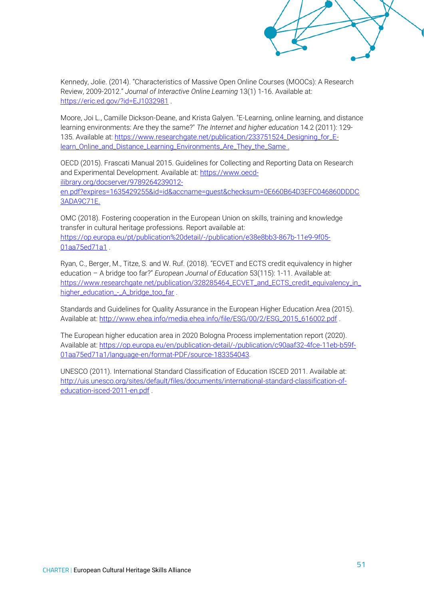

Kennedy, Jolie. (2014). "Characteristics of Massive Open Online Courses (MOOCs): A Research Review, 2009-2012." *Journal of Interactive Online Learning* 13(1) 1-16. Available at: <https://eric.ed.gov/?id=EJ1032981> .

Moore, Joi L., Camille Dickson-Deane, and Krista Galyen. "E-Learning, online learning, and distance learning environments: Are they the same?" *The Internet and higher education* 14.2 (2011): 129- 135. Available at: [https://www.researchgate.net/publication/233751524\\_Designing\\_for\\_E](https://www.researchgate.net/publication/233751524_Designing_for_E-learn_Online_and_Distance_Learning_Environments_Are_They_the_Same)learn Online and Distance Learning Environments Are They the Same .

OECD (2015). Frascati Manual 2015. Guidelines for Collecting and Reporting Data on Research and Experimental Development. Available at: [https://www.oecd](https://www.oecd-ilibrary.org/docserver/9789264239012-en.pdf?expires=1635429255&id=id&accname=guest&checksum=0E660B64D3EFC046860DDDC3ADA9C71E)[ilibrary.org/docserver/9789264239012](https://www.oecd-ilibrary.org/docserver/9789264239012-en.pdf?expires=1635429255&id=id&accname=guest&checksum=0E660B64D3EFC046860DDDC3ADA9C71E) [en.pdf?expires=1635429255&id=id&accname=guest&checksum=0E660B64D3EFC046860DDDC](https://www.oecd-ilibrary.org/docserver/9789264239012-en.pdf?expires=1635429255&id=id&accname=guest&checksum=0E660B64D3EFC046860DDDC3ADA9C71E)

[3ADA9C71E.](https://www.oecd-ilibrary.org/docserver/9789264239012-en.pdf?expires=1635429255&id=id&accname=guest&checksum=0E660B64D3EFC046860DDDC3ADA9C71E)

OMC (2018). Fostering cooperation in the European Union on skills, training and knowledge transfer in cultural heritage professions. Report available at: [https://op.europa.eu/pt/publication%20detail/-/publication/e38e8bb3-867b-11e9-9f05-](https://op.europa.eu/pt/publication%20detail/-/publication/e38e8bb3-867b-11e9-9f05-01aa75ed71a1) [01aa75ed71a1](https://op.europa.eu/pt/publication%20detail/-/publication/e38e8bb3-867b-11e9-9f05-01aa75ed71a1) .

Ryan, C., Berger, M., Titze, S. and W. Ruf. (2018). "ECVET and ECTS credit equivalency in higher education – A bridge too far?" *European Journal of Education* 53(115): 1-11. Available at: [https://www.researchgate.net/publication/328285464\\_ECVET\\_and\\_ECTS\\_credit\\_equivalency\\_in\\_](https://www.researchgate.net/publication/328285464_ECVET_and_ECTS_credit_equivalency_in_higher_education_-_A_bridge_too_far) [higher\\_education\\_-\\_A\\_bridge\\_too\\_far](https://www.researchgate.net/publication/328285464_ECVET_and_ECTS_credit_equivalency_in_higher_education_-_A_bridge_too_far).

Standards and Guidelines for Quality Assurance in the European Higher Education Area (2015). Available at: [http://www.ehea.info/media.ehea.info/file/ESG/00/2/ESG\\_2015\\_616002.pdf](http://www.ehea.info/media.ehea.info/file/ESG/00/2/ESG_2015_616002.pdf) .

The European higher education area in 2020 Bologna Process implementation report (2020). Available at: [https://op.europa.eu/en/publication-detail/-/publication/c90aaf32-4fce-11eb-b59f-](https://op.europa.eu/en/publication-detail/-/publication/c90aaf32-4fce-11eb-b59f-01aa75ed71a1/language-en/format-PDF/source-183354043)[01aa75ed71a1/language-en/format-PDF/source-183354043.](https://op.europa.eu/en/publication-detail/-/publication/c90aaf32-4fce-11eb-b59f-01aa75ed71a1/language-en/format-PDF/source-183354043)

UNESCO (2011). International Standard Classification of Education ISCED 2011. Available at: [http://uis.unesco.org/sites/default/files/documents/international-standard-classification-of](http://uis.unesco.org/sites/default/files/documents/international-standard-classification-of-education-isced-2011-en.pdf)[education-isced-2011-en.pdf](http://uis.unesco.org/sites/default/files/documents/international-standard-classification-of-education-isced-2011-en.pdf) .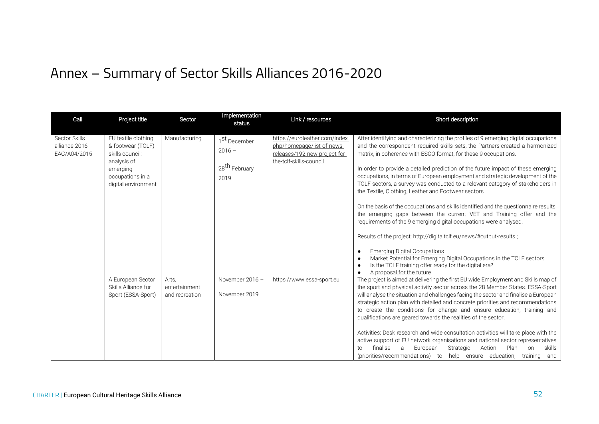# Annex – Summary of Sector Skills Alliances 2016-2020

<span id="page-53-0"></span>

| Call                                           | Project title                                                                                                                     | Sector                                   | Implementation<br>status                                                  | Link / resources                                                                                                         | Short description                                                                                                                                                                                                                                                                                                                                                                                                                                                                                                                                                                                                                                                                                                                                                                                                                                                                                                                                                                                                                                                        |
|------------------------------------------------|-----------------------------------------------------------------------------------------------------------------------------------|------------------------------------------|---------------------------------------------------------------------------|--------------------------------------------------------------------------------------------------------------------------|--------------------------------------------------------------------------------------------------------------------------------------------------------------------------------------------------------------------------------------------------------------------------------------------------------------------------------------------------------------------------------------------------------------------------------------------------------------------------------------------------------------------------------------------------------------------------------------------------------------------------------------------------------------------------------------------------------------------------------------------------------------------------------------------------------------------------------------------------------------------------------------------------------------------------------------------------------------------------------------------------------------------------------------------------------------------------|
| Sector Skills<br>alliance 2016<br>EAC/A04/2015 | EU textile clothing<br>& footwear (TCLF)<br>skills council:<br>analysis of<br>emerging<br>occupations in a<br>digital environment | Manufacturing                            | 1 <sup>St</sup> December<br>$2016 -$<br>28 <sup>th</sup> February<br>2019 | https://euroleather.com/index.<br>php/homepage/list-of-news-<br>releases/192-new-project-for-<br>the-tclf-skills-council | After identifying and characterizing the profiles of 9 emerging digital occupations<br>and the correspondent required skills sets, the Partners created a harmonized<br>matrix, in coherence with ESCO format, for these 9 occupations.<br>In order to provide a detailed prediction of the future impact of these emerging<br>occupations, in terms of European employment and strategic development of the<br>TCLF sectors, a survey was conducted to a relevant category of stakeholders in<br>the Textile, Clothing, Leather and Footwear sectors.<br>On the basis of the occupations and skills identified and the questionnaire results,<br>the emerging gaps between the current VET and Training offer and the<br>requirements of the 9 emerging digital occupations were analysed.<br>Results of the project: http://digitaltclf.eu/news/#output-results:<br><b>Emerging Digital Occupations</b><br>Market Potential for Emerging Digital Occupations in the TCLF sectors<br>Is the TCLF training offer ready for the digital era?<br>A proposal for the future |
|                                                | A European Sector<br>Skills Alliance for<br>Sport (ESSA-Sport)                                                                    | Arts,<br>entertainment<br>and recreation | November 2016 -<br>November 2019                                          | https://www.essa-sport.eu                                                                                                | The project is aimed at delivering the first EU wide Employment and Skills map of<br>the sport and physical activity sector across the 28 Member States. ESSA-Sport<br>will analyse the situation and challenges facing the sector and finalise a European<br>strategic action plan with detailed and concrete priorities and recommendations<br>to create the conditions for change and ensure education, training and<br>qualifications are geared towards the realities of the sector.<br>Activities: Desk research and wide consultation activities will take place with the<br>active support of EU network organisations and national sector representatives<br>finalise<br>European<br>Strategic<br>Plan<br>a<br>Action<br>skills<br>on<br>to<br>(priorities/recommendations) to help ensure education, training and                                                                                                                                                                                                                                              |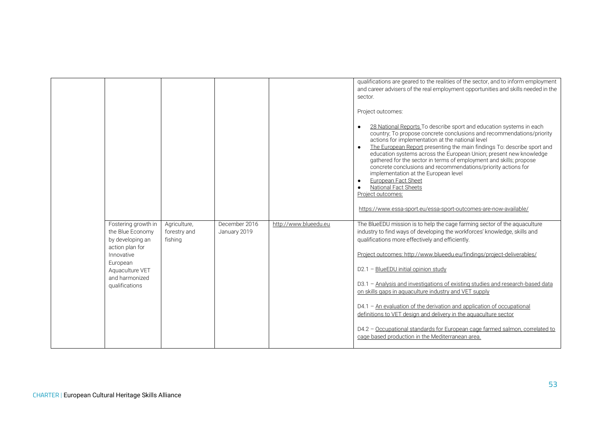|                                                                                                                                                                 |                                         |                               |                       | qualifications are geared to the realities of the sector, and to inform employment<br>and career advisers of the real employment opportunities and skills needed in the<br>sector.<br>Project outcomes:<br>28 National Reports To describe sport and education systems in each<br>country; To propose concrete conclusions and recommendations/priority<br>actions for implementation at the national level<br>The European Report presenting the main findings To: describe sport and<br>education systems across the European Union; present new knowledge<br>gathered for the sector in terms of employment and skills; propose<br>concrete conclusions and recommendations/priority actions for<br>implementation at the European level<br>European Fact Sheet<br><b>National Fact Sheets</b><br>Project outcomes:<br>https://www.essa-sport.eu/essa-sport-outcomes-are-now-available/ |
|-----------------------------------------------------------------------------------------------------------------------------------------------------------------|-----------------------------------------|-------------------------------|-----------------------|--------------------------------------------------------------------------------------------------------------------------------------------------------------------------------------------------------------------------------------------------------------------------------------------------------------------------------------------------------------------------------------------------------------------------------------------------------------------------------------------------------------------------------------------------------------------------------------------------------------------------------------------------------------------------------------------------------------------------------------------------------------------------------------------------------------------------------------------------------------------------------------------|
| Fostering growth in<br>the Blue Economy<br>by developing an<br>action plan for<br>Innovative<br>European<br>Aquaculture VET<br>and harmonized<br>qualifications | Agriculture,<br>forestry and<br>fishing | December 2016<br>January 2019 | http://www.blueedu.eu | The BlueEDU mission is to help the cage farming sector of the aquaculture<br>industry to find ways of developing the workforces' knowledge, skills and<br>qualifications more effectively and efficiently.<br>Project outcomes: http://www.blueedu.eu/findings/project-deliverables/<br>D2.1 - BlueEDU initial opinion study<br>D3.1 - Analysis and investigations of existing studies and research-based data<br>on skills gaps in aguaculture industry and VET supply<br>$D4.1$ – An evaluation of the derivation and application of occupational<br>definitions to VET design and delivery in the aquaculture sector<br>D4.2 - Occupational standards for European cage farmed salmon, correlated to<br>cage based production in the Mediterranean area.                                                                                                                                |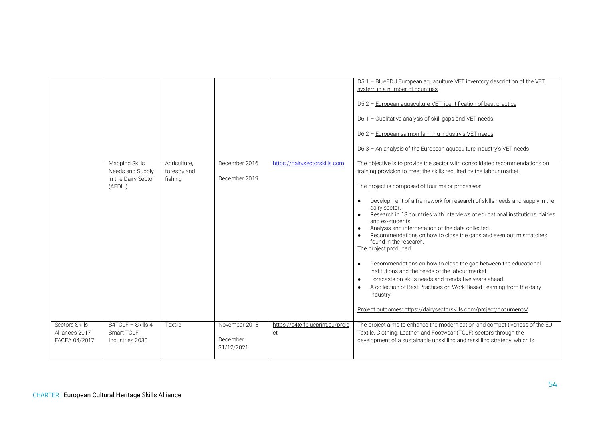|                                                   |                                                                             |                                         |                                         |                                               | D5.1 - BlueEDU European aguaculture VET inventory description of the VET<br>system in a number of countries<br>D5.2 - European aquaculture VET, identification of best practice<br>D6.1 - Qualitative analysis of skill gaps and VET needs<br>D6.2 - European salmon farming industry's VET needs<br>D6.3 - An analysis of the European aquaculture industry's VET needs                                                                                                                                                                                                                                                                                                                                                                                                                                                                                                                                                                                                  |
|---------------------------------------------------|-----------------------------------------------------------------------------|-----------------------------------------|-----------------------------------------|-----------------------------------------------|---------------------------------------------------------------------------------------------------------------------------------------------------------------------------------------------------------------------------------------------------------------------------------------------------------------------------------------------------------------------------------------------------------------------------------------------------------------------------------------------------------------------------------------------------------------------------------------------------------------------------------------------------------------------------------------------------------------------------------------------------------------------------------------------------------------------------------------------------------------------------------------------------------------------------------------------------------------------------|
|                                                   | <b>Mapping Skills</b><br>Needs and Supply<br>in the Dairy Sector<br>(AEDIL) | Agriculture,<br>forestry and<br>fishing | December 2016<br>December 2019          | https://dairysectorskills.com                 | The objective is to provide the sector with consolidated recommendations on<br>training provision to meet the skills required by the labour market<br>The project is composed of four major processes:<br>Development of a framework for research of skills needs and supply in the<br>$\bullet$<br>dairy sector.<br>Research in 13 countries with interviews of educational institutions, dairies<br>and ex-students.<br>Analysis and interpretation of the data collected.<br>Recommendations on how to close the gaps and even out mismatches<br>found in the research.<br>The project produced:<br>Recommendations on how to close the gap between the educational<br>$\bullet$<br>institutions and the needs of the labour market.<br>Forecasts on skills needs and trends five years ahead.<br>$\bullet$<br>A collection of Best Practices on Work Based Learning from the dairy<br>industry.<br>Project outcomes: https://dairysectorskills.com/project/documents/ |
| Sectors Skills<br>Alliances 2017<br>EACEA 04/2017 | S4TCLF - Skills 4<br>Smart TCLF<br>Industries 2030                          | Textile                                 | November 2018<br>December<br>31/12/2021 | https://s4tclfblueprint.eu/proje<br><u>ct</u> | The project aims to enhance the modernisation and competitiveness of the EU<br>Textile, Clothing, Leather, and Footwear (TCLF) sectors through the<br>development of a sustainable upskilling and reskilling strategy, which is                                                                                                                                                                                                                                                                                                                                                                                                                                                                                                                                                                                                                                                                                                                                           |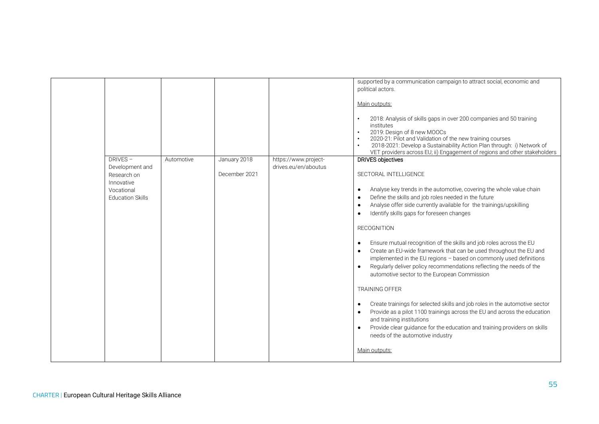|                                                                                                  |            |                               |                                              | supported by a communication campaign to attract social, economic and<br>political actors.<br>Main outputs:                                                                                                                                                                                                                                                                                                                                                                                                                                                                                                                                                                                                                                                                                                                                                                                                                                                                                                                                                    |
|--------------------------------------------------------------------------------------------------|------------|-------------------------------|----------------------------------------------|----------------------------------------------------------------------------------------------------------------------------------------------------------------------------------------------------------------------------------------------------------------------------------------------------------------------------------------------------------------------------------------------------------------------------------------------------------------------------------------------------------------------------------------------------------------------------------------------------------------------------------------------------------------------------------------------------------------------------------------------------------------------------------------------------------------------------------------------------------------------------------------------------------------------------------------------------------------------------------------------------------------------------------------------------------------|
|                                                                                                  |            |                               |                                              | 2018: Analysis of skills gaps in over 200 companies and 50 training<br>institutes<br>2019: Design of 8 new MOOCs<br>2020-21: Pilot and Validation of the new training courses<br>2018-2021: Develop a Sustainability Action Plan through: i) Network of<br>VET providers across EU; ii) Engagement of regions and other stakeholders                                                                                                                                                                                                                                                                                                                                                                                                                                                                                                                                                                                                                                                                                                                           |
| DRIVES-<br>Development and<br>Research on<br>Innovative<br>Vocational<br><b>Education Skills</b> | Automotive | January 2018<br>December 2021 | https://www.project-<br>drives.eu/en/aboutus | <b>DRIVES objectives</b><br>SECTORAL INTELLIGENCE<br>Analyse key trends in the automotive, covering the whole value chain<br>٠<br>Define the skills and job roles needed in the future<br>$\bullet$<br>Analyse offer side currently available for the trainings/upskilling<br>Identify skills gaps for foreseen changes<br><b>RECOGNITION</b><br>Ensure mutual recognition of the skills and job roles across the EU<br>$\bullet$<br>Create an EU-wide framework that can be used throughout the EU and<br>implemented in the EU regions - based on commonly used definitions<br>Regularly deliver policy recommendations reflecting the needs of the<br>automotive sector to the European Commission<br>TRAINING OFFER<br>Create trainings for selected skills and job roles in the automotive sector<br>$\bullet$<br>Provide as a pilot 1100 trainings across the EU and across the education<br>and training institutions<br>Provide clear guidance for the education and training providers on skills<br>needs of the automotive industry<br>Main outputs: |
|                                                                                                  |            |                               |                                              |                                                                                                                                                                                                                                                                                                                                                                                                                                                                                                                                                                                                                                                                                                                                                                                                                                                                                                                                                                                                                                                                |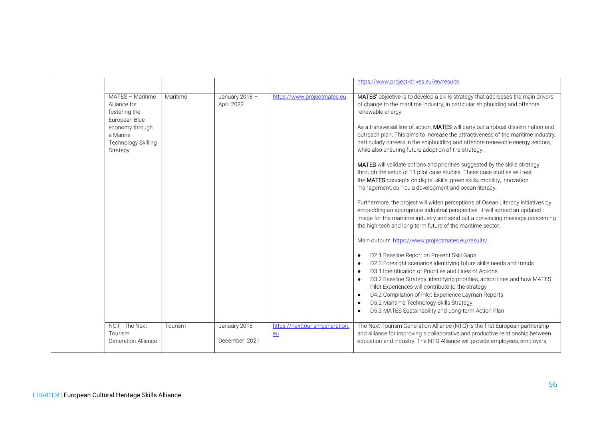|                                                                                                                                      |          |                               |                                     | https://www.project-drives.eu/en/results                                                                                                                                                                                                                                                                                                                                                                                                                                                                                                                                                                                                                                                                                                                                                                                                                                                                                                                                                                                                                                                                                                                                                                                                                                                                                                                                                                                                                                                                                                                |
|--------------------------------------------------------------------------------------------------------------------------------------|----------|-------------------------------|-------------------------------------|---------------------------------------------------------------------------------------------------------------------------------------------------------------------------------------------------------------------------------------------------------------------------------------------------------------------------------------------------------------------------------------------------------------------------------------------------------------------------------------------------------------------------------------------------------------------------------------------------------------------------------------------------------------------------------------------------------------------------------------------------------------------------------------------------------------------------------------------------------------------------------------------------------------------------------------------------------------------------------------------------------------------------------------------------------------------------------------------------------------------------------------------------------------------------------------------------------------------------------------------------------------------------------------------------------------------------------------------------------------------------------------------------------------------------------------------------------------------------------------------------------------------------------------------------------|
| MATES - Maritime<br>Alliance for<br>fostering the<br>European Blue<br>economy through<br>a Marine<br>Technology Skilling<br>Strategy | Maritime | January 2018 -<br>April 2022  | https://www.projectmates.eu         | MATES' objective is to develop a skills strategy that addresses the main drivers<br>of change to the maritime industry, in particular shipbuilding and offshore<br>renewable energy.<br>As a transversal line of action, MATES will carry out a robust dissemination and<br>outreach plan. This aims to increase the attractiveness of the maritime industry,<br>particularly careers in the shipbuilding and offshore renewable energy sectors,<br>while also ensuring future adoption of the strategy.<br>MATES will validate actions and priorities suggested by the skills strategy<br>through the setup of 11 pilot case studies. These case studies will test<br>the MATES concepts on digital skills, green skills, mobility, innovation<br>management, curricula development and ocean literacy.<br>Furthermore, the project will widen perceptions of Ocean Literacy initiatives by<br>embedding an appropriate industrial perspective. It will spread an updated<br>image for the maritime industry and send out a convincing message concerning<br>the high-tech and long-term future of the maritime sector.<br>Main outputs: https://www.projectmates.eu/results/<br>D2.1 Baseline Report on Present Skill Gaps<br>D2.3 Foresight scenarios identifying future skills needs and trends<br>D3.1 Identification of Priorities and Lines of Actions<br>D3.2 Baseline Strategy: identifying priorities, action lines and how MATES<br>Pilot Experiences will contribute to the strategy<br>D4.2 Compilation of Pilot Experience Layman Reports |
|                                                                                                                                      |          |                               |                                     | D5.2 Maritime Technology Skills Strategy<br>D5.3 MATES Sustainability and Long-term Action Plan                                                                                                                                                                                                                                                                                                                                                                                                                                                                                                                                                                                                                                                                                                                                                                                                                                                                                                                                                                                                                                                                                                                                                                                                                                                                                                                                                                                                                                                         |
| NGT - The Next<br>Tourism<br><b>Generation Alliance</b>                                                                              | Tourism  | January 2018<br>December 2021 | https://nexttourismgeneration<br>eu | The Next Tourism Generation Alliance (NTG) is the first European partnership<br>and alliance for improving a collaborative and productive relationship between<br>education and industry. The NTG Alliance will provide employees, employers,                                                                                                                                                                                                                                                                                                                                                                                                                                                                                                                                                                                                                                                                                                                                                                                                                                                                                                                                                                                                                                                                                                                                                                                                                                                                                                           |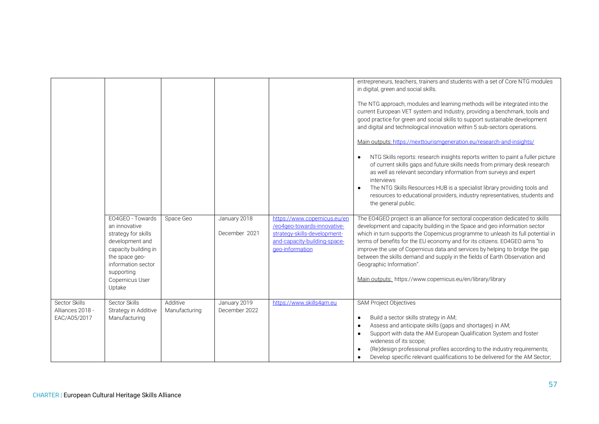|                                                   |                                                                                                                                                                                        |                           |                               |                                                                                                                                                | entrepreneurs, teachers, trainers and students with a set of Core NTG modules<br>in digital, green and social skills.<br>The NTG approach, modules and learning methods will be integrated into the<br>current European VET system and Industry, providing a benchmark, tools and<br>good practice for green and social skills to support sustainable development<br>and digital and technological innovation within 5 sub-sectors operations.<br>Main outputs: https://nexttourismgeneration.eu/research-and-insights/<br>NTG Skills reports: research insights reports written to paint a fuller picture<br>$\bullet$<br>of current skills gaps and future skills needs from primary desk research<br>as well as relevant secondary information from surveys and expert<br>interviews<br>The NTG Skills Resources HUB is a specialist library providing tools and<br>$\bullet$<br>resources to educational providers, industry representatives, students and<br>the general public. |
|---------------------------------------------------|----------------------------------------------------------------------------------------------------------------------------------------------------------------------------------------|---------------------------|-------------------------------|------------------------------------------------------------------------------------------------------------------------------------------------|---------------------------------------------------------------------------------------------------------------------------------------------------------------------------------------------------------------------------------------------------------------------------------------------------------------------------------------------------------------------------------------------------------------------------------------------------------------------------------------------------------------------------------------------------------------------------------------------------------------------------------------------------------------------------------------------------------------------------------------------------------------------------------------------------------------------------------------------------------------------------------------------------------------------------------------------------------------------------------------|
|                                                   | EO4GEO - Towards<br>an innovative<br>strategy for skills<br>development and<br>capacity building in<br>the space geo-<br>information sector<br>supporting<br>Copernicus User<br>Uptake | Space Geo                 | January 2018<br>December 2021 | https://www.copernicus.eu/en<br>/eo4geo-towards-innovative-<br>strategy-skills-development-<br>and-capacity-building-space-<br>geo-information | The EO4GEO project is an alliance for sectoral cooperation dedicated to skills<br>development and capacity building in the Space and geo information sector<br>which in turn supports the Copernicus programme to unleash its full potential in<br>terms of benefits for the EU economy and for its citizens. EO4GEO aims "to<br>improve the use of Copernicus data and services by helping to bridge the gap<br>between the skills demand and supply in the fields of Earth Observation and<br>Geographic Information".<br>Main outputs: https://www.copernicus.eu/en/library/library                                                                                                                                                                                                                                                                                                                                                                                                |
| Sector Skills<br>Alliances 2018 -<br>EAC/A05/2017 | Sector Skills<br>Strategy in Additive<br>Manufacturing                                                                                                                                 | Additive<br>Manufacturing | January 2019<br>December 2022 | https://www.skills4am.eu                                                                                                                       | <b>SAM Project Objectives</b><br>Build a sector skills strategy in AM;<br>$\bullet$<br>Assess and anticipate skills (gaps and shortages) in AM;<br>$\bullet$<br>Support with data the AM European Qualification System and foster<br>$\bullet$<br>wideness of its scope;<br>(Re)design professional profiles according to the industry requirements;<br>Develop specific relevant qualifications to be delivered for the AM Sector;                                                                                                                                                                                                                                                                                                                                                                                                                                                                                                                                                   |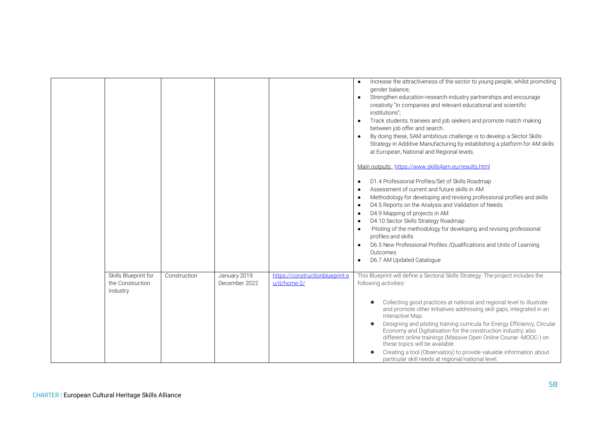|                                                      |              |                               |                                                 | Increase the attractiveness of the sector to young people, whilst promoting<br>gender balance;<br>Strengthen education-research-industry partnerships and encourage<br>creativity "in companies and relevant educational and scientific<br>institutions";<br>Track students, trainees and job seekers and promote match making<br>between job offer and search.<br>By doing these, SAM ambitious challenge is to develop a Sector Skills<br>Strategy in Additive Manufacturing by establishing a platform for AM skills<br>at European, National and Regional levels.<br>Main outputs: https://www.skills4am.eu/results.html<br>D1.4 Professional Profiles/Set of Skills Roadmap<br>Assessment of current and future skills in AM<br>Methodology for developing and revising professional profiles and skills<br>D4.5 Reports on the Analysis and Validation of Needs<br>D4.9 Mapping of projects in AM<br>D4.10 Sector Skills Strategy Roadmap<br>Piloting of the methodology for developing and revising professional<br>profiles and skills<br>D6.5 New Professional Profiles /Qualifications and Units of Learning<br>Outcomes<br>D6.7 AM Updated Catalogue |
|------------------------------------------------------|--------------|-------------------------------|-------------------------------------------------|-----------------------------------------------------------------------------------------------------------------------------------------------------------------------------------------------------------------------------------------------------------------------------------------------------------------------------------------------------------------------------------------------------------------------------------------------------------------------------------------------------------------------------------------------------------------------------------------------------------------------------------------------------------------------------------------------------------------------------------------------------------------------------------------------------------------------------------------------------------------------------------------------------------------------------------------------------------------------------------------------------------------------------------------------------------------------------------------------------------------------------------------------------------------|
| Skills Blueprint for<br>the Construction<br>Industry | Construction | January 2019<br>December 2022 | https://constructionblueprint.e<br>u/it/home-2/ | This Blueprint will define a Sectoral Skills Strategy. The project includes the<br>following activities:<br>Collecting good practices at national and regional level to illustrate<br>and promote other initiatives addressing skill gaps, integrated in an<br>Interactive Map.<br>Designing and piloting training curricula for Energy Efficiency, Circular<br>Economy and Digitalisation for the construction industry; also<br>different online trainings (Massive Open Online Course -MOOC-) on                                                                                                                                                                                                                                                                                                                                                                                                                                                                                                                                                                                                                                                             |
|                                                      |              |                               |                                                 | these topics will be available.<br>Creating a tool (Observatory) to provide valuable information about<br>particular skill needs at regional/national level.                                                                                                                                                                                                                                                                                                                                                                                                                                                                                                                                                                                                                                                                                                                                                                                                                                                                                                                                                                                                    |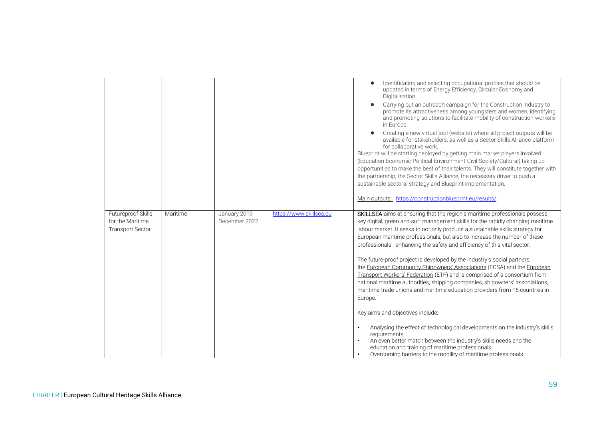|                                                                   |          |                               |                         | Identificating and selecting occupational profiles that should be<br>updated in terms of Energy Efficiency, Circular Economy and<br>Digitalisation.<br>Carrying out an outreach campaign for the Construction industry to<br>promote its attractiveness among youngsters and women, identifying<br>and promoting solutions to facilitate mobility of construction workers<br>in Europe.<br>Creating a new virtual tool (website) where all project outputs will be<br>available for stakeholders, as well as a Sector Skills Alliance platform<br>for collaborative work.<br>Blueprint will be starting deployed by getting main market players involved<br>(Education-Economic-Political-Environment-Civil Society/Cultural) taking up<br>opportunities to make the best of their talents. They will constitute together with<br>the partnership, the Sector Skills Alliance, the necessary driver to push a<br>sustainable sectoral strategy and Blueprint implementation.<br>Main outputs: https://constructionblueprint.eu/results/                                                                                                            |
|-------------------------------------------------------------------|----------|-------------------------------|-------------------------|----------------------------------------------------------------------------------------------------------------------------------------------------------------------------------------------------------------------------------------------------------------------------------------------------------------------------------------------------------------------------------------------------------------------------------------------------------------------------------------------------------------------------------------------------------------------------------------------------------------------------------------------------------------------------------------------------------------------------------------------------------------------------------------------------------------------------------------------------------------------------------------------------------------------------------------------------------------------------------------------------------------------------------------------------------------------------------------------------------------------------------------------------|
| Futureproof Skills<br>for the Maritime<br><b>Transport Sector</b> | Maritime | January 2019<br>December 2022 | https://www.skillsea.eu | SKILLSEA aims at ensuring that the region's maritime professionals possess<br>key digital, green and soft management skills for the rapidly changing maritime<br>labour market. It seeks to not only produce a sustainable skills strategy for<br>European maritime professionals, but also to increase the number of these<br>professionals - enhancing the safety and efficiency of this vital sector.<br>The future-proof project is developed by the industry's social partners,<br>the European Community Shipowners' Associations (ECSA) and the European<br>Transport Workers' Federation (ETF) and is comprised of a consortium from<br>national maritime authorities, shipping companies, shipowners' associations,<br>maritime trade unions and maritime education providers from 16 countries in<br>Europe.<br>Key aims and objectives include:<br>Analysing the effect of technological developments on the industry's skills<br>requirements<br>An even better match between the industry's skills needs and the<br>education and training of maritime professionals<br>Overcoming barriers to the mobility of maritime professionals |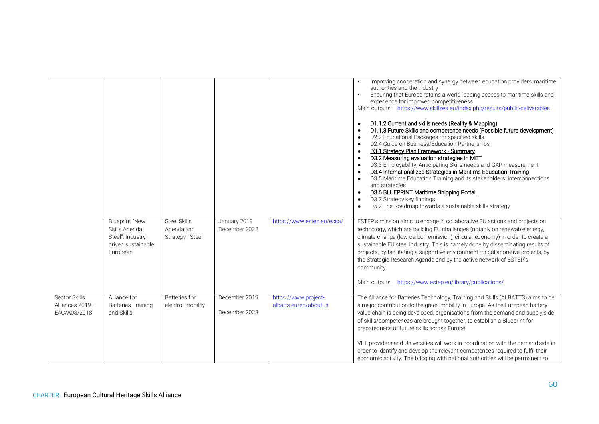|                                                   |                                                                                               |                                                       |                                |                                               | Improving cooperation and synergy between education providers, maritime<br>authorities and the industry<br>Ensuring that Europe retains a world-leading access to maritime skills and<br>$\bullet$<br>experience for improved competitiveness<br>Main outputs: https://www.skillsea.eu/index.php/results/public-deliverables<br>D1.1.2 Current and skills needs (Reality & Mapping)<br>D1.1.3 Future Skills and competence needs (Possible future development)<br>D2.2 Educational Packages for specified skills<br>D2.4 Guide on Business/Education Partnerships<br>D3.1 Strategy Plan Framework - Summary<br>D3.2 Measuring evaluation strategies in MET<br>D3.3 Employability, Anticipating Skills needs and GAP measurement<br>$\bullet$<br>D3.4 Internationalized Strategies in Maritime Education Training<br>D3.5 Maritime Education Training and its stakeholders: interconnections<br>and strategies<br>D3.6 BLUEPRINT Maritime Shipping Portal<br>D3.7 Strategy key findings<br>$\bullet$<br>D5.2 The Roadmap towards a sustainable skills strategy |
|---------------------------------------------------|-----------------------------------------------------------------------------------------------|-------------------------------------------------------|--------------------------------|-----------------------------------------------|---------------------------------------------------------------------------------------------------------------------------------------------------------------------------------------------------------------------------------------------------------------------------------------------------------------------------------------------------------------------------------------------------------------------------------------------------------------------------------------------------------------------------------------------------------------------------------------------------------------------------------------------------------------------------------------------------------------------------------------------------------------------------------------------------------------------------------------------------------------------------------------------------------------------------------------------------------------------------------------------------------------------------------------------------------------|
|                                                   | <b>Blueprint "New</b><br>Skills Agenda<br>Steel": Industry-<br>driven sustainable<br>European | <b>Steel Skills</b><br>Agenda and<br>Strategy - Steel | January 2019<br>December 2022  | https://www.estep.eu/essa/                    | ESTEP's mission aims to engage in collaborative EU actions and projects on<br>technology, which are tackling EU challenges (notably on renewable energy,<br>climate change (low-carbon emission), circular economy) in order to create a<br>sustainable EU steel industry. This is namely done by disseminating results of<br>projects, by facilitating a supportive environment for collaborative projects, by<br>the Strategic Research Agenda and by the active network of ESTEP's<br>community.<br>https://www.estep.eu/library/publications/<br>Main outputs:                                                                                                                                                                                                                                                                                                                                                                                                                                                                                            |
| Sector Skills<br>Alliances 2019 -<br>EAC/A03/2018 | Alliance for<br><b>Batteries Training</b><br>and Skills                                       | <b>Batteries for</b><br>electro-mobility              | December 2019<br>December 2023 | https://www.project-<br>albatts.eu/en/aboutus | The Alliance for Batteries Technology, Training and Skills (ALBATTS) aims to be<br>a major contribution to the green mobility in Europe. As the European battery<br>value chain is being developed, organisations from the demand and supply side<br>of skills/competences are brought together, to establish a Blueprint for<br>preparedness of future skills across Europe.<br>VET providers and Universities will work in coordination with the demand side in<br>order to identify and develop the relevant competences required to fulfil their<br>economic activity. The bridging with national authorities will be permanent to                                                                                                                                                                                                                                                                                                                                                                                                                        |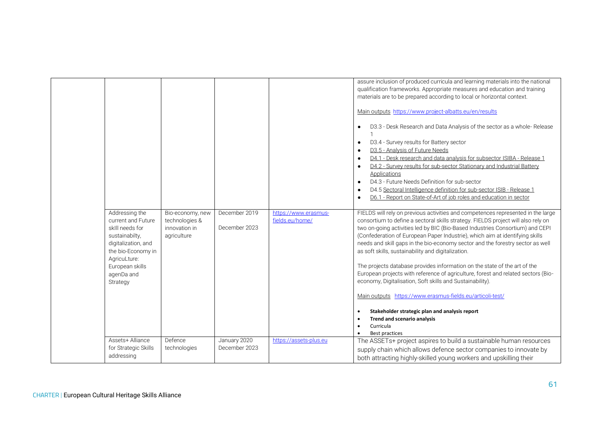|                                                                                                                                                                                     |                                                                    |                                |                                         | assure inclusion of produced curricula and learning materials into the national<br>qualification frameworks. Appropriate measures and education and training<br>materials are to be prepared according to local or horizontal context.<br>Main outputs https://www.project-albatts.eu/en/results<br>D3.3 - Desk Research and Data Analysis of the sector as a whole-Release<br>$\bullet$<br>D3.4 - Survey results for Battery sector<br>$\bullet$<br>D3.5 - Analysis of Future Needs<br>$\bullet$<br>D4.1 - Desk research and data analysis for subsector ISIBA - Release 1<br>D4.2 - Survey results for sub-sector Stationary and Industrial Battery<br>$\bullet$<br>Applications<br>D4.3 - Future Needs Definition for sub-sector<br>$\bullet$<br>D4.5 Sectoral Intelligence definition for sub-sector ISIB - Release 1<br>D6.1 - Report on State-of-Art of job roles and education in sector<br>$\bullet$                |
|-------------------------------------------------------------------------------------------------------------------------------------------------------------------------------------|--------------------------------------------------------------------|--------------------------------|-----------------------------------------|-----------------------------------------------------------------------------------------------------------------------------------------------------------------------------------------------------------------------------------------------------------------------------------------------------------------------------------------------------------------------------------------------------------------------------------------------------------------------------------------------------------------------------------------------------------------------------------------------------------------------------------------------------------------------------------------------------------------------------------------------------------------------------------------------------------------------------------------------------------------------------------------------------------------------------|
| Addressing the<br>current and Future<br>skill needs for<br>sustainabilty,<br>digitalization, and<br>the bio-Economy in<br>AgricuLture:<br>European skills<br>agenDa and<br>Strategy | Bio-economy, new<br>technologies &<br>innovation in<br>agriculture | December 2019<br>December 2023 | https://www.erasmus-<br>fields.eu/home/ | FIELDS will rely on previous activities and competences represented in the large<br>consortium to define a sectoral skills strategy. FIELDS project will also rely on<br>two on-going activities led by BIC (Bio-Based Industries Consortium) and CEPI<br>(Confederation of European Paper Industrie), which aim at identifying skills<br>needs and skill gaps in the bio-economy sector and the forestry sector as well<br>as soft skills, sustainability and digitalization.<br>The projects database provides information on the state of the art of the<br>European projects with reference of agriculture, forest and related sectors (Bio-<br>economy, Digitalisation, Soft skills and Sustainability).<br>Main outputs https://www.erasmus-fields.eu/articoli-test/<br>Stakeholder strategic plan and analysis report<br><b>Trend and scenario analysis</b><br>Curricula<br>$\bullet$<br>Best practices<br>$\bullet$ |
| Assets+ Alliance<br>for Strategic Skills<br>addressing                                                                                                                              | Defence<br>technologies                                            | January 2020<br>December 2023  | https://assets-plus.eu                  | The ASSETs+ project aspires to build a sustainable human resources<br>supply chain which allows defence sector companies to innovate by<br>both attracting highly-skilled young workers and upskilling their                                                                                                                                                                                                                                                                                                                                                                                                                                                                                                                                                                                                                                                                                                                |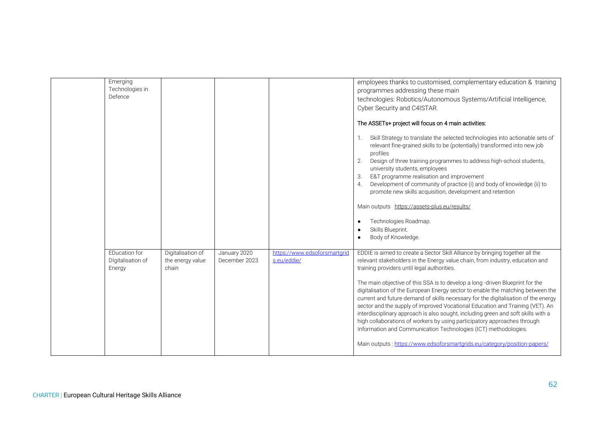| Emerging<br>Technologies in<br>Defence              |                                                |                               |                                             | employees thanks to customised, complementary education & training<br>programmes addressing these main<br>technologies: Robotics/Autonomous Systems/Artificial Intelligence,<br>Cyber Security and C4ISTAR.<br>The ASSETs+ project will focus on 4 main activities:<br>Skill Strategy to translate the selected technologies into actionable sets of<br>1.<br>relevant fine-grained skills to be (potentially) transformed into new job<br>profiles<br>2.<br>Design of three training programmes to address high-school students,<br>university students, employees<br>E&T programme realisation and improvement<br>3.<br>Development of community of practice (i) and body of knowledge (ii) to<br>4.<br>promote new skills acquisition, development and retention<br>Main outputs https://assets-plus.eu/results/<br>Technologies Roadmap.                             |
|-----------------------------------------------------|------------------------------------------------|-------------------------------|---------------------------------------------|--------------------------------------------------------------------------------------------------------------------------------------------------------------------------------------------------------------------------------------------------------------------------------------------------------------------------------------------------------------------------------------------------------------------------------------------------------------------------------------------------------------------------------------------------------------------------------------------------------------------------------------------------------------------------------------------------------------------------------------------------------------------------------------------------------------------------------------------------------------------------|
|                                                     |                                                |                               |                                             | Skills Blueprint.<br>Body of Knowledge.                                                                                                                                                                                                                                                                                                                                                                                                                                                                                                                                                                                                                                                                                                                                                                                                                                  |
| <b>EDucation for</b><br>Digitalisation of<br>Energy | Digitalisation of<br>the energy value<br>chain | January 2020<br>December 2023 | https://www.edsoforsmartgrid<br>s.eu/eddie/ | EDDIE is aimed to create a Sector Skill Alliance by bringing together all the<br>relevant stakeholders in the Energy value chain, from industry, education and<br>training providers until legal authorities.<br>The main objective of this SSA is to develop a long -driven Blueprint for the<br>digitalisation of the European Energy sector to enable the matching between the<br>current and future demand of skills necessary for the digitalisation of the energy<br>sector and the supply of improved Vocational Education and Training (VET). An<br>interdisciplinary approach is also sought, including green and soft skills with a<br>high collaborations of workers by using participatory approaches through<br>Information and Communication Technologies (ICT) methodologies.<br>Main outputs: https://www.edsoforsmartgrids.eu/category/position-papers/ |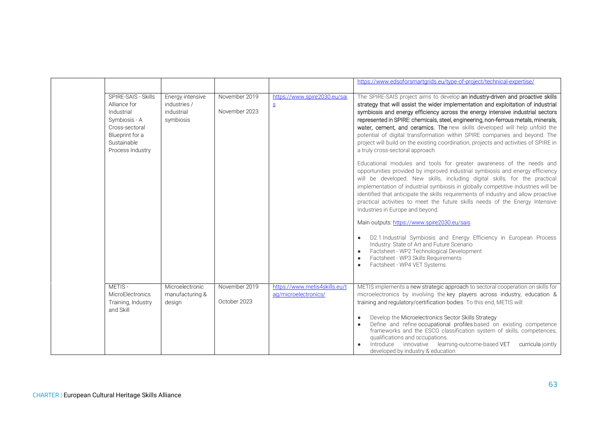|                                                                                                                                            |                                                             |                                |                                                       | https://www.edsoforsmartgrids.eu/type-of-project/technical-expertise/                                                                                                                                                                                                                                                                                                                                                                                                                                                                                                                                                               |
|--------------------------------------------------------------------------------------------------------------------------------------------|-------------------------------------------------------------|--------------------------------|-------------------------------------------------------|-------------------------------------------------------------------------------------------------------------------------------------------------------------------------------------------------------------------------------------------------------------------------------------------------------------------------------------------------------------------------------------------------------------------------------------------------------------------------------------------------------------------------------------------------------------------------------------------------------------------------------------|
| SPIRE-SAIS - Skills<br>Alliance for<br>Industrial<br>Symbiosis - A<br>Cross-sectoral<br>Blueprint for a<br>Sustainable<br>Process Industry | Energy intensive<br>industries /<br>industrial<br>symbiosis | November 2019<br>November 2023 | https://www.spire2030.eu/sai<br>S                     | The SPIRE-SAIS project aims to develop an industry-driven and proactive skills<br>strategy that will assist the wider implementation and exploitation of industrial<br>symbiosis and energy efficiency across the energy intensive industrial sectors<br>represented in SPIRE: chemicals, steel, engineering, non-ferrous metals, minerals,<br>water, cement, and ceramics. The new skills developed will help unfold the<br>potential of digital transformation within SPIRE companies and beyond. The<br>project will build on the existing coordination, projects and activities of SPIRE in<br>a truly cross-sectoral approach. |
|                                                                                                                                            |                                                             |                                |                                                       | Educational modules and tools for greater awareness of the needs and<br>opportunities provided by improved industrial symbiosis and energy efficiency<br>will be developed. New skills, including digital skills, for the practical<br>implementation of industrial symbiosis in globally competitive industries will be<br>identified that anticipate the skills requirements of industry and allow proactive<br>practical activities to meet the future skills needs of the Energy Intensive<br>Industries in Europe and beyond.                                                                                                  |
|                                                                                                                                            |                                                             |                                |                                                       | Main outputs: https://www.spire2030.eu/sais<br>D2.1 Industrial Symbiosis and Energy Efficiency in European Process<br>Industry: State of Art and Future Scenario<br>Factsheet - WP2 Technological Development<br>Factsheet - WP3 Skills Requirements<br>Factsheet - WP4 VET Systems                                                                                                                                                                                                                                                                                                                                                 |
| METIS-<br>MicroElectronics<br>Training, Industry<br>and Skill                                                                              | Microelectronic<br>manufacturing &<br>design                | November 2019<br>October 2023  | https://www.metis4skills.eu/t<br>ag/microelectronics/ | METIS implements a new strategic approach to sectoral cooperation on skills for<br>microelectronics by involving the key players across industry, education &<br>training and regulatory/certification bodies. To this end, METIS will:<br>Develop the Microelectronics Sector Skills Strategy<br>Define and refine occupational profiles based on existing competence<br>frameworks and the ESCO classification system of skills, competences,<br>qualifications and occupations.<br>Introduce innovative learning-outcome-based VET<br>curricula jointly<br>developed by industry & education                                     |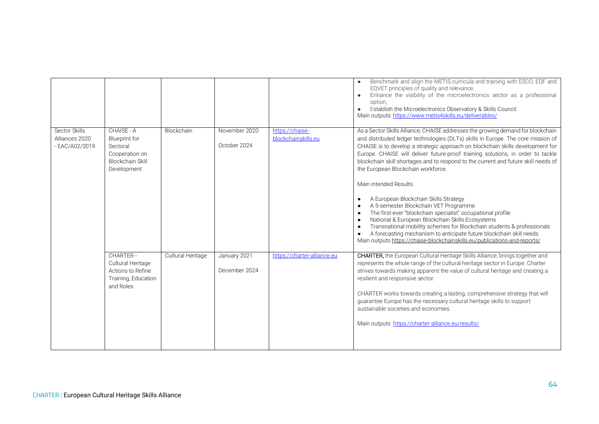|                                                   |                                                                                                            |                   |                               |                                        | Benchmark and align the METIS curricula and training with ESCO, EQF and<br>EQVET principles of quality and relevance.<br>Enhance the visibility of the microelectronics sector as a professional<br>$\bullet$<br>option.<br>Establish the Microelectronics Observatory & Skills Council.<br>$\bullet$<br>Main outputs: https://www.metis4skills.eu/deliverables/                                                                                                                                                                                                                                                                                                                                                                                                                                                                                                                                                                                                                                   |
|---------------------------------------------------|------------------------------------------------------------------------------------------------------------|-------------------|-------------------------------|----------------------------------------|----------------------------------------------------------------------------------------------------------------------------------------------------------------------------------------------------------------------------------------------------------------------------------------------------------------------------------------------------------------------------------------------------------------------------------------------------------------------------------------------------------------------------------------------------------------------------------------------------------------------------------------------------------------------------------------------------------------------------------------------------------------------------------------------------------------------------------------------------------------------------------------------------------------------------------------------------------------------------------------------------|
| Sector Skills<br>Alliances 2020<br>- EAC/A02/2019 | CHAISE - A<br><b>Blueprint</b> for<br>Sectoral<br>Cooperation on<br><b>Blockchain Skill</b><br>Development | Blockchain        | November 2020<br>October 2024 | https://chaise-<br>blockchainskills.eu | As a Sector Skills Alliance, CHAISE addresses the growing demand for blockchain<br>and distributed ledger technologies (DLTs) skills in Europe. The core mission of<br>CHAISE is to develop a strategic approach on blockchain skills development for<br>Europe. CHAISE will deliver future-proof training solutions, in order to tackle<br>blockchain skill shortages and to respond to the current and future skill needs of<br>the European Blockchain workforce.<br>Main intended Results:<br>A European Blockchain Skills Strategy<br>$\bullet$<br>A 5-semester Blockchain VET Programme<br>The first-ever "blockchain specialist" occupational profile<br>$\bullet$<br>National & European Blockchain Skills Ecosystems<br>$\bullet$<br>Transnational mobility schemes for Blockchain students & professionals<br>$\bullet$<br>A forecasting mechanism to anticipate future blockchain skill needs<br>$\bullet$<br>Main outputs https://chaise-blockchainskills.eu/publications-and-reports/ |
|                                                   | CHARTER-<br>Cultural Heritage<br>Actions to Refine<br>Training, Education<br>and Roles                     | Cultural Heritage | January 2021<br>December 2024 | https://charter-alliance.eu            | <b>CHARTER,</b> the European Cultural Heritage Skills Alliance, brings together and<br>represents the whole range of the cultural heritage sector in Europe. Charter<br>strives towards making apparent the value of cultural heritage and creating a<br>resilient and responsive sector.<br>CHARTER works towards creating a lasting, comprehensive strategy that will<br>guarantee Europe has the necessary cultural heritage skills to support<br>sustainable societies and economies.<br>Main outputs https://charter-alliance.eu/results/                                                                                                                                                                                                                                                                                                                                                                                                                                                     |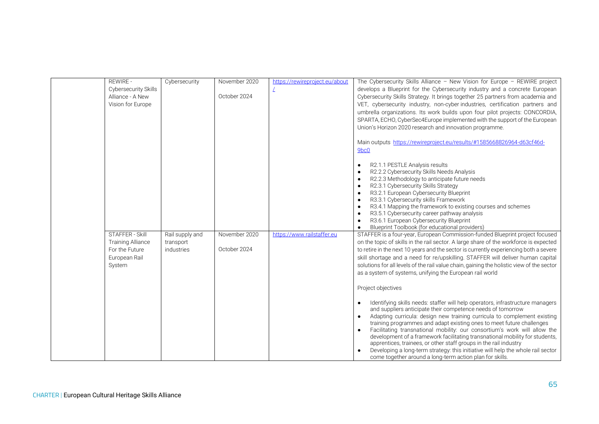| <b>REWIRE -</b>             | Cybersecurity   | November 2020 | https://rewireproject.eu/about | The Cybersecurity Skills Alliance - New Vision for Europe - REWIRE project                |
|-----------------------------|-----------------|---------------|--------------------------------|-------------------------------------------------------------------------------------------|
| <b>Cybersecurity Skills</b> |                 |               |                                | develops a Blueprint for the Cybersecurity industry and a concrete European               |
| Alliance - A New            |                 | October 2024  |                                | Cybersecurity Skills Strategy. It brings together 25 partners from academia and           |
| Vision for Europe           |                 |               |                                | VET, cybersecurity industry, non-cyber industries, certification partners and             |
|                             |                 |               |                                | umbrella organizations. Its work builds upon four pilot projects: CONCORDIA,              |
|                             |                 |               |                                | SPARTA, ECHO, CyberSec4Europe implemented with the support of the European                |
|                             |                 |               |                                | Union's Horizon 2020 research and innovation programme.                                   |
|                             |                 |               |                                |                                                                                           |
|                             |                 |               |                                | Main outputs https://rewireproject.eu/results/#1585668826964-d63cf46d-                    |
|                             |                 |               |                                | 9bc0                                                                                      |
|                             |                 |               |                                |                                                                                           |
|                             |                 |               |                                | R2.1.1 PESTLE Analysis results                                                            |
|                             |                 |               |                                | R2.2.2 Cybersecurity Skills Needs Analysis                                                |
|                             |                 |               |                                | R2.2.3 Methodology to anticipate future needs                                             |
|                             |                 |               |                                | R2.3.1 Cybersecurity Skills Strategy                                                      |
|                             |                 |               |                                | R3.2.1 European Cybersecurity Blueprint                                                   |
|                             |                 |               |                                | R3.3.1 Cybersecurity skills Framework                                                     |
|                             |                 |               |                                | R3.4.1 Mapping the framework to existing courses and schemes                              |
|                             |                 |               |                                | R3.5.1 Cybersecurity career pathway analysis                                              |
|                             |                 |               |                                | R3.6.1 European Cybersecurity Blueprint                                                   |
|                             |                 |               |                                | Blueprint Toolbook (for educational providers)                                            |
| <b>STAFFER - Skill</b>      | Rail supply and | November 2020 | https://www.railstaffer.eu     | STAFFER is a four-year, European Commission-funded Blueprint project focused              |
| <b>Training Alliance</b>    | transport       |               |                                | on the topic of skills in the rail sector. A large share of the workforce is expected     |
| For the Future              | industries      | October 2024  |                                | to retire in the next 10 years and the sector is currently experiencing both a severe     |
| European Rail               |                 |               |                                | skill shortage and a need for re/upskilling. STAFFER will deliver human capital           |
| System                      |                 |               |                                | solutions for all levels of the rail value chain, gaining the holistic view of the sector |
|                             |                 |               |                                | as a system of systems, unifying the European rail world                                  |
|                             |                 |               |                                |                                                                                           |
|                             |                 |               |                                | Project objectives                                                                        |
|                             |                 |               |                                |                                                                                           |
|                             |                 |               |                                | Identifying skills needs: staffer will help operators, infrastructure managers            |
|                             |                 |               |                                | and suppliers anticipate their competence needs of tomorrow                               |
|                             |                 |               |                                | Adapting curricula: design new training curricula to complement existing                  |
|                             |                 |               |                                | training programmes and adapt existing ones to meet future challenges                     |
|                             |                 |               |                                | Facilitating transnational mobility: our consortium's work will allow the                 |
|                             |                 |               |                                | development of a framework facilitating transnational mobility for students,              |
|                             |                 |               |                                | apprentices, trainees, or other staff groups in the rail industry                         |
|                             |                 |               |                                | Developing a long-term strategy: this initiative will help the whole rail sector          |
|                             |                 |               |                                | come together around a long-term action plan for skills.                                  |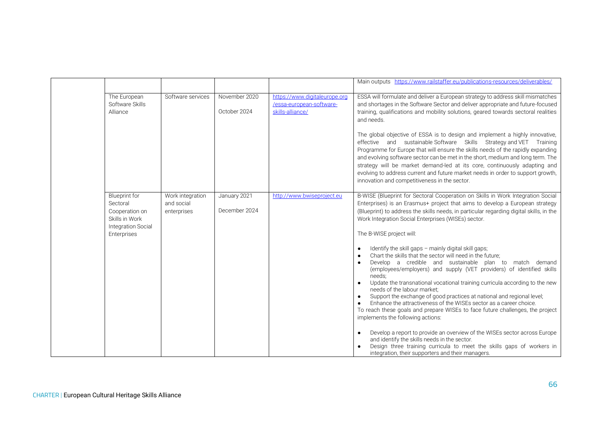|                                                                                                           |                                               |                               |                                                                               | Main outputs https://www.railstaffer.eu/publications-resources/deliverables/                                                                                                                                                                                                                                                                                                                                                                                                                                                                                                                                                                        |
|-----------------------------------------------------------------------------------------------------------|-----------------------------------------------|-------------------------------|-------------------------------------------------------------------------------|-----------------------------------------------------------------------------------------------------------------------------------------------------------------------------------------------------------------------------------------------------------------------------------------------------------------------------------------------------------------------------------------------------------------------------------------------------------------------------------------------------------------------------------------------------------------------------------------------------------------------------------------------------|
| The European<br>Software Skills<br>Alliance                                                               | Software services                             | November 2020<br>October 2024 | https://www.digitaleurope.org<br>/essa-european-software-<br>skills-alliance/ | ESSA will formulate and deliver a European strategy to address skill mismatches<br>and shortages in the Software Sector and deliver appropriate and future-focused<br>training, qualifications and mobility solutions, geared towards sectoral realities<br>and needs.                                                                                                                                                                                                                                                                                                                                                                              |
|                                                                                                           |                                               |                               |                                                                               | The global objective of ESSA is to design and implement a highly innovative,<br>effective and sustainable Software Skills Strategy and VET Training<br>Programme for Europe that will ensure the skills needs of the rapidly expanding<br>and evolving software sector can be met in the short, medium and long term. The<br>strategy will be market demand-led at its core, continuously adapting and<br>evolving to address current and future market needs in order to support growth,<br>innovation and competitiveness in the sector.                                                                                                          |
| <b>Blueprint</b> for<br>Sectoral<br>Cooperation on<br>Skills in Work<br>Integration Social<br>Enterprises | Work integration<br>and social<br>enterprises | January 2021<br>December 2024 | http://www.bwiseproject.eu                                                    | B-WISE (Blueprint for Sectoral Cooperation on Skills in Work Integration Social<br>Enterprises) is an Erasmus+ project that aims to develop a European strategy<br>(Blueprint) to address the skills needs, in particular regarding digital skills, in the<br>Work Integration Social Enterprises (WISEs) sector.<br>The B-WISE project will:                                                                                                                                                                                                                                                                                                       |
|                                                                                                           |                                               |                               |                                                                               | Identify the skill gaps - mainly digital skill gaps;<br>Chart the skills that the sector will need in the future;<br>Develop a credible and sustainable plan to match demand<br>(employees/employers) and supply (VET providers) of identified skills<br>needs:<br>Update the transnational vocational training curricula according to the new<br>needs of the labour market;<br>Support the exchange of good practices at national and regional level;<br>Enhance the attractiveness of the WISEs sector as a career choice.<br>To reach these goals and prepare WISEs to face future challenges, the project<br>implements the following actions: |
|                                                                                                           |                                               |                               |                                                                               | Develop a report to provide an overview of the WISEs sector across Europe<br>and identify the skills needs in the sector.<br>Design three training curricula to meet the skills gaps of workers in<br>integration, their supporters and their managers.                                                                                                                                                                                                                                                                                                                                                                                             |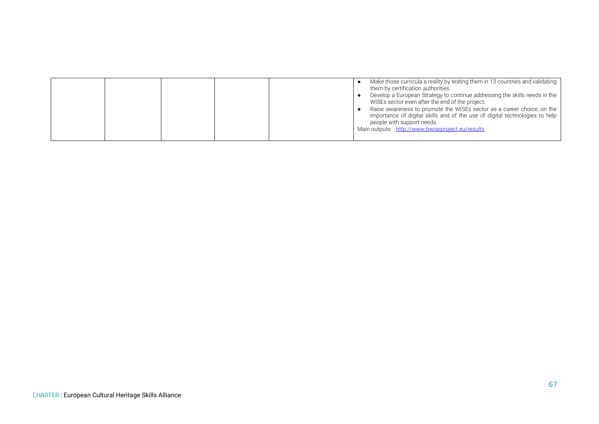|  |  |  |  |  |  | Make those curricula a reality by testing them in 13 countries and validating<br>them by certification authorities.<br>Develop a European Strategy to continue addressing the skills needs in the<br>WISEs sector even after the end of the project.<br>Raise awareness to promote the WISEs sector as a career choice, on the<br>importance of digital skills and of the use of digital technologies to help<br>people with support needs.<br>Main outputs http://www.bwiseproject.eu/results |
|--|--|--|--|--|--|------------------------------------------------------------------------------------------------------------------------------------------------------------------------------------------------------------------------------------------------------------------------------------------------------------------------------------------------------------------------------------------------------------------------------------------------------------------------------------------------|
|--|--|--|--|--|--|------------------------------------------------------------------------------------------------------------------------------------------------------------------------------------------------------------------------------------------------------------------------------------------------------------------------------------------------------------------------------------------------------------------------------------------------------------------------------------------------|